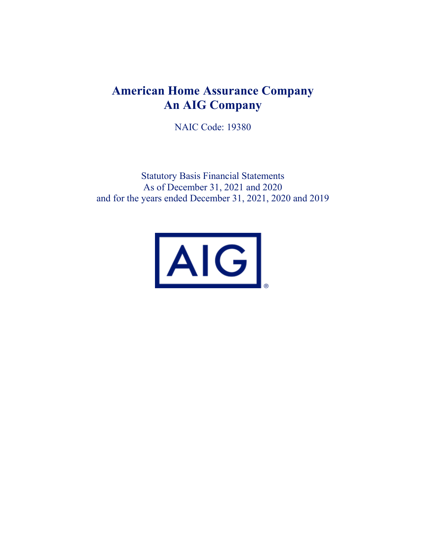# **American Home Assurance Company An AIG Company**

NAIC Code: 19380

Statutory Basis Financial Statements As of December 31, 2021 and 2020 and for the years ended December 31, 2021, 2020 and 2019

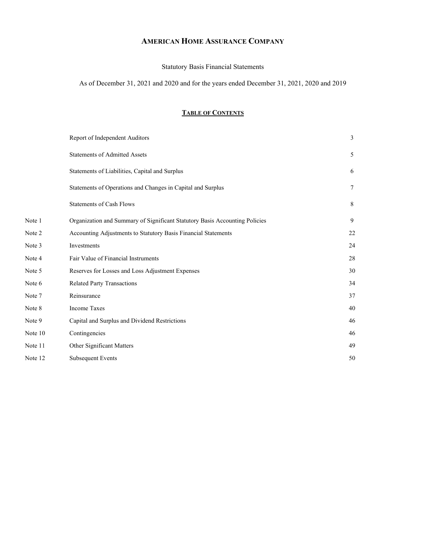# **AMERICAN HOME ASSURANCE COMPANY**

Statutory Basis Financial Statements

As of December 31, 2021 and 2020 and for the years ended December 31, 2021, 2020 and 2019

# **TABLE OF CONTENTS**

|         | Report of Independent Auditors                                              | $\mathfrak{Z}$  |
|---------|-----------------------------------------------------------------------------|-----------------|
|         | <b>Statements of Admitted Assets</b>                                        | 5               |
|         | Statements of Liabilities, Capital and Surplus                              | 6               |
|         | Statements of Operations and Changes in Capital and Surplus                 | $7\phantom{.0}$ |
|         | <b>Statements of Cash Flows</b>                                             | 8               |
| Note 1  | Organization and Summary of Significant Statutory Basis Accounting Policies | 9               |
| Note 2  | Accounting Adjustments to Statutory Basis Financial Statements              | 22              |
| Note 3  | Investments                                                                 | 24              |
| Note 4  | Fair Value of Financial Instruments                                         | 28              |
| Note 5  | Reserves for Losses and Loss Adjustment Expenses                            | 30              |
| Note 6  | Related Party Transactions                                                  | 34              |
| Note 7  | Reinsurance                                                                 | 37              |
| Note 8  | <b>Income Taxes</b>                                                         | 40              |
| Note 9  | Capital and Surplus and Dividend Restrictions                               | 46              |
| Note 10 | Contingencies                                                               | 46              |
| Note 11 | Other Significant Matters                                                   | 49              |
| Note 12 | <b>Subsequent Events</b>                                                    | 50              |
|         |                                                                             |                 |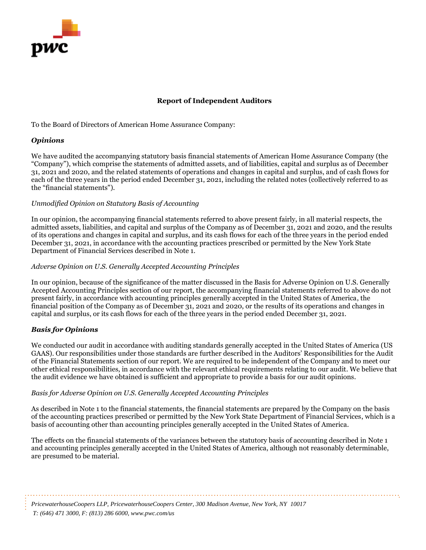

# **Report of Independent Auditors**

To the Board of Directors of American Home Assurance Company:

# *Opinions*

We have audited the accompanying statutory basis financial statements of American Home Assurance Company (the "Company"), which comprise the statements of admitted assets, and of liabilities, capital and surplus as of December 31, 2021 and 2020, and the related statements of operations and changes in capital and surplus, and of cash flows for each of the three years in the period ended December 31, 2021, including the related notes (collectively referred to as the "financial statements").

# *Unmodified Opinion on Statutory Basis of Accounting*

In our opinion, the accompanying financial statements referred to above present fairly, in all material respects, the admitted assets, liabilities, and capital and surplus of the Company as of December 31, 2021 and 2020, and the results of its operations and changes in capital and surplus, and its cash flows for each of the three years in the period ended December 31, 2021, in accordance with the accounting practices prescribed or permitted by the New York State Department of Financial Services described in Note 1.

# *Adverse Opinion on U.S. Generally Accepted Accounting Principles*

In our opinion, because of the significance of the matter discussed in the Basis for Adverse Opinion on U.S. Generally Accepted Accounting Principles section of our report, the accompanying financial statements referred to above do not present fairly, in accordance with accounting principles generally accepted in the United States of America, the financial position of the Company as of December 31, 2021 and 2020, or the results of its operations and changes in capital and surplus, or its cash flows for each of the three years in the period ended December 31, 2021.

# *Basis for Opinions*

We conducted our audit in accordance with auditing standards generally accepted in the United States of America (US GAAS). Our responsibilities under those standards are further described in the Auditors' Responsibilities for the Audit of the Financial Statements section of our report. We are required to be independent of the Company and to meet our other ethical responsibilities, in accordance with the relevant ethical requirements relating to our audit. We believe that the audit evidence we have obtained is sufficient and appropriate to provide a basis for our audit opinions.

# *Basis for Adverse Opinion on U.S. Generally Accepted Accounting Principles*

As described in Note 1 to the financial statements, the financial statements are prepared by the Company on the basis of the accounting practices prescribed or permitted by the New York State Department of Financial Services, which is a basis of accounting other than accounting principles generally accepted in the United States of America.

The effects on the financial statements of the variances between the statutory basis of accounting described in Note 1 and accounting principles generally accepted in the United States of America, although not reasonably determinable, are presumed to be material.

*PricewaterhouseCoopers LLP, PricewaterhouseCoopers Center, 300 Madison Avenue, New York, NY 10017 T: (646) 471 3000, F: (813) 286 6000, www.pwc.com/us*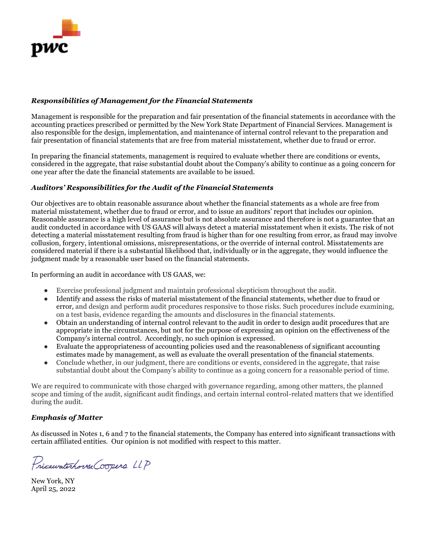

# *Responsibilities of Management for the Financial Statements*

Management is responsible for the preparation and fair presentation of the financial statements in accordance with the accounting practices prescribed or permitted by the New York State Department of Financial Services. Management is also responsible for the design, implementation, and maintenance of internal control relevant to the preparation and fair presentation of financial statements that are free from material misstatement, whether due to fraud or error.

In preparing the financial statements, management is required to evaluate whether there are conditions or events, considered in the aggregate, that raise substantial doubt about the Company's ability to continue as a going concern for one year after the date the financial statements are available to be issued.

# *Auditors' Responsibilities for the Audit of the Financial Statements*

Our objectives are to obtain reasonable assurance about whether the financial statements as a whole are free from material misstatement, whether due to fraud or error, and to issue an auditors' report that includes our opinion. Reasonable assurance is a high level of assurance but is not absolute assurance and therefore is not a guarantee that an audit conducted in accordance with US GAAS will always detect a material misstatement when it exists. The risk of not detecting a material misstatement resulting from fraud is higher than for one resulting from error, as fraud may involve collusion, forgery, intentional omissions, misrepresentations, or the override of internal control. Misstatements are considered material if there is a substantial likelihood that, individually or in the aggregate, they would influence the judgment made by a reasonable user based on the financial statements.

In performing an audit in accordance with US GAAS, we:

- Exercise professional judgment and maintain professional skepticism throughout the audit.
- Identify and assess the risks of material misstatement of the financial statements, whether due to fraud or error, and design and perform audit procedures responsive to those risks. Such procedures include examining, on a test basis, evidence regarding the amounts and disclosures in the financial statements.
- Obtain an understanding of internal control relevant to the audit in order to design audit procedures that are appropriate in the circumstances, but not for the purpose of expressing an opinion on the effectiveness of the Company's internal control. Accordingly, no such opinion is expressed.
- Evaluate the appropriateness of accounting policies used and the reasonableness of significant accounting estimates made by management, as well as evaluate the overall presentation of the financial statements.
- Conclude whether, in our judgment, there are conditions or events, considered in the aggregate, that raise substantial doubt about the Company's ability to continue as a going concern for a reasonable period of time.

We are required to communicate with those charged with governance regarding, among other matters, the planned scope and timing of the audit, significant audit findings, and certain internal control-related matters that we identified during the audit.

# *Emphasis of Matter*

As discussed in Notes 1, 6 and 7 to the financial statements, the Company has entered into significant transactions with certain affiliated entities. Our opinion is not modified with respect to this matter.

Pricewaterhouse Coopers LLP

New York, NY April 25, 2022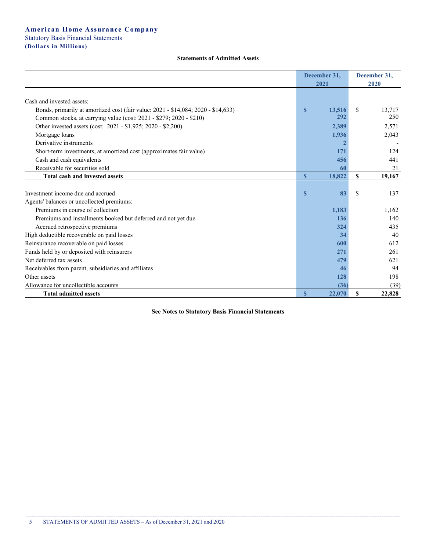#### **Statements of Admitted Assets**

|                                                                                   | December 31,<br>2021   | December 31,<br>2020 |
|-----------------------------------------------------------------------------------|------------------------|----------------------|
| Cash and invested assets:                                                         |                        |                      |
| Bonds, primarily at amortized cost (fair value: 2021 - \$14,084; 2020 - \$14,633) | 13,516<br>$\mathbf{s}$ | S.<br>13,717         |
| Common stocks, at carrying value (cost: 2021 - \$279; 2020 - \$210)               | 292                    | 250                  |
| Other invested assets (cost: 2021 - \$1,925; 2020 - \$2,200)                      | 2,389                  | 2,571                |
| Mortgage loans                                                                    | 1,936                  | 2,043                |
| Derivative instruments                                                            | 2                      |                      |
| Short-term investments, at amortized cost (approximates fair value)               | 171                    | 124                  |
| Cash and cash equivalents                                                         | 456                    | 441                  |
| Receivable for securities sold                                                    | 60                     | 21                   |
| <b>Total cash and invested assets</b>                                             | $\mathbf{s}$<br>18,822 | S<br>19,167          |
|                                                                                   |                        |                      |
| Investment income due and accrued                                                 | 83<br>S                | \$<br>137            |
| Agents' balances or uncollected premiums:                                         |                        |                      |
| Premiums in course of collection                                                  | 1,183                  | 1,162                |
| Premiums and installments booked but deferred and not yet due                     | 136                    | 140                  |
| Accrued retrospective premiums                                                    | 324                    | 435                  |
| High deductible recoverable on paid losses                                        | 34                     | 40                   |
| Reinsurance recoverable on paid losses                                            | 600                    | 612                  |
| Funds held by or deposited with reinsurers                                        | 271                    | 261                  |
| Net deferred tax assets                                                           | 479                    | 621                  |
| Receivables from parent, subsidiaries and affiliates                              | 46                     | 94                   |
| Other assets                                                                      | 128                    | 198                  |
| Allowance for uncollectible accounts                                              | (36)                   | (39)                 |
| <b>Total admitted assets</b>                                                      | $\mathbf{s}$<br>22,070 | \$<br>22,828         |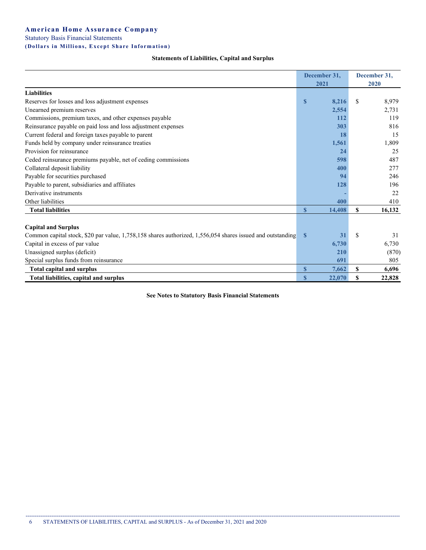|                                                               | December 31, |       | December 31, |       |  |
|---------------------------------------------------------------|--------------|-------|--------------|-------|--|
|                                                               |              | 2021  | 2020         |       |  |
| <b>Liabilities</b>                                            |              |       |              |       |  |
| Reserves for losses and loss adjustment expenses              |              | 8,216 |              | 8.979 |  |
| Unearned premium reserves                                     |              | 2,554 |              | 2,731 |  |
| Commissions, premium taxes, and other expenses payable        |              | 112   |              | 119   |  |
| Reinsurance payable on paid loss and loss adjustment expenses |              | 303   |              | 816   |  |

Current federal and foreign taxes payable to parent **18** 15 Funds held by company under reinsurance treaties **1,561** 1,561 1,809 Provision for reinsurance **25** 25 Ceded reinsurance premiums payable, net of ceding commissions **598** 487 Collateral deposit liability **400** 277 Payable for securities purchased **94** 246 Payable to parent, subsidiaries and affiliates **128** 196 Derivative instruments **-** 22 Other liabilities **400** 410

#### **Statements of Liabilities, Capital and Surplus**

| <b>Total liabilities</b>                                                                                   | 14.408     |   | 16,132 |
|------------------------------------------------------------------------------------------------------------|------------|---|--------|
|                                                                                                            |            |   |        |
| <b>Capital and Surplus</b>                                                                                 |            |   |        |
| Common capital stock, \$20 par value, 1,758,158 shares authorized, 1,556,054 shares issued and outstanding | 31         | S | 31     |
| Capital in excess of par value                                                                             | 6,730      |   | 6,730  |
| Unassigned surplus (deficit)                                                                               | <b>210</b> |   | (870)  |
| Special surplus funds from reinsurance                                                                     | 691        |   | 805    |
| <b>Total capital and surplus</b>                                                                           | 7,662      |   | 6,696  |
| Total liabilities, capital and surplus                                                                     | 22,070     |   | 22,828 |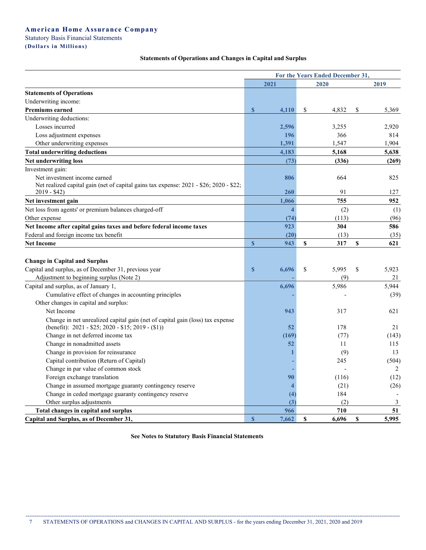|                                                                                        | For the Years Ended December 31, |                   |             |  |  |
|----------------------------------------------------------------------------------------|----------------------------------|-------------------|-------------|--|--|
|                                                                                        | 2021                             | 2020              | 2019        |  |  |
| <b>Statements of Operations</b>                                                        |                                  |                   |             |  |  |
| Underwriting income:                                                                   |                                  |                   |             |  |  |
| Premiums earned                                                                        | $\mathbf{s}$<br>4,110            | \$<br>4,832       | \$<br>5,369 |  |  |
| Underwriting deductions:                                                               |                                  |                   |             |  |  |
| Losses incurred                                                                        | 2,596                            | 3,255             | 2,920       |  |  |
| Loss adjustment expenses                                                               | 196                              | 366               | 814         |  |  |
| Other underwriting expenses                                                            | 1,391                            | 1,547             | 1,904       |  |  |
| <b>Total underwriting deductions</b>                                                   | 4,183                            | 5,168             | 5,638       |  |  |
| <b>Net underwriting loss</b>                                                           | (73)                             | (336)             | (269)       |  |  |
| Investment gain:                                                                       |                                  |                   |             |  |  |
| Net investment income earned                                                           | 806                              | 664               | 825         |  |  |
| Net realized capital gain (net of capital gains tax expense: 2021 - \$26; 2020 - \$22; |                                  |                   |             |  |  |
| $2019 - $42)$                                                                          | 260                              | 91                | 127         |  |  |
| Net investment gain                                                                    | 1,066                            | 755               | 952         |  |  |
| Net loss from agents' or premium balances charged-off                                  | $\overline{\mathbf{4}}$          | (2)               | (1)         |  |  |
| Other expense                                                                          | (74)                             | (113)             | (96)        |  |  |
| Net Income after capital gains taxes and before federal income taxes                   | 923                              | 304               | 586         |  |  |
| Federal and foreign income tax benefit                                                 | (20)                             | (13)              | (35)        |  |  |
| <b>Net Income</b>                                                                      | $\mathbf{s}$<br>943              | \$<br>317         | \$<br>621   |  |  |
|                                                                                        |                                  |                   |             |  |  |
| <b>Change in Capital and Surplus</b>                                                   |                                  |                   |             |  |  |
| Capital and surplus, as of December 31, previous year                                  | $\mathbf{s}$<br>6,696            | \$<br>5,995       | 5,923<br>\$ |  |  |
| Adjustment to beginning surplus (Note 2)                                               |                                  | (9)               | 21          |  |  |
| Capital and surplus, as of January 1,                                                  | 6,696                            | 5,986             | 5,944       |  |  |
| Cumulative effect of changes in accounting principles                                  |                                  |                   | (39)        |  |  |
| Other changes in capital and surplus:                                                  |                                  |                   |             |  |  |
| Net Income                                                                             | 943                              | 317               | 621         |  |  |
| Change in net unrealized capital gain (net of capital gain (loss) tax expense          |                                  |                   |             |  |  |
| (benefit): $2021 - $25$ ; $2020 - $15$ ; $2019 - ($1)$ )                               | 52                               | 178               | 21          |  |  |
| Change in net deferred income tax                                                      | (169)                            | (77)              | (143)       |  |  |
| Change in nonadmitted assets                                                           | 52                               | 11                | 115         |  |  |
| Change in provision for reinsurance                                                    |                                  | (9)               | 13          |  |  |
| Capital contribution (Return of Capital)                                               |                                  | 245               | (504)       |  |  |
| Change in par value of common stock                                                    |                                  |                   | 2           |  |  |
| Foreign exchange translation                                                           | 90                               | (116)             | (12)        |  |  |
| Change in assumed mortgage guaranty contingency reserve                                |                                  | (21)              | (26)        |  |  |
| Change in ceded mortgage guaranty contingency reserve                                  | (4)                              | 184               |             |  |  |
| Other surplus adjustments                                                              | (3)                              | (2)               | 3           |  |  |
| Total changes in capital and surplus                                                   | 966                              | 710               | 51          |  |  |
| Capital and Surplus, as of December 31,                                                | $\mathbf{s}$<br>7,662            | <b>S</b><br>6,696 | 5,995<br>\$ |  |  |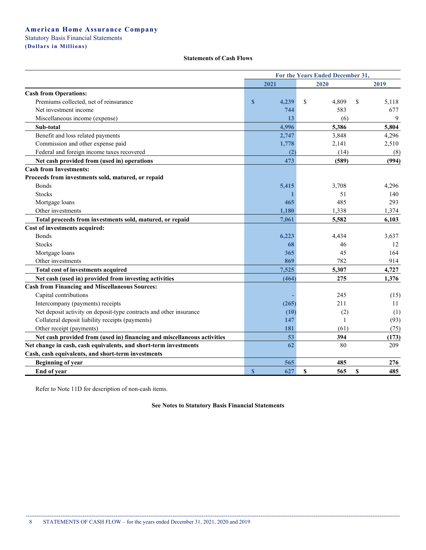# Statutory Basis Financial Statements

**(Dollars i n Millions)**

### **Statements of Cash Flows**

|                                                                         | For the Years Ended December 31, |       |             |             |  |
|-------------------------------------------------------------------------|----------------------------------|-------|-------------|-------------|--|
|                                                                         |                                  | 2021  | 2020        | 2019        |  |
| <b>Cash from Operations:</b>                                            |                                  |       |             |             |  |
| Premiums collected, net of reinsurance                                  | $\mathbf{s}$                     | 4,239 | \$<br>4,809 | \$<br>5,118 |  |
| Net investment income                                                   |                                  | 744   | 583         | 677         |  |
| Miscellaneous income (expense)                                          |                                  | 13    | (6)         | 9           |  |
| Sub-total                                                               |                                  | 4,996 | 5,386       | 5,804       |  |
| Benefit and loss related payments                                       |                                  | 2,747 | 3,848       | 4,296       |  |
| Commission and other expense paid                                       |                                  | 1,778 | 2,141       | 2,510       |  |
| Federal and foreign income taxes recovered                              |                                  | (2)   | (14)        | (8)         |  |
| Net cash provided from (used in) operations                             |                                  | 473   | (589)       | (994)       |  |
| <b>Cash from Investments:</b>                                           |                                  |       |             |             |  |
| Proceeds from investments sold, matured, or repaid                      |                                  |       |             |             |  |
| <b>Bonds</b>                                                            |                                  | 5,415 | 3,708       | 4,296       |  |
| <b>Stocks</b>                                                           |                                  |       | 51          | 140         |  |
| Mortgage loans                                                          |                                  | 465   | 485         | 293         |  |
| Other investments                                                       |                                  | 1,180 | 1,338       | 1,374       |  |
| Total proceeds from investments sold, matured, or repaid                |                                  | 7,061 | 5,582       | 6,103       |  |
| Cost of investments acquired:                                           |                                  |       |             |             |  |
| <b>Bonds</b>                                                            |                                  | 6,223 | 4,434       | 3,637       |  |
| <b>Stocks</b>                                                           |                                  | 68    | 46          | 12          |  |
| Mortgage loans                                                          |                                  | 365   | 45          | 164         |  |
| Other investments                                                       |                                  | 869   | 782         | 914         |  |
| Total cost of investments acquired                                      |                                  | 7,525 | 5,307       | 4,727       |  |
| Net cash (used in) provided from investing activities                   |                                  | (464) | 275         | 1,376       |  |
| <b>Cash from Financing and Miscellaneous Sources:</b>                   |                                  |       |             |             |  |
| Capital contributions                                                   |                                  |       | 245         | (15)        |  |
| Intercompany (payments) receipts                                        |                                  | (265) | 211         | 11          |  |
| Net deposit activity on deposit-type contracts and other insurance      |                                  | (10)  | (2)         | (1)         |  |
| Collateral deposit liability receipts (payments)                        |                                  | 147   | 1           | (93)        |  |
| Other receipt (payments)                                                |                                  | 181   | (61)        | (75)        |  |
| Net cash provided from (used in) financing and miscellaneous activities |                                  | 53    | 394         | (173)       |  |
| Net change in cash, cash equivalents, and short-term investments        |                                  | 62    | 80          | 209         |  |
| Cash, cash equivalents, and short-term investments                      |                                  |       |             |             |  |
| <b>Beginning of year</b>                                                |                                  | 565   | 485         | 276         |  |
| End of year                                                             | $\mathbf{s}$                     | 627   | \$<br>565   | \$<br>485   |  |

Refer to Note 11D for description of non-cash items.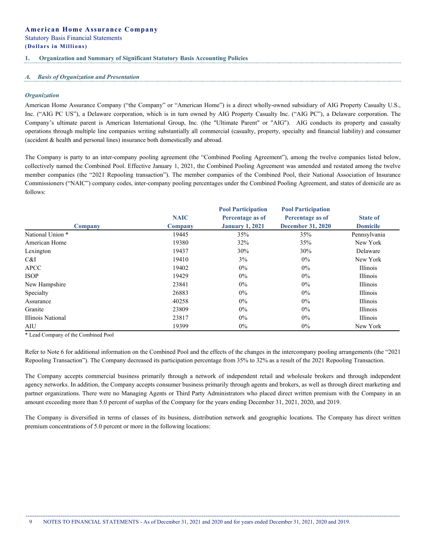#### **1. Organization and Summary of Significant Statutory Basis Accounting Policies**

#### *A. Basis of Organization and Presentation*

#### *Organization*

American Home Assurance Company ("the Company" or "American Home") is a direct wholly-owned subsidiary of AIG Property Casualty U.S., Inc. ("AIG PC US"), a Delaware corporation, which is in turn owned by AIG Property Casualty Inc. ("AIG PC"), a Delaware corporation. The Company's ultimate parent is American International Group, Inc. (the "Ultimate Parent" or "AIG"). AIG conducts its property and casualty operations through multiple line companies writing substantially all commercial (casualty, property, specialty and financial liability) and consumer (accident & health and personal lines) insurance both domestically and abroad.

The Company is party to an inter-company pooling agreement (the "Combined Pooling Agreement"), among the twelve companies listed below, collectively named the Combined Pool. Effective January 1, 2021, the Combined Pooling Agreement was amended and restated among the twelve member companies (the "2021 Repooling transaction"). The member companies of the Combined Pool, their National Association of Insurance Commissioners ("NAIC") company codes, inter-company pooling percentages under the Combined Pooling Agreement, and states of domicile are as follows:

|                   |             | <b>Pool Participation</b> | <b>Pool Participation</b> |                 |
|-------------------|-------------|---------------------------|---------------------------|-----------------|
|                   | <b>NAIC</b> | Percentage as of          | Percentage as of          | <b>State of</b> |
| Company           | Company     | <b>January 1, 2021</b>    | <b>December 31, 2020</b>  | <b>Domicile</b> |
| National Union *  | 19445       | 35%                       | 35%                       | Pennsylvania    |
| American Home     | 19380       | 32%                       | 35%                       | New York        |
| Lexington         | 19437       | 30%                       | 30%                       | Delaware        |
| C&I               | 19410       | 3%                        | $0\%$                     | New York        |
| <b>APCC</b>       | 19402       | $0\%$                     | $0\%$                     | Illinois        |
| <b>ISOP</b>       | 19429       | $0\%$                     | $0\%$                     | Illinois        |
| New Hampshire     | 23841       | $0\%$                     | $0\%$                     | Illinois        |
| Specialty         | 26883       | $0\%$                     | $0\%$                     | Illinois        |
| Assurance         | 40258       | $0\%$                     | $0\%$                     | Illinois        |
| Granite           | 23809       | $0\%$                     | $0\%$                     | Illinois        |
| Illinois National | 23817       | $0\%$                     | $0\%$                     | Illinois        |
| AIU               | 19399       | $0\%$                     | $0\%$                     | New York        |

\* Lead Company of the Combined Pool

Refer to Note 6 for additional information on the Combined Pool and the effects of the changes in the intercompany pooling arrangements (the "2021 Repooling Transaction"). The Company decreased its participation percentage from 35% to 32% as a result of the 2021 Repooling Transaction.

The Company accepts commercial business primarily through a network of independent retail and wholesale brokers and through independent agency networks. In addition, the Company accepts consumer business primarily through agents and brokers, as well as through direct marketing and partner organizations. There were no Managing Agents or Third Party Administrators who placed direct written premium with the Company in an amount exceeding more than 5.0 percent of surplus of the Company for the years ending December 31, 2021, 2020, and 2019.

The Company is diversified in terms of classes of its business, distribution network and geographic locations. The Company has direct written premium concentrations of 5.0 percent or more in the following locations: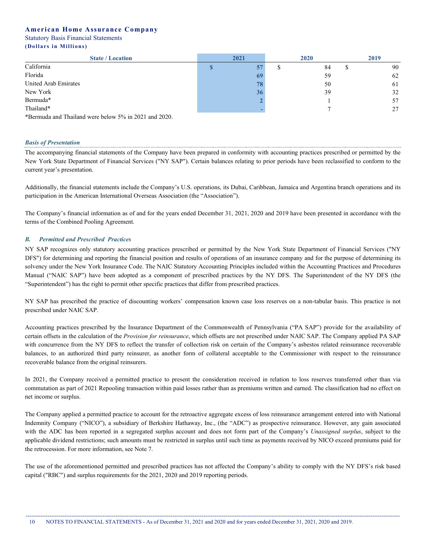| <b>State / Location</b> | 2020<br>2021 |  | 2019 |    |
|-------------------------|--------------|--|------|----|
| California              |              |  | 84   | 90 |
| Florida                 |              |  | 59   | 62 |
| United Arab Emirates    |              |  | 50   | 61 |
| New York                |              |  | 39   | 32 |
| Bermuda*                |              |  |      |    |
| Thailand*               |              |  |      |    |

\*Bermuda and Thailand were below 5% in 2021 and 2020.

#### *Basis of Presentation*

The accompanying financial statements of the Company have been prepared in conformity with accounting practices prescribed or permitted by the New York State Department of Financial Services ("NY SAP"). Certain balances relating to prior periods have been reclassified to conform to the current year's presentation.

Additionally, the financial statements include the Company's U.S. operations, its Dubai, Caribbean, Jamaica and Argentina branch operations and its participation in the American International Overseas Association (the "Association").

The Company's financial information as of and for the years ended December 31, 2021, 2020 and 2019 have been presented in accordance with the terms of the Combined Pooling Agreement.

### *B. Permitted and Prescribed Practices*

NY SAP recognizes only statutory accounting practices prescribed or permitted by the New York State Department of Financial Services ("NY DFS") for determining and reporting the financial position and results of operations of an insurance company and for the purpose of determining its solvency under the New York Insurance Code. The NAIC Statutory Accounting Principles included within the Accounting Practices and Procedures Manual ("NAIC SAP") have been adopted as a component of prescribed practices by the NY DFS. The Superintendent of the NY DFS (the "Superintendent") has the right to permit other specific practices that differ from prescribed practices.

NY SAP has prescribed the practice of discounting workers' compensation known case loss reserves on a non-tabular basis. This practice is not prescribed under NAIC SAP.

Accounting practices prescribed by the Insurance Department of the Commonwealth of Pennsylvania ("PA SAP") provide for the availability of certain offsets in the calculation of the *Provision for reinsurance*, which offsets are not prescribed under NAIC SAP. The Company applied PA SAP with concurrence from the NY DFS to reflect the transfer of collection risk on certain of the Company's asbestos related reinsurance recoverable balances, to an authorized third party reinsurer, as another form of collateral acceptable to the Commissioner with respect to the reinsurance recoverable balance from the original reinsurers.

In 2021, the Company received a permitted practice to present the consideration received in relation to loss reserves transferred other than via commutation as part of 2021 Repooling transaction within paid losses rather than as premiums written and earned. The classification had no effect on net income or surplus.

The Company applied a permitted practice to account for the retroactive aggregate excess of loss reinsurance arrangement entered into with National Indemnity Company ("NICO"), a subsidiary of Berkshire Hathaway, Inc., (the "ADC") as prospective reinsurance. However, any gain associated with the ADC has been reported in a segregated surplus account and does not form part of the Company's *Unassigned surplus*, subject to the applicable dividend restrictions; such amounts must be restricted in surplus until such time as payments received by NICO exceed premiums paid for the retrocession. For more information, see Note 7.

The use of the aforementioned permitted and prescribed practices has not affected the Company's ability to comply with the NY DFS's risk based capital ("RBC") and surplus requirements for the 2021, 2020 and 2019 reporting periods.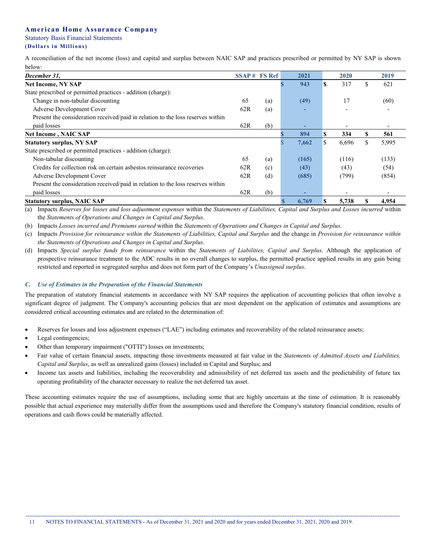A reconciliation of the net income (loss) and capital and surplus between NAIC SAP and practices prescribed or permitted by NY SAP is shown below:

| December 31,                                                                    | SSAP # FS Ref |     | 2021  |    | 2020  |    | 2019  |
|---------------------------------------------------------------------------------|---------------|-----|-------|----|-------|----|-------|
| <b>Net Income, NY SAP</b>                                                       |               |     | 943   | S  | 317   | ъ  | 621   |
| State prescribed or permitted practices - addition (charge):                    |               |     |       |    |       |    |       |
| Change in non-tabular discounting                                               | 65            | (a) | (49)  |    | 17    |    | (60)  |
| Adverse Development Cover                                                       | 62R           | (a) |       |    |       |    |       |
| Present the consideration received/paid in relation to the loss reserves within |               |     |       |    |       |    |       |
| paid losses                                                                     | 62R           | (b) | -     |    |       |    |       |
| <b>Net Income, NAIC SAP</b>                                                     |               |     | 894   | S  | 334   |    | 561   |
| <b>Statutory surplus, NY SAP</b>                                                |               |     | 7,662 | \$ | 6,696 | ъ. | 5,995 |
| State prescribed or permitted practices - addition (charge):                    |               |     |       |    |       |    |       |
| Non-tabular discounting                                                         | 65            | (a) | (165) |    | (116) |    | (133) |
| Credits for collection risk on certain asbestos reinsurance recoveries          | 62R           | (c) | (43)  |    | (43)  |    | (54)  |
| Adverse Development Cover                                                       | 62R           | (d) | (685) |    | (799) |    | (854) |
| Present the consideration received/paid in relation to the loss reserves within |               |     |       |    |       |    |       |
| paid losses                                                                     | 62R           | (b) |       |    |       |    |       |
| <b>Statutory surplus, NAIC SAP</b>                                              |               |     | 6,769 | S  | 5,738 |    | 4,954 |

(a) Impacts Reserves for losses and loss adjustment expenses within the Statements of Liabilities, Capital and Surplus and Losses incurred within the *Statements of Operations and Changes in Capital and Surplus*.

(b) Impacts *Losses incurred and Premiums earned* within the *Statements of Operations and Changes in Capital and Surplus*.

(c) Impacts Provision for reinsurance within the Statements of Liabilities, Capital and Surplus and the change in Provision for reinsurance within *the Statements of Operations and Changes in Capital and Surplus*.

(d) Impacts *Special surplus funds from reinsurance* within the *Statements of Liabilities, Capital and Surplus*. Although the application of prospective reinsurance treatment to the ADC results in no overall changes to surplus, the permitted practice applied results in any gain being restricted and reported in segregated surplus and does not form part of the Company's *Unassigned surplus*.

# *C. Use of Estimates in the Preparation of the Financial Statements*

The preparation of statutory financial statements in accordance with NY SAP requires the application of accounting policies that often involve a significant degree of judgment. The Company's accounting policies that are most dependent on the application of estimates and assumptions are considered critical accounting estimates and are related to the determination of:

- Reserves for losses and loss adjustment expenses ("LAE") including estimates and recoverability of the related reinsurance assets;
- Legal contingencies;
- Other than temporary impairment ("OTTI") losses on investments;
- Fair value of certain financial assets, impacting those investments measured at fair value in the *Statements of Admitted Assets and Liabilities, Capital and Surplus*, as well as unrealized gains (losses) included in Capital and Surplus; and
- Income tax assets and liabilities, including the recoverability and admissibility of net deferred tax assets and the predictability of future tax operating profitability of the character necessary to realize the net deferred tax asset.

These accounting estimates require the use of assumptions, including some that are highly uncertain at the time of estimation. It is reasonably possible that actual experience may materially differ from the assumptions used and therefore the Company's statutory financial condition, results of operations and cash flows could be materially affected.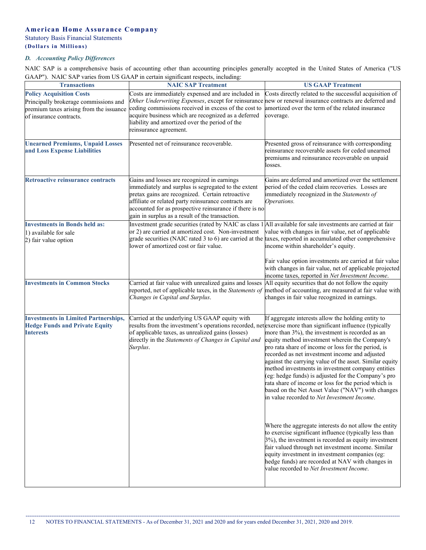# **American Home Assurance Company** Statutory Basis Financial Statements

#### **(Dollars i n Millions)** . . . . . . . . . . . . . . . . . . . .

# *D. Accounting Policy Differences*

NAIC SAP is a comprehensive basis of accounting other than accounting principles generally accepted in the United States of America ("US<br>GAAP"). NAIC SAP varies from US GAAP in certain significant respects including:  $\frac{1}{2}$  in Eqs. (in Tig. GAAP in certain significant respectively).

| <b>Transactions</b>                                                                                                                            | GAAP"). NAIC SAP varies from US GAAP in certain significant respects, including:<br><b>NAIC SAP Treatment</b>                                                                                                                                                                                                                                            | <b>US GAAP Treatment</b>                                                                                                                                                                                                                                                                                                                                                                                                                                                                                                                                                                            |
|------------------------------------------------------------------------------------------------------------------------------------------------|----------------------------------------------------------------------------------------------------------------------------------------------------------------------------------------------------------------------------------------------------------------------------------------------------------------------------------------------------------|-----------------------------------------------------------------------------------------------------------------------------------------------------------------------------------------------------------------------------------------------------------------------------------------------------------------------------------------------------------------------------------------------------------------------------------------------------------------------------------------------------------------------------------------------------------------------------------------------------|
| <b>Policy Acquisition Costs</b><br>Principally brokerage commissions and<br>premium taxes arising from the issuance<br>of insurance contracts. | Costs are immediately expensed and are included in<br>Other Underwriting Expenses, except for reinsurance new or renewal insurance contracts are deferred and<br>ceding commissions received in excess of the cost to<br>acquire business which are recognized as a deferred<br>liability and amortized over the period of the<br>reinsurance agreement. | Costs directly related to the successful acquisition of<br>amortized over the term of the related insurance<br>coverage.                                                                                                                                                                                                                                                                                                                                                                                                                                                                            |
| <b>Unearned Premiums, Unpaid Losses</b><br>and Loss Expense Liabilities                                                                        | Presented net of reinsurance recoverable.                                                                                                                                                                                                                                                                                                                | Presented gross of reinsurance with corresponding<br>reinsurance recoverable assets for ceded unearned<br>premiums and reinsurance recoverable on unpaid<br>losses.                                                                                                                                                                                                                                                                                                                                                                                                                                 |
| Retroactive reinsurance contracts                                                                                                              | Gains and losses are recognized in earnings<br>immediately and surplus is segregated to the extent<br>pretax gains are recognized. Certain retroactive<br>affiliate or related party reinsurance contracts are<br>accounted for as prospective reinsurance if there is no<br>gain in surplus as a result of the transaction.                             | Gains are deferred and amortized over the settlement<br>period of the ceded claim recoveries. Losses are<br>immediately recognized in the Statements of<br>Operations.                                                                                                                                                                                                                                                                                                                                                                                                                              |
| <b>Investments in Bonds held as:</b><br>1) available for sale<br>2) fair value option                                                          | Investment grade securities (rated by NAIC as class 1 All available for sale investments are carried at fair<br>or 2) are carried at amortized cost. Non-investment<br>grade securities (NAIC rated 3 to 6) are carried at the taxes, reported in accumulated other comprehensive<br>lower of amortized cost or fair value.                              | value with changes in fair value, net of applicable<br>income within shareholder's equity.<br>Fair value option investments are carried at fair value<br>with changes in fair value, net of applicable projected                                                                                                                                                                                                                                                                                                                                                                                    |
| <b>Investments in Common Stocks</b>                                                                                                            | Carried at fair value with unrealized gains and losses<br>reported, net of applicable taxes, in the Statements of<br>Changes in Capital and Surplus.                                                                                                                                                                                                     | income taxes, reported in Net Investment Income.<br>All equity securities that do not follow the equity<br>method of accounting, are measured at fair value with<br>changes in fair value recognized in earnings.                                                                                                                                                                                                                                                                                                                                                                                   |
| <b>Investments in Limited Partnerships,</b><br><b>Hedge Funds and Private Equity</b><br><b>Interests</b>                                       | Carried at the underlying US GAAP equity with<br>results from the investment's operations recorded, net exercise more than significant influence (typically<br>of applicable taxes, as unrealized gains (losses)<br>directly in the Statements of Changes in Capital and<br>Surplus.                                                                     | If aggregate interests allow the holding entity to<br>more than 3%), the investment is recorded as an<br>equity method investment wherein the Company's<br>pro rata share of income or loss for the period, is<br>recorded as net investment income and adjusted<br>against the carrying value of the asset. Similar equity<br>method investments in investment company entities<br>(eg: hedge funds) is adjusted for the Company's pro<br>rata share of income or loss for the period which is<br>based on the Net Asset Value ("NAV") with changes<br>in value recorded to Net Investment Income. |
|                                                                                                                                                |                                                                                                                                                                                                                                                                                                                                                          | Where the aggregate interests do not allow the entity<br>to exercise significant influence (typically less than<br>3%), the investment is recorded as equity investment<br>fair valued through net investment income. Similar<br>equity investment in investment companies (eg:<br>hedge funds) are recorded at NAV with changes in<br>value recorded to Net Investment Income.                                                                                                                                                                                                                     |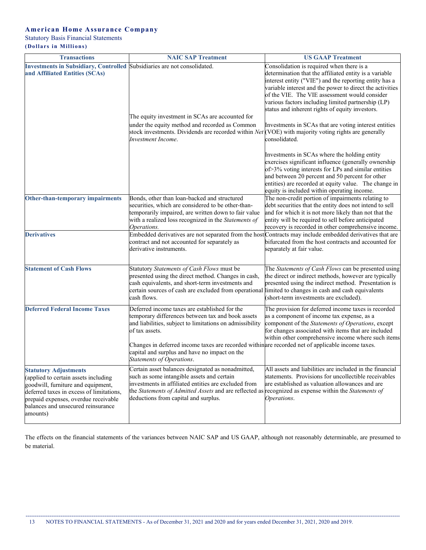# **American Home Assurance Company**

Statutory Basis Financial Statements

**(Dollars i n Millions)**

| <b>Transactions</b>                                                                                                                                                                                                                              | <b>NAIC SAP Treatment</b>                                                                                                                                                                                                                                                                                | <b>US GAAP Treatment</b>                                                                                                                                                                                                                                                                                                                                                                        |
|--------------------------------------------------------------------------------------------------------------------------------------------------------------------------------------------------------------------------------------------------|----------------------------------------------------------------------------------------------------------------------------------------------------------------------------------------------------------------------------------------------------------------------------------------------------------|-------------------------------------------------------------------------------------------------------------------------------------------------------------------------------------------------------------------------------------------------------------------------------------------------------------------------------------------------------------------------------------------------|
| Investments in Subsidiary, Controlled Subsidiaries are not consolidated.                                                                                                                                                                         |                                                                                                                                                                                                                                                                                                          | Consolidation is required when there is a                                                                                                                                                                                                                                                                                                                                                       |
| and Affiliated Entities (SCAs)                                                                                                                                                                                                                   | The equity investment in SCAs are accounted for<br>under the equity method and recorded as Common                                                                                                                                                                                                        | determination that the affiliated entity is a variable<br>interest entity ("VIE") and the reporting entity has a<br>variable interest and the power to direct the activities<br>of the VIE. The VIE assessment would consider<br>various factors including limited partnership (LP)<br>status and inherent rights of equity investors.<br>Investments in SCAs that are voting interest entities |
|                                                                                                                                                                                                                                                  | stock investments. Dividends are recorded within Net (VOE) with majority voting rights are generally<br><b>Investment Income.</b>                                                                                                                                                                        | consolidated.                                                                                                                                                                                                                                                                                                                                                                                   |
|                                                                                                                                                                                                                                                  |                                                                                                                                                                                                                                                                                                          | Investments in SCAs where the holding entity<br>exercises significant influence (generally ownership<br>of > 3% voting interests for LPs and similar entities<br>and between 20 percent and 50 percent for other<br>entities) are recorded at equity value. The change in<br>equity is included within operating income.                                                                        |
| <b>Other-than-temporary impairments</b>                                                                                                                                                                                                          | Bonds, other than loan-backed and structured<br>securities, which are considered to be other-than-<br>temporarily impaired, are written down to fair value<br>with a realized loss recognized in the Statements of<br>Operations.                                                                        | The non-credit portion of impairments relating to<br>debt securities that the entity does not intend to sell<br>and for which it is not more likely than not that the<br>entity will be required to sell before anticipated<br>recovery is recorded in other comprehensive income.                                                                                                              |
| <b>Derivatives</b>                                                                                                                                                                                                                               | Embedded derivatives are not separated from the host Contracts may include embedded derivatives that are<br>contract and not accounted for separately as<br>derivative instruments.                                                                                                                      | bifurcated from the host contracts and accounted for<br>separately at fair value.                                                                                                                                                                                                                                                                                                               |
| <b>Statement of Cash Flows</b>                                                                                                                                                                                                                   | Statutory Statements of Cash Flows must be<br>presented using the direct method. Changes in cash,<br>cash equivalents, and short-term investments and<br>certain sources of cash are excluded from operational<br>cash flows.                                                                            | The Statements of Cash Flows can be presented using<br>the direct or indirect methods, however are typically<br>presented using the indirect method. Presentation is<br>limited to changes in cash and cash equivalents<br>(short-term investments are excluded).                                                                                                                               |
| <b>Deferred Federal Income Taxes</b>                                                                                                                                                                                                             | Deferred income taxes are established for the<br>temporary differences between tax and book assets<br>and liabilities, subject to limitations on admissibility<br>of tax assets.<br>Changes in deferred income taxes are recorded within are recorded net of applicable income taxes.                    | The provision for deferred income taxes is recorded<br>as a component of income tax expense, as a<br>component of the Statements of Operations, except<br>for changes associated with items that are included<br>within other comprehensive income where such items                                                                                                                             |
|                                                                                                                                                                                                                                                  | capital and surplus and have no impact on the<br>Statements of Operations.                                                                                                                                                                                                                               |                                                                                                                                                                                                                                                                                                                                                                                                 |
| <b>Statutory Adjustments</b><br>(applied to certain assets including<br>goodwill, furniture and equipment,<br>deferred taxes in excess of limitations,<br>prepaid expenses, overdue receivable<br>balances and unsecured reinsurance<br>amounts) | Certain asset balances designated as nonadmitted,<br>such as some intangible assets and certain<br>investments in affiliated entities are excluded from<br>the Statements of Admitted Assets and are reflected as recognized as expense within the Statements of<br>deductions from capital and surplus. | All assets and liabilities are included in the financial<br>statements. Provisions for uncollectible receivables<br>are established as valuation allowances and are<br>Operations.                                                                                                                                                                                                              |

The effects on the financial statements of the variances between NAIC SAP and US GAAP, although not reasonably determinable, are presumed to be material.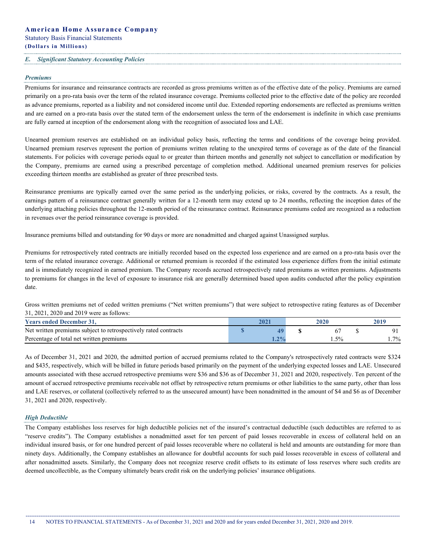### *E. Significant Statutory Accounting Policies*

#### *Premiums*

Premiums for insurance and reinsurance contracts are recorded as gross premiums written as of the effective date of the policy. Premiums are earned primarily on a pro-rata basis over the term of the related insurance coverage. Premiums collected prior to the effective date of the policy are recorded as advance premiums, reported as a liability and not considered income until due. Extended reporting endorsements are reflected as premiums written and are earned on a pro-rata basis over the stated term of the endorsement unless the term of the endorsement is indefinite in which case premiums are fully earned at inception of the endorsement along with the recognition of associated loss and LAE.

Unearned premium reserves are established on an individual policy basis, reflecting the terms and conditions of the coverage being provided. Unearned premium reserves represent the portion of premiums written relating to the unexpired terms of coverage as of the date of the financial statements. For policies with coverage periods equal to or greater than thirteen months and generally not subject to cancellation or modification by the Company, premiums are earned using a prescribed percentage of completion method. Additional unearned premium reserves for policies exceeding thirteen months are established as greater of three prescribed tests.

Reinsurance premiums are typically earned over the same period as the underlying policies, or risks, covered by the contracts. As a result, the earnings pattern of a reinsurance contract generally written for a 12-month term may extend up to 24 months, reflecting the inception dates of the underlying attaching policies throughout the 12-month period of the reinsurance contract. Reinsurance premiums ceded are recognized as a reduction in revenues over the period reinsurance coverage is provided.

Insurance premiums billed and outstanding for 90 days or more are nonadmitted and charged against Unassigned surplus.

Premiums for retrospectively rated contracts are initially recorded based on the expected loss experience and are earned on a pro-rata basis over the term of the related insurance coverage. Additional or returned premium is recorded if the estimated loss experience differs from the initial estimate and is immediately recognized in earned premium. The Company records accrued retrospectively rated premiums as written premiums. Adjustments to premiums for changes in the level of exposure to insurance risk are generally determined based upon audits conducted after the policy expiration date.

Gross written premiums net of ceded written premiums ("Net written premiums") that were subject to retrospective rating features as of December 31, 2021, 2020 and 2019 were as follows:

| <b>Years ended December 31.</b>                                 |                 |  | 2010  |
|-----------------------------------------------------------------|-----------------|--|-------|
| Net written premiums subject to retrospectively rated contracts |                 |  |       |
| Percentage of total net written premiums                        | 20 <sub>1</sub> |  | $7\%$ |

As of December 31, 2021 and 2020, the admitted portion of accrued premiums related to the Company's retrospectively rated contracts were \$324 and \$435, respectively, which will be billed in future periods based primarily on the payment of the underlying expected losses and LAE. Unsecured amounts associated with these accrued retrospective premiums were \$36 and \$36 as of December 31, 2021 and 2020, respectively. Ten percent of the amount of accrued retrospective premiums receivable not offset by retrospective return premiums or other liabilities to the same party, other than loss and LAE reserves, or collateral (collectively referred to as the unsecured amount) have been nonadmitted in the amount of \$4 and \$6 as of December 31, 2021 and 2020, respectively.

#### *High Deductible*

The Company establishes loss reserves for high deductible policies net of the insured's contractual deductible (such deductibles are referred to as "reserve credits"). The Company establishes a nonadmitted asset for ten percent of paid losses recoverable in excess of collateral held on an individual insured basis, or for one hundred percent of paid losses recoverable where no collateral is held and amounts are outstanding for more than ninety days. Additionally, the Company establishes an allowance for doubtful accounts for such paid losses recoverable in excess of collateral and after nonadmitted assets. Similarly, the Company does not recognize reserve credit offsets to its estimate of loss reserves where such credits are deemed uncollectible, as the Company ultimately bears credit risk on the underlying policies' insurance obligations.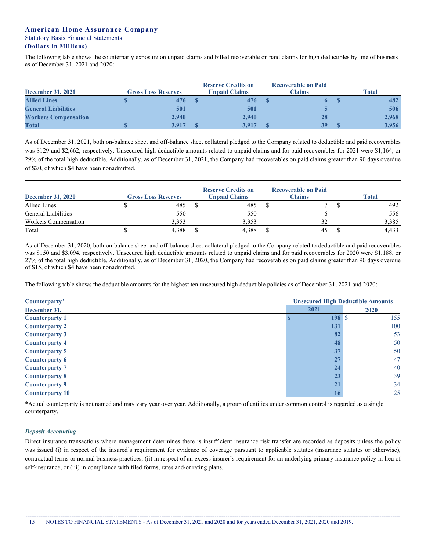The following table shows the counterparty exposure on unpaid claims and billed recoverable on paid claims for high deductibles by line of business as of December 31, 2021 and 2020:

| <b>December 31, 2021</b>    | <b>Gross Loss Reserves</b> | <b>Reserve Credits on</b><br><b>Unpaid Claims</b> | <b>Recoverable on Paid</b><br><b>Claims</b> | <b>Total</b> |
|-----------------------------|----------------------------|---------------------------------------------------|---------------------------------------------|--------------|
| <b>Allied Lines</b>         | 476                        | 476                                               | 6 <sup>7</sup>                              | 482          |
| <b>General Liabilities</b>  | 501                        | 501                                               |                                             | 506          |
| <b>Workers Compensation</b> | 2.940                      | 2.940                                             | 28                                          | 2,968        |
| <b>Total</b>                | 3.917                      | 3.917                                             | 39                                          | 3,956        |

As of December 31, 2021, both on-balance sheet and off-balance sheet collateral pledged to the Company related to deductible and paid recoverables was \$129 and \$2,662, respectively. Unsecured high deductible amounts related to unpaid claims and for paid recoverables for 2021 were \$1,164, or 29% of the total high deductible. Additionally, as of December 31, 2021, the Company had recoverables on paid claims greater than 90 days overdue of \$20, of which \$4 have been nonadmitted.

| <b>December 31, 2020</b> | <b>Gross Loss Reserves</b> | <b>Reserve Credits on</b><br><b>Unpaid Claims</b> | <b>Recoverable on Paid</b><br><b>Claims</b> | <b>Total</b> |
|--------------------------|----------------------------|---------------------------------------------------|---------------------------------------------|--------------|
| Allied Lines             | 485                        | 485                                               |                                             | 492          |
| General Liabilities      | 550                        | 550                                               |                                             | 556          |
| Workers Compensation     | 3,353                      | 3.353                                             |                                             | 3,385        |
| Total                    | 4,388                      | 4,388                                             | 45                                          | 4.433        |

As of December 31, 2020, both on-balance sheet and off-balance sheet collateral pledged to the Company related to deductible and paid recoverables was \$150 and \$3,094, respectively. Unsecured high deductible amounts related to unpaid claims and for paid recoverables for 2020 were \$1,188, or 27% of the total high deductible. Additionally, as of December 31, 2020, the Company had recoverables on paid claims greater than 90 days overdue of \$15, of which \$4 have been nonadmitted.

The following table shows the deductible amounts for the highest ten unsecured high deductible policies as of December 31, 2021 and 2020:

| <b>Unsecured High Deductible Amounts</b><br>$Counterparty*$ |           |      |  |  |  |
|-------------------------------------------------------------|-----------|------|--|--|--|
| December 31,                                                | 2021      | 2020 |  |  |  |
| <b>Counterparty 1</b>                                       | $198$ \ S | 155  |  |  |  |
| <b>Counterparty 2</b>                                       | 131       | 100  |  |  |  |
| <b>Counterparty 3</b>                                       | 82        | 53   |  |  |  |
| <b>Counterparty 4</b>                                       | 48        | 50   |  |  |  |
| <b>Counterparty 5</b>                                       | 37        | 50   |  |  |  |
| <b>Counterparty 6</b>                                       | 27        | 47   |  |  |  |
| <b>Counterparty 7</b>                                       | 24        | 40   |  |  |  |
| <b>Counterparty 8</b>                                       | 23        | 39   |  |  |  |
| <b>Counterparty 9</b>                                       | 21        | 34   |  |  |  |
| <b>Counterparty 10</b>                                      | 16        | 25   |  |  |  |

\*Actual counterparty is not named and may vary year over year. Additionally, a group of entities under common control is regarded as a single counterparty.

### *Deposit Accounting*

Direct insurance transactions where management determines there is insufficient insurance risk transfer are recorded as deposits unless the policy was issued (i) in respect of the insured's requirement for evidence of coverage pursuant to applicable statutes (insurance statutes or otherwise), contractual terms or normal business practices, (ii) in respect of an excess insurer's requirement for an underlying primary insurance policy in lieu of self-insurance, or (iii) in compliance with filed forms, rates and/or rating plans.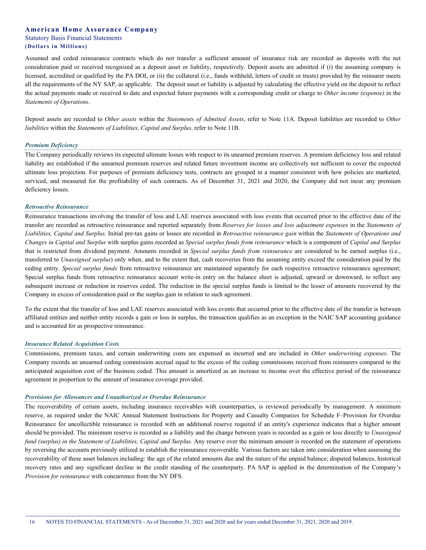Assumed and ceded reinsurance contracts which do not transfer a sufficient amount of insurance risk are recorded as deposits with the net consideration paid or received recognized as a deposit asset or liability, respectively. Deposit assets are admitted if (i) the assuming company is licensed, accredited or qualified by the PA DOI, or (ii) the collateral (i.e., funds withheld, letters of credit or trusts) provided by the reinsurer meets all the requirements of the NY SAP, as applicable. The deposit asset or liability is adjusted by calculating the effective yield on the deposit to reflect the actual payments made or received to date and expected future payments with a corresponding credit or charge to *Other income (expense)* in the *Statements of Operations*.

Deposit assets are recorded to *Other assets* within the *Statements of Admitted Assets*, refer to Note 11A. Deposit liabilities are recorded to *Other liabilities* within the *Statements of Liabilities, Capital and Surplus*, refer to Note 11B.

#### *Premium Deficiency*

The Company periodically reviews its expected ultimate losses with respect to its unearned premium reserves. A premium deficiency loss and related liability are established if the unearned premium reserves and related future investment income are collectively not sufficient to cover the expected ultimate loss projection. For purposes of premium deficiency tests, contracts are grouped in a manner consistent with how policies are marketed, serviced, and measured for the profitability of such contracts. As of December 31, 2021 and 2020, the Company did not incur any premium deficiency losses.

#### *Retroactive Reinsurance*

Reinsurance transactions involving the transfer of loss and LAE reserves associated with loss events that occurred prior to the effective date of the transfer are recorded as retroactive reinsurance and reported separately from *Reserves for losses and loss adjustment expenses* in the *Statements of* Liabilities, Capital and Surplus. Initial pre-tax gains or losses are recorded in Retroactive reinsurance gain within the Statements of Operations and Changes in Capital and Surplus with surplus gains recorded as Special surplus funds from reinsurance which is a component of Capital and Surplus that is restricted from dividend payment. Amounts recorded in *Special surplus funds from reinsurance* are considered to be earned surplus (i.e., transferred to *Unassigned surplus*) only when, and to the extent that, cash recoveries from the assuming entity exceed the consideration paid by the ceding entity. *Special surplus funds* from retroactive reinsurance are maintained separately for each respective retroactive reinsurance agreement; Special surplus funds from retroactive reinsurance account write-in entry on the balance sheet is adjusted, upward or downward, to reflect any subsequent increase or reduction in reserves ceded. The reduction in the special surplus funds is limited to the lesser of amounts recovered by the Company in excess of consideration paid or the surplus gain in relation to such agreement.

To the extent that the transfer of loss and LAE reserves associated with loss events that occurred prior to the effective date of the transfer is between affiliated entities and neither entity records a gain or loss in surplus, the transaction qualifies as an exception in the NAIC SAP accounting guidance and is accounted for as prospective reinsurance.

#### *Insurance Related Acquisition Costs*

Commissions, premium taxes, and certain underwriting costs are expensed as incurred and are included in *Other underwriting expenses*. The Company records an unearned ceding commission accrual equal to the excess of the ceding commissions received from reinsurers compared to the anticipated acquisition cost of the business ceded. This amount is amortized as an increase to income over the effective period of the reinsurance agreement in proportion to the amount of insurance coverage provided.

#### *Provisions for Allowances and Unauthorized or Overdue Reinsurance*

The recoverability of certain assets, including insurance receivables with counterparties, is reviewed periodically by management. A minimum reserve, as required under the NAIC Annual Statement Instructions for Property and Casualty Companies for Schedule F–Provision for Overdue Reinsurance for uncollectible reinsurance is recorded with an additional reserve required if an entity's experience indicates that a higher amount should be provided. The minimum reserve is recorded as a liability and the change between years is recorded as a gain or loss directly to *Unassigned fund (surplus) in the Statement of Liabilities, Capital and Surplus.* Any reserve over the minimum amount is recorded on the statement of operations by reversing the accounts previously utilized to establish the reinsurance recoverable. Various factors are taken into consideration when assessing the recoverability of these asset balances including: the age of the related amounts due and the nature of the unpaid balance; disputed balances, historical recovery rates and any significant decline in the credit standing of the counterparty. PA SAP is applied in the determination of the Company's *Provision for reinsurance* with concurrence from the NY DFS.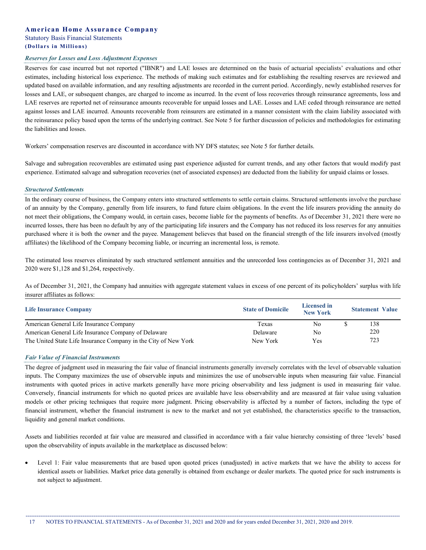#### *Reserves for Losses and Loss Adjustment Expenses*

Reserves for case incurred but not reported ("IBNR") and LAE losses are determined on the basis of actuarial specialists' evaluations and other estimates, including historical loss experience. The methods of making such estimates and for establishing the resulting reserves are reviewed and updated based on available information, and any resulting adjustments are recorded in the current period. Accordingly, newly established reserves for losses and LAE, or subsequent changes, are charged to income as incurred. In the event of loss recoveries through reinsurance agreements, loss and LAE reserves are reported net of reinsurance amounts recoverable for unpaid losses and LAE. Losses and LAE ceded through reinsurance are netted against losses and LAE incurred. Amounts recoverable from reinsurers are estimated in a manner consistent with the claim liability associated with the reinsurance policy based upon the terms of the underlying contract. See Note 5 for further discussion of policies and methodologies for estimating the liabilities and losses.

Workers' compensation reserves are discounted in accordance with NY DFS statutes; see Note 5 for further details.

Salvage and subrogation recoverables are estimated using past experience adjusted for current trends, and any other factors that would modify past experience. Estimated salvage and subrogation recoveries (net of associated expenses) are deducted from the liability for unpaid claims or losses.

#### *Structured Settlements*

In the ordinary course of business, the Company enters into structured settlements to settle certain claims. Structured settlements involve the purchase of an annuity by the Company, generally from life insurers, to fund future claim obligations. In the event the life insurers providing the annuity do not meet their obligations, the Company would, in certain cases, become liable for the payments of benefits. As of December 31, 2021 there were no incurred losses, there has been no default by any of the participating life insurers and the Company has not reduced its loss reserves for any annuities purchased where it is both the owner and the payee. Management believes that based on the financial strength of the life insurers involved (mostly affiliates) the likelihood of the Company becoming liable, or incurring an incremental loss, is remote.

The estimated loss reserves eliminated by such structured settlement annuities and the unrecorded loss contingencies as of December 31, 2021 and 2020 were \$1,128 and \$1,264, respectively.

As of December 31, 2021, the Company had annuities with aggregate statement values in excess of one percent of its policyholders' surplus with life insurer affiliates as follows:

| <b>Life Insurance Company</b>                                   | <b>State of Domicile</b> |     | <b>Statement Value</b> |
|-----------------------------------------------------------------|--------------------------|-----|------------------------|
| American General Life Insurance Company                         | Texas                    | No  | 138                    |
| American General Life Insurance Company of Delaware             | Delaware                 | No  | 220                    |
| The United State Life Insurance Company in the City of New York | New York                 | Yes | 723                    |

### *Fair Value of Financial Instruments*

The degree of judgment used in measuring the fair value of financial instruments generally inversely correlates with the level of observable valuation inputs. The Company maximizes the use of observable inputs and minimizes the use of unobservable inputs when measuring fair value. Financial instruments with quoted prices in active markets generally have more pricing observability and less judgment is used in measuring fair value. Conversely, financial instruments for which no quoted prices are available have less observability and are measured at fair value using valuation models or other pricing techniques that require more judgment. Pricing observability is affected by a number of factors, including the type of financial instrument, whether the financial instrument is new to the market and not yet established, the characteristics specific to the transaction, liquidity and general market conditions.

Assets and liabilities recorded at fair value are measured and classified in accordance with a fair value hierarchy consisting of three 'levels' based upon the observability of inputs available in the marketplace as discussed below:

Level 1: Fair value measurements that are based upon quoted prices (unadjusted) in active markets that we have the ability to access for identical assets or liabilities. Market price data generally is obtained from exchange or dealer markets. The quoted price for such instruments is not subject to adjustment.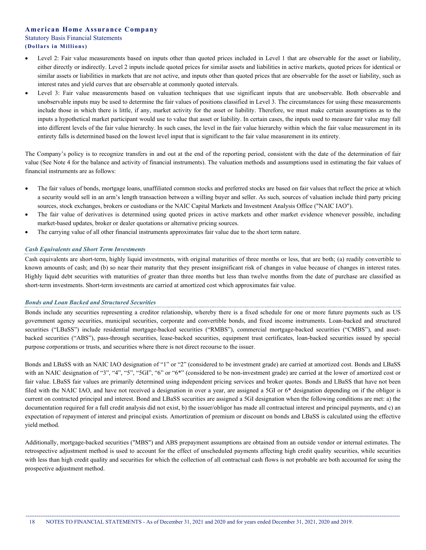- Level 2: Fair value measurements based on inputs other than quoted prices included in Level 1 that are observable for the asset or liability, either directly or indirectly. Level 2 inputs include quoted prices for similar assets and liabilities in active markets, quoted prices for identical or similar assets or liabilities in markets that are not active, and inputs other than quoted prices that are observable for the asset or liability, such as interest rates and yield curves that are observable at commonly quoted intervals.
- Level 3: Fair value measurements based on valuation techniques that use significant inputs that are unobservable. Both observable and unobservable inputs may be used to determine the fair values of positions classified in Level 3. The circumstances for using these measurements include those in which there is little, if any, market activity for the asset or liability. Therefore, we must make certain assumptions as to the inputs a hypothetical market participant would use to value that asset or liability. In certain cases, the inputs used to measure fair value may fall into different levels of the fair value hierarchy. In such cases, the level in the fair value hierarchy within which the fair value measurement in its entirety falls is determined based on the lowest level input that is significant to the fair value measurement in its entirety.

The Company's policy is to recognize transfers in and out at the end of the reporting period, consistent with the date of the determination of fair value (See Note 4 for the balance and activity of financial instruments). The valuation methods and assumptions used in estimating the fair values of financial instruments are as follows:

- The fair values of bonds, mortgage loans, unaffiliated common stocks and preferred stocks are based on fair values that reflect the price at which a security would sell in an arm's length transaction between a willing buyer and seller. As such, sources of valuation include third party pricing sources, stock exchanges, brokers or custodians or the NAIC Capital Markets and Investment Analysis Office ("NAIC IAO").
- The fair value of derivatives is determined using quoted prices in active markets and other market evidence whenever possible, including market-based updates, broker or dealer quotations or alternative pricing sources.
- The carrying value of all other financial instruments approximates fair value due to the short term nature.

### *Cash Equivalents and Short Term Investments*

Cash equivalents are short-term, highly liquid investments, with original maturities of three months or less, that are both; (a) readily convertible to known amounts of cash; and (b) so near their maturity that they present insignificant risk of changes in value because of changes in interest rates. Highly liquid debt securities with maturities of greater than three months but less than twelve months from the date of purchase are classified as short-term investments. Short-term investments are carried at amortized cost which approximates fair value.

### *Bonds and Loan Backed and Structured Securities*

Bonds include any securities representing a creditor relationship, whereby there is a fixed schedule for one or more future payments such as US government agency securities, municipal securities, corporate and convertible bonds, and fixed income instruments. Loan-backed and structured securities ("LBaSS") include residential mortgage-backed securities ("RMBS"), commercial mortgage-backed securities ("CMBS"), and assetbacked securities ("ABS"), pass-through securities, lease-backed securities, equipment trust certificates, loan-backed securities issued by special purpose corporations or trusts, and securities where there is not direct recourse to the issuer.

Bonds and LBaSS with an NAIC IAO designation of "1" or "2" (considered to be investment grade) are carried at amortized cost. Bonds and LBaSS with an NAIC designation of "3", "4", "5", "5GI", "6" or "6\*" (considered to be non-investment grade) are carried at the lower of amortized cost or fair value. LBaSS fair values are primarily determined using independent pricing services and broker quotes. Bonds and LBaSS that have not been filed with the NAIC IAO, and have not received a designation in over a year, are assigned a 5GI or 6\* designation depending on if the obligor is current on contracted principal and interest. Bond and LBaSS securities are assigned a 5GI designation when the following conditions are met: a) the documentation required for a full credit analysis did not exist, b) the issuer/obligor has made all contractual interest and principal payments, and c) an expectation of repayment of interest and principal exists. Amortization of premium or discount on bonds and LBaSS is calculated using the effective yield method.

Additionally, mortgage-backed securities ("MBS") and ABS prepayment assumptions are obtained from an outside vendor or internal estimates. The retrospective adjustment method is used to account for the effect of unscheduled payments affecting high credit quality securities, while securities with less than high credit quality and securities for which the collection of all contractual cash flows is not probable are both accounted for using the prospective adjustment method.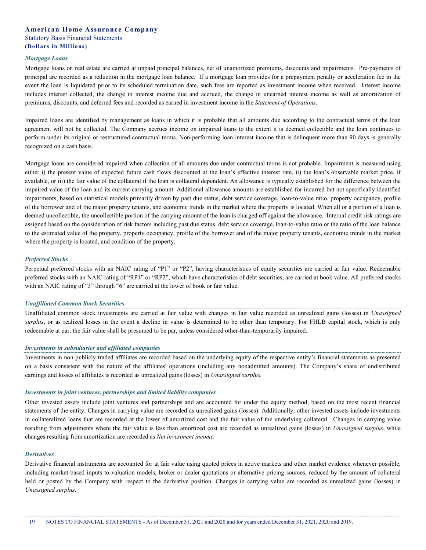#### *Mortgage Loans*

Mortgage loans on real estate are carried at unpaid principal balances, net of unamortized premiums, discounts and impairments. Pre-payments of principal are recorded as a reduction in the mortgage loan balance. If a mortgage loan provides for a prepayment penalty or acceleration fee in the event the loan is liquidated prior to its scheduled termination date, such fees are reported as investment income when received. Interest income includes interest collected, the change in interest income due and accrued, the change in unearned interest income as well as amortization of premiums, discounts, and deferred fees and recorded as earned in investment income in the *Statement of Operations*.

Impaired loans are identified by management as loans in which it is probable that all amounts due according to the contractual terms of the loan agreement will not be collected. The Company accrues income on impaired loans to the extent it is deemed collectible and the loan continues to perform under its original or restructured contractual terms. Non-performing loan interest income that is delinquent more than 90 days is generally recognized on a cash basis.

Mortgage loans are considered impaired when collection of all amounts due under contractual terms is not probable. Impairment is measured using either i) the present value of expected future cash flows discounted at the loan's effective interest rate, ii) the loan's observable market price, if available, or iii) the fair value of the collateral if the loan is collateral dependent. An allowance is typically established for the difference between the impaired value of the loan and its current carrying amount. Additional allowance amounts are established for incurred but not specifically identified impairments, based on statistical models primarily driven by past due status, debt service coverage, loan-to-value ratio, property occupancy, profile of the borrower and of the major property tenants, and economic trends in the market where the property is located. When all or a portion of a loan is deemed uncollectible, the uncollectible portion of the carrying amount of the loan is charged off against the allowance. Internal credit risk ratings are assigned based on the consideration of risk factors including past due status, debt service coverage, loan-to-value ratio or the ratio of the loan balance to the estimated value of the property, property occupancy, profile of the borrower and of the major property tenants, economic trends in the market where the property is located, and condition of the property.

#### *Preferred Stocks*

Perpetual preferred stocks with an NAIC rating of "P1" or "P2", having characteristics of equity securities are carried at fair value. Redeemable preferred stocks with an NAIC rating of "RP1" or "RP2", which have characteristics of debt securities, are carried at book value. All preferred stocks with an NAIC rating of "3" through "6" are carried at the lower of book or fair value.

#### *Unaffiliated Common Stock Securities*

Unaffiliated common stock investments are carried at fair value with changes in fair value recorded as unrealized gains (losses) in *Unassigned surplus*, or as realized losses in the event a decline in value is determined to be other than temporary. For FHLB capital stock, which is only redeemable at par, the fair value shall be presumed to be par, unless considered other-than-temporarily impaired.

#### *Investments in subsidiaries and affiliated companies*

Investments in non-publicly traded affiliates are recorded based on the underlying equity of the respective entity's financial statements as presented on a basis consistent with the nature of the affiliates' operations (including any nonadmitted amounts). The Company's share of undistributed earnings and losses of affiliates is recorded as unrealized gains (losses) in *Unassigned surplus.*

#### *Investments in joint ventures, partnerships and limited liability companies*

Other invested assets include joint ventures and partnerships and are accounted for under the equity method, based on the most recent financial statements of the entity. Changes in carrying value are recorded as unrealized gains (losses). Additionally, other invested assets include investments in collateralized loans that are recorded at the lower of amortized cost and the fair value of the underlying collateral. Changes in carrying value resulting from adjustments where the fair value is less than amortized cost are recorded as unrealized gains (losses) in *Unassigned surplus*, while changes resulting from amortization are recorded as *Net investment income.*

#### *Derivatives*

Derivative financial instruments are accounted for at fair value using quoted prices in active markets and other market evidence whenever possible, including market-based inputs to valuation models, broker or dealer quotations or alternative pricing sources, reduced by the amount of collateral held or posted by the Company with respect to the derivative position. Changes in carrying value are recorded as unrealized gains (losses) in *Unassigned surplus*.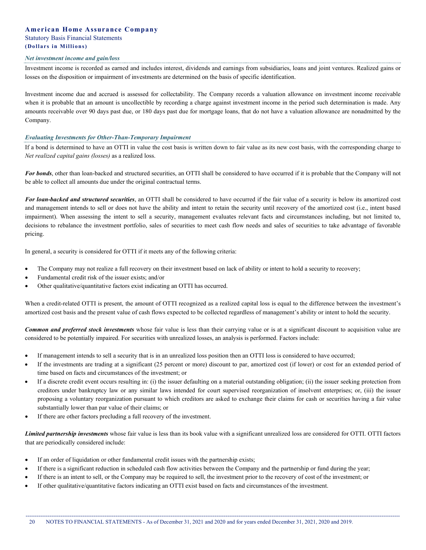#### *Net investment income and gain/loss*

Investment income is recorded as earned and includes interest, dividends and earnings from subsidiaries, loans and joint ventures. Realized gains or losses on the disposition or impairment of investments are determined on the basis of specific identification.

Investment income due and accrued is assessed for collectability. The Company records a valuation allowance on investment income receivable when it is probable that an amount is uncollectible by recording a charge against investment income in the period such determination is made. Any amounts receivable over 90 days past due, or 180 days past due for mortgage loans, that do not have a valuation allowance are nonadmitted by the Company.

#### *Evaluating Investments for Other-Than-Temporary Impairment*

If a bond is determined to have an OTTI in value the cost basis is written down to fair value as its new cost basis, with the corresponding charge to *Net realized capital gains (losses)* as a realized loss.

*For bonds*, other than loan-backed and structured securities, an OTTI shall be considered to have occurred if it is probable that the Company will not be able to collect all amounts due under the original contractual terms.

*For loan-backed and structured securities*, an OTTI shall be considered to have occurred if the fair value of a security is below its amortized cost and management intends to sell or does not have the ability and intent to retain the security until recovery of the amortized cost (i.e., intent based impairment). When assessing the intent to sell a security, management evaluates relevant facts and circumstances including, but not limited to, decisions to rebalance the investment portfolio, sales of securities to meet cash flow needs and sales of securities to take advantage of favorable pricing.

In general, a security is considered for OTTI if it meets any of the following criteria:

- The Company may not realize a full recovery on their investment based on lack of ability or intent to hold a security to recovery;
- Fundamental credit risk of the issuer exists; and/or
- Other qualitative/quantitative factors exist indicating an OTTI has occurred.

When a credit-related OTTI is present, the amount of OTTI recognized as a realized capital loss is equal to the difference between the investment's amortized cost basis and the present value of cash flows expected to be collected regardless of management's ability or intent to hold the security.

*Common and preferred stock investments* whose fair value is less than their carrying value or is at a significant discount to acquisition value are considered to be potentially impaired. For securities with unrealized losses, an analysis is performed. Factors include:

- If management intends to sell a security that is in an unrealized loss position then an OTTI loss is considered to have occurred;
- If the investments are trading at a significant (25 percent or more) discount to par, amortized cost (if lower) or cost for an extended period of time based on facts and circumstances of the investment; or
- If a discrete credit event occurs resulting in: (i) the issuer defaulting on a material outstanding obligation; (ii) the issuer seeking protection from creditors under bankruptcy law or any similar laws intended for court supervised reorganization of insolvent enterprises; or, (iii) the issuer proposing a voluntary reorganization pursuant to which creditors are asked to exchange their claims for cash or securities having a fair value substantially lower than par value of their claims; or
- If there are other factors precluding a full recovery of the investment.

*Limited partnership investments* whose fair value is less than its book value with a significant unrealized loss are considered for OTTI. OTTI factors that are periodically considered include:

- If an order of liquidation or other fundamental credit issues with the partnership exists;
- If there is a significant reduction in scheduled cash flow activities between the Company and the partnership or fund during the year;
- If there is an intent to sell, or the Company may be required to sell, the investment prior to the recovery of cost of the investment; or
- If other qualitative/quantitative factors indicating an OTTI exist based on facts and circumstances of the investment.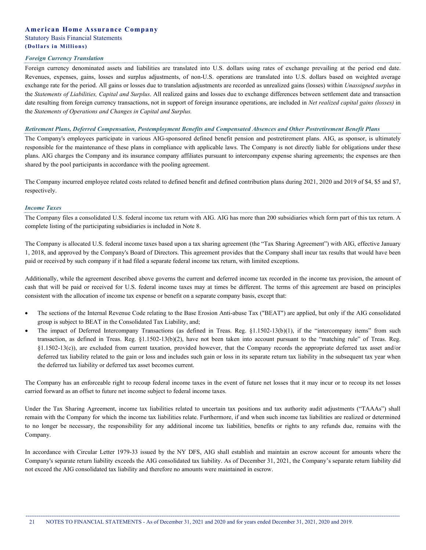#### *Foreign Currency Translation*

Foreign currency denominated assets and liabilities are translated into U.S. dollars using rates of exchange prevailing at the period end date. Revenues, expenses, gains, losses and surplus adjustments, of non-U.S. operations are translated into U.S. dollars based on weighted average exchange rate for the period. All gains or losses due to translation adjustments are recorded as unrealized gains (losses) within *Unassigned surplus* in the *Statements of Liabilities, Capital and Surplus*. All realized gains and losses due to exchange differences between settlement date and transaction date resulting from foreign currency transactions, not in support of foreign insurance operations, are included in *Net realized capital gains (losses)* in the *Statements of Operations and Changes in Capital and Surplus.*

#### Retirement Plans, Deferred Compensation, Postemployment Benefits and Compensated Absences and Other Postretirement Benefit Plans

The Company's employees participate in various AIG-sponsored defined benefit pension and postretirement plans. AIG, as sponsor, is ultimately responsible for the maintenance of these plans in compliance with applicable laws. The Company is not directly liable for obligations under these plans. AIG charges the Company and its insurance company affiliates pursuant to intercompany expense sharing agreements; the expenses are then shared by the pool participants in accordance with the pooling agreement.

The Company incurred employee related costs related to defined benefit and defined contribution plans during 2021, 2020 and 2019 of \$4, \$5 and \$7, respectively.

#### *Income Taxes*

The Company files a consolidated U.S. federal income tax return with AIG. AIG has more than 200 subsidiaries which form part of this tax return. A complete listing of the participating subsidiaries is included in Note 8.

The Company is allocated U.S. federal income taxes based upon a tax sharing agreement (the "Tax Sharing Agreement") with AIG, effective January 1, 2018, and approved by the Company's Board of Directors. This agreement provides that the Company shall incur tax results that would have been paid or received by such company if it had filed a separate federal income tax return, with limited exceptions.

Additionally, while the agreement described above governs the current and deferred income tax recorded in the income tax provision, the amount of cash that will be paid or received for U.S. federal income taxes may at times be different. The terms of this agreement are based on principles consistent with the allocation of income tax expense or benefit on a separate company basis, except that:

- The sections of the Internal Revenue Code relating to the Base Erosion Anti-abuse Tax ("BEAT") are applied, but only if the AIG consolidated group is subject to BEAT in the Consolidated Tax Liability, and;
- The impact of Deferred Intercompany Transactions (as defined in Treas. Reg. §1.1502-13(b)(1), if the "intercompany items" from such transaction, as defined in Treas. Reg. §1.1502-13(b)(2), have not been taken into account pursuant to the "matching rule" of Treas. Reg. §1.1502-13(c)), are excluded from current taxation, provided however, that the Company records the appropriate deferred tax asset and/or deferred tax liability related to the gain or loss and includes such gain or loss in its separate return tax liability in the subsequent tax year when the deferred tax liability or deferred tax asset becomes current.

The Company has an enforceable right to recoup federal income taxes in the event of future net losses that it may incur or to recoup its net losses carried forward as an offset to future net income subject to federal income taxes.

Under the Tax Sharing Agreement, income tax liabilities related to uncertain tax positions and tax authority audit adjustments ("TAAAs") shall remain with the Company for which the income tax liabilities relate. Furthermore, if and when such income tax liabilities are realized or determined to no longer be necessary, the responsibility for any additional income tax liabilities, benefits or rights to any refunds due, remains with the Company.

In accordance with Circular Letter 1979-33 issued by the NY DFS, AIG shall establish and maintain an escrow account for amounts where the Company's separate return liability exceeds the AIG consolidated tax liability. As of December 31, 2021, the Company's separate return liability did not exceed the AIG consolidated tax liability and therefore no amounts were maintained in escrow.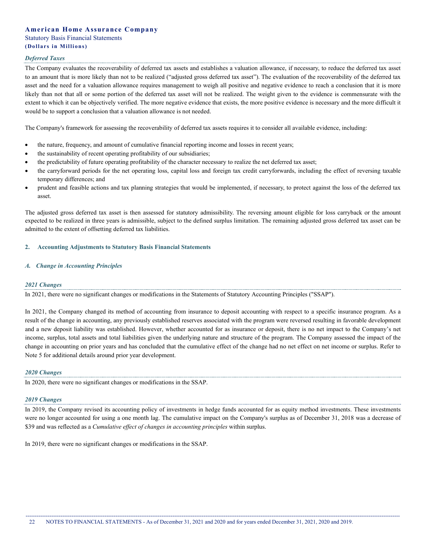#### *Deferred Taxes*

The Company evaluates the recoverability of deferred tax assets and establishes a valuation allowance, if necessary, to reduce the deferred tax asset to an amount that is more likely than not to be realized ("adjusted gross deferred tax asset"). The evaluation of the recoverability of the deferred tax asset and the need for a valuation allowance requires management to weigh all positive and negative evidence to reach a conclusion that it is more likely than not that all or some portion of the deferred tax asset will not be realized. The weight given to the evidence is commensurate with the extent to which it can be objectively verified. The more negative evidence that exists, the more positive evidence is necessary and the more difficult it would be to support a conclusion that a valuation allowance is not needed.

The Company's framework for assessing the recoverability of deferred tax assets requires it to consider all available evidence, including:

- the nature, frequency, and amount of cumulative financial reporting income and losses in recent years;
- the sustainability of recent operating profitability of our subsidiaries;
- the predictability of future operating profitability of the character necessary to realize the net deferred tax asset;
- the carryforward periods for the net operating loss, capital loss and foreign tax credit carryforwards, including the effect of reversing taxable temporary differences; and
- prudent and feasible actions and tax planning strategies that would be implemented, if necessary, to protect against the loss of the deferred tax asset.

The adjusted gross deferred tax asset is then assessed for statutory admissibility. The reversing amount eligible for loss carryback or the amount expected to be realized in three years is admissible, subject to the defined surplus limitation. The remaining adjusted gross deferred tax asset can be admitted to the extent of offsetting deferred tax liabilities.

### **2. Accounting Adjustments to Statutory Basis Financial Statements**

## *A. Change in Accounting Principles*

#### *2021 Changes*

In 2021, there were no significant changes or modifications in the Statements of Statutory Accounting Principles ("SSAP").

In 2021, the Company changed its method of accounting from insurance to deposit accounting with respect to a specific insurance program. As a result of the change in accounting, any previously established reserves associated with the program were reversed resulting in favorable development and a new deposit liability was established. However, whether accounted for as insurance or deposit, there is no net impact to the Company's net income, surplus, total assets and total liabilities given the underlying nature and structure of the program. The Company assessed the impact of the change in accounting on prior years and has concluded that the cumulative effect of the change had no net effect on net income or surplus. Refer to Note 5 for additional details around prior year development.

#### *2020 Changes*

In 2020, there were no significant changes or modifications in the SSAP.

#### *2019 Changes*

In 2019, the Company revised its accounting policy of investments in hedge funds accounted for as equity method investments. These investments were no longer accounted for using a one month lag. The cumulative impact on the Company's surplus as of December 31, 2018 was a decrease of \$39 and was reflected as a *Cumulative effect of changes in accounting principles* within surplus.

In 2019, there were no significant changes or modifications in the SSAP.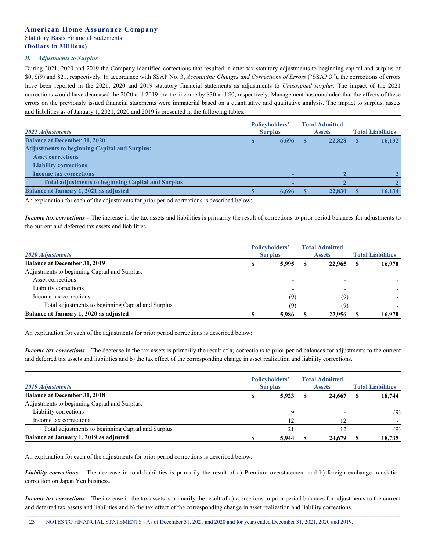#### *B. Adjustments to Surplus*

During 2021, 2020 and 2019 the Company identified corrections that resulted in after-tax statutory adjustments to beginning capital and surplus of \$0, \$(9) and \$21, respectively. In accordance with SSAP No. 3, *Accounting Changes and Corrections of Errors* ("SSAP 3"), the corrections of errors have been reported in the 2021, 2020 and 2019 statutory financial statements as adjustments to *Unassigned surplus*. The impact of the 2021 corrections would have decreased the 2020 and 2019 pre-tax income by \$30 and \$0, respectively. Management has concluded that the effects of these errors on the previously issued financial statements were immaterial based on a quantitative and qualitative analysis. The impact to surplus, assets and liabilities as of January 1, 2021, 2020 and 2019 is presented in the following tables:

| 2021 Adjustments                                          | Policyholders'<br><b>Surplus</b> |       | <b>Total Admitted</b><br><b>Assets</b> | <b>Total Liabilities</b> |
|-----------------------------------------------------------|----------------------------------|-------|----------------------------------------|--------------------------|
| <b>Balance at December 31, 2020</b>                       | S                                | 6,696 | 22,828                                 | 16,132                   |
| <b>Adjustments to beginning Capital and Surplus:</b>      |                                  |       |                                        |                          |
| <b>Asset corrections</b>                                  |                                  |       |                                        |                          |
| <b>Liability corrections</b>                              |                                  |       |                                        |                          |
| <b>Income tax corrections</b>                             |                                  |       |                                        |                          |
| <b>Total adjustments to beginning Capital and Surplus</b> |                                  |       |                                        |                          |
| <b>Balance at January 1, 2021 as adjusted</b>             |                                  | 6,696 | 22,830                                 | 16,134                   |

An explanation for each of the adjustments for prior period corrections is described below:

*Income tax corrections* – The increase in the tax assets and liabilities is primarily the result of corrections to prior period balances for adjustments to the current and deferred tax assets and liabilities.

| 2020 Adjustments                                   |   | Policyholders'<br><b>Surplus</b> |      | <b>Total Admitted</b><br><b>Assets</b> |   | <b>Total Liabilities</b> |
|----------------------------------------------------|---|----------------------------------|------|----------------------------------------|---|--------------------------|
| <b>Balance at December 31, 2019</b>                | э | 5,995                            | - \$ | 22,965                                 | S | 16,970                   |
| Adjustments to beginning Capital and Surplus:      |   |                                  |      |                                        |   |                          |
| Asset corrections                                  |   |                                  |      |                                        |   |                          |
| Liability corrections                              |   |                                  |      |                                        |   |                          |
| Income tax corrections                             |   | ۱۹)                              |      | (Q)                                    |   |                          |
| Total adjustments to beginning Capital and Surplus |   |                                  |      |                                        |   |                          |
| Balance at January 1, 2020 as adjusted             |   | 5.986                            |      | 22,956                                 |   | 16.970                   |

An explanation for each of the adjustments for prior period corrections is described below:

*Income tax corrections* – The decrease in the tax assets is primarily the result of a) corrections to prior period balances for adjustments to the current and deferred tax assets and liabilities and b) the tax effect of the corresponding change in asset realization and liability corrections.

| 2019 Adjustments                                   | <b>Policyholders'</b><br><b>Surplus</b> |       | <b>Total Admitted</b><br><b>Assets</b> |        | <b>Total Liabilities</b> |        |
|----------------------------------------------------|-----------------------------------------|-------|----------------------------------------|--------|--------------------------|--------|
| <b>Balance at December 31, 2018</b>                |                                         | 5,923 |                                        | 24,667 |                          | 18,744 |
| Adjustments to beginning Capital and Surplus:      |                                         |       |                                        |        |                          |        |
| Liability corrections                              |                                         |       |                                        |        |                          | (9)    |
| Income tax corrections                             |                                         |       |                                        |        |                          |        |
| Total adjustments to beginning Capital and Surplus |                                         |       |                                        | 12     |                          | (9)    |
| Balance at January 1, 2019 as adjusted             |                                         | 5.944 |                                        | 24,679 |                          | 18,735 |

An explanation for each of the adjustments for prior period corrections is described below:

*Liability corrections* – The decrease in total liabilities is primarily the result of a) Premium overstatement and b) foreign exchange translation correction on Japan Yen business.

*Income tax corrections* – The increase in the tax assets is primarily the result of a) corrections to prior period balances for adjustments to the current and deferred tax assets and liabilities and b) the tax effect of the corresponding change in asset realization and liability corrections.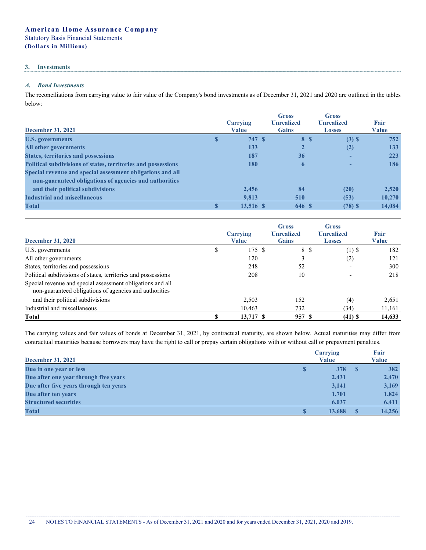## **3. Investments**

# *A. Bond Investments*

The reconciliations from carrying value to fair value of the Company's bond investments as of December 31, 2021 and 2020 are outlined in the tables below:

| <b>December 31, 2021</b>                                      | Carrying<br><b>Value</b> | <b>Gross</b><br><b>Unrealized</b><br><b>Gains</b> | Gross<br><b>Unrealized</b><br><b>Losses</b> | Fair<br>Value |
|---------------------------------------------------------------|--------------------------|---------------------------------------------------|---------------------------------------------|---------------|
| <b>U.S. governments</b>                                       | 747 S<br>S               |                                                   | 8 \$<br>$(3)$ \$                            | 752           |
| All other governments                                         | 133                      | 2                                                 | (2)                                         | 133           |
| <b>States, territories and possessions</b>                    | 187                      | 36                                                |                                             | 223           |
| Political subdivisions of states, territories and possessions | <b>180</b>               | $\mathbf 6$                                       |                                             | 186           |
| Special revenue and special assessment obligations and all    |                          |                                                   |                                             |               |
| non-guaranteed obligations of agencies and authorities        |                          |                                                   |                                             |               |
| and their political subdivisions                              | 2,456                    | 84                                                | (20)                                        | 2,520         |
| <b>Industrial and miscellaneous</b>                           | 9.813                    | 510                                               | (53)                                        | 10,270        |
| <b>Total</b>                                                  | 13,516 \$                | 646 \$                                            | $(78)$ \$                                   | 14,084        |

| <b>December 31, 2020</b>                                                                                             |   | Carrying<br><b>Value</b> | <b>Gross</b><br><b>Unrealized</b><br><b>Gains</b> | <b>Gross</b><br><b>Unrealized</b><br><b>Losses</b> | Fair<br><b>Value</b> |
|----------------------------------------------------------------------------------------------------------------------|---|--------------------------|---------------------------------------------------|----------------------------------------------------|----------------------|
| U.S. governments                                                                                                     | D | 175 \$                   |                                                   | 8 \$<br>$(1)$ \$                                   | 182                  |
| All other governments                                                                                                |   | 120                      |                                                   | (2)                                                | 121                  |
| States, territories and possessions                                                                                  |   | 248                      | 52                                                |                                                    | 300                  |
| Political subdivisions of states, territories and possessions                                                        |   | 208                      | 10                                                |                                                    | 218                  |
| Special revenue and special assessment obligations and all<br>non-guaranteed obligations of agencies and authorities |   |                          |                                                   |                                                    |                      |
| and their political subdivisions                                                                                     |   | 2,503                    | 152                                               | (4)                                                | 2,651                |
| Industrial and miscellaneous                                                                                         |   | 10.463                   | 732                                               | (34)                                               | 11,161               |
| <b>Total</b>                                                                                                         |   | $13,717$ \$              | 957 S                                             | $(41)$ \$                                          | 14,633               |

The carrying values and fair values of bonds at December 31, 2021, by contractual maturity, are shown below. Actual maturities may differ from contractual maturities because borrowers may have the right to call or prepay certain obligations with or without call or prepayment penalties.

| <b>December 31, 2021</b>               |   | Carrying<br>Value |          | Fair<br><b>Value</b> |
|----------------------------------------|---|-------------------|----------|----------------------|
| Due in one year or less                | S | 378               | <b>S</b> | 382                  |
| Due after one year through five years  |   | 2,431             |          | 2,470                |
| Due after five years through ten years |   | 3,141             |          | 3,169                |
| Due after ten years                    |   | 1,701             |          | 1,824                |
| <b>Structured securities</b>           |   | 6,037             |          | 6,411                |
| <b>Total</b>                           |   | 13,688            | S        | 14,256               |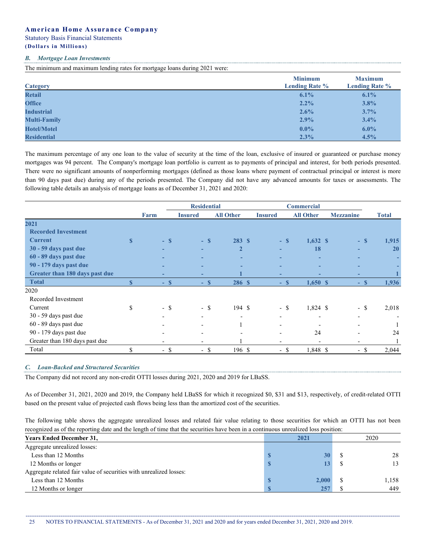# **American Home Assurance Company**

Statutory Basis Financial Statements

# **(Dollars i n Millions)**

#### *B. Mortgage Loan Investments*

The minimum and maximum lending rates for mortgage loans during 2021 were:

| <b>Category</b>     | <b>Minimum</b><br><b>Lending Rate %</b> | <b>Maximum</b><br><b>Lending Rate %</b> |
|---------------------|-----------------------------------------|-----------------------------------------|
| <b>Retail</b>       | 6.1%                                    | 6.1%                                    |
| <b>Office</b>       | $2.2\%$                                 | 3.8%                                    |
| <b>Industrial</b>   | 2.6%                                    | 3.7%                                    |
| <b>Multi-Family</b> | 2.9%                                    | 3.4%                                    |
| <b>Hotel/Motel</b>  | $0.0\%$                                 | $6.0\%$                                 |
| <b>Residential</b>  | 2.3%                                    | 4.5%                                    |

The maximum percentage of any one loan to the value of security at the time of the loan, exclusive of insured or guaranteed or purchase money mortgages was 94 percent. The Company's mortgage loan portfolio is current as to payments of principal and interest, for both periods presented. There were no significant amounts of nonperforming mortgages (defined as those loans where payment of contractual principal or interest is more than 90 days past due) during any of the periods presented. The Company did not have any advanced amounts for taxes or assessments. The following table details an analysis of mortgage loans as of December 31, 2021 and 2020:

|                                |                         |        |                          | <b>Residential</b> |                          |                          |        | <b>Commercial</b> |                          |        |              |
|--------------------------------|-------------------------|--------|--------------------------|--------------------|--------------------------|--------------------------|--------|-------------------|--------------------------|--------|--------------|
|                                |                         | Farm   | <b>Insured</b>           | <b>All Other</b>   |                          | <b>Insured</b>           |        | <b>All Other</b>  | <b>Mezzanine</b>         |        | <b>Total</b> |
| 2021                           |                         |        |                          |                    |                          |                          |        |                   |                          |        |              |
| <b>Recorded Investment</b>     |                         |        |                          |                    |                          |                          |        |                   |                          |        |              |
| <b>Current</b>                 | $\mathbf{s}$            | $-$ S  |                          | $-$ S              | 283S                     |                          | $-$ S  | $1,632$ \$        |                          | $-$ S  | 1,915        |
| 30 - 59 days past due          |                         | -      | ٠                        |                    | $\overline{2}$           |                          |        | 18                | ٠                        |        | 20           |
| 60 - 89 days past due          |                         | -      | ٠                        |                    | ٠                        |                          |        |                   | -                        |        | ۰.           |
| 90 - 179 days past due         |                         | -      | ٠                        |                    | ۰                        |                          |        |                   |                          |        |              |
| Greater than 180 days past due |                         | -      | ٠                        |                    |                          | ۰                        |        |                   | ٠                        |        |              |
| <b>Total</b>                   | $\overline{\mathbf{s}}$ | $-$ \$ |                          | $-$ S              | 286 S                    |                          | $-$ \$ | $1,650$ \$        |                          | $-$ S  | 1,936        |
| 2020                           |                         |        |                          |                    |                          |                          |        |                   |                          |        |              |
| Recorded Investment            |                         |        |                          |                    |                          |                          |        |                   |                          |        |              |
| Current                        | \$                      | - \$   |                          | - \$               | 194 \$                   |                          | $-$ \$ | 1,824 \$          |                          | $-$ \$ | 2,018        |
| 30 - 59 days past due          |                         |        | $\overline{\phantom{0}}$ |                    | $\overline{\phantom{0}}$ | $\overline{\phantom{0}}$ |        |                   | $\overline{\phantom{0}}$ |        |              |
| 60 - 89 days past due          |                         |        | $\overline{\phantom{a}}$ |                    |                          |                          |        |                   |                          |        |              |
| 90 - 179 days past due         |                         |        | $\overline{\phantom{a}}$ |                    |                          | -                        |        | 24                | $\overline{a}$           |        | 24           |
| Greater than 180 days past due |                         |        | $\overline{\phantom{a}}$ |                    |                          |                          |        |                   |                          |        |              |
| Total                          | \$                      | - \$   |                          | - \$               | 196 \$                   |                          | $-$ \$ | 1,848 \$          |                          | - \$   | 2,044        |

### *C. Loan-Backed and Structured Securities*

The Company did not record any non-credit OTTI losses during 2021, 2020 and 2019 for LBaSS.

As of December 31, 2021, 2020 and 2019, the Company held LBaSS for which it recognized \$0, \$31 and \$13, respectively, of credit-related OTTI based on the present value of projected cash flows being less than the amortized cost of the securities.

The following table shows the aggregate unrealized losses and related fair value relating to those securities for which an OTTI has not been recognized as of the reporting date and the length of time that the securities have been in a continuous unrealized loss position:

| <b>Years Ended December 31,</b>                                    | 2021  | 2020  |
|--------------------------------------------------------------------|-------|-------|
| Aggregate unrealized losses:                                       |       |       |
| Less than 12 Months                                                | 30    | 28    |
| 12 Months or longer                                                |       | 13    |
| Aggregate related fair value of securities with unrealized losses: |       |       |
| Less than 12 Months                                                | 2,000 | 1,158 |
| 12 Months or longer                                                | 257   | 449   |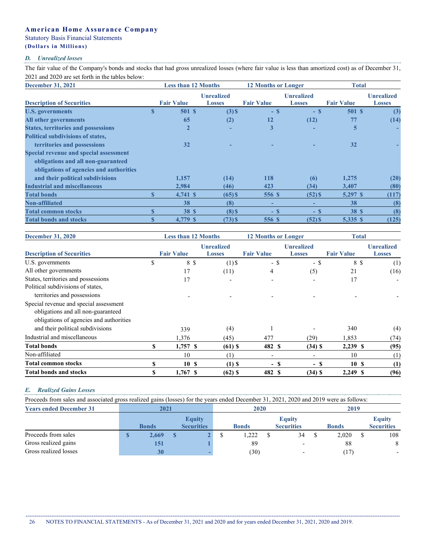# **American Home Assurance Company**

# Statutory Basis Financial Statements

# **(Dollars i n Millions)**

### *D. Unrealized losses*

The fair value of the Company's bonds and stocks that had gross unrealized losses (where fair value is less than amortized cost) as of December 31, 2021 and 2020 are set forth in the tables below:

| <b>December 31, 2021</b>                      |    | <b>Less than 12 Months</b> |                                    | <b>12 Months or Longer</b> |                                    | <b>Total</b>      |                                    |  |
|-----------------------------------------------|----|----------------------------|------------------------------------|----------------------------|------------------------------------|-------------------|------------------------------------|--|
| <b>Description of Securities</b>              |    | <b>Fair Value</b>          | <b>Unrealized</b><br><b>Losses</b> | <b>Fair Value</b>          | <b>Unrealized</b><br><b>Losses</b> | <b>Fair Value</b> | <b>Unrealized</b><br><b>Losses</b> |  |
| <b>U.S. governments</b>                       | S  | 501S                       | $(3)$ \$                           | $-$ S                      | - \$                               | 501 S             | (3)                                |  |
| <b>All other governments</b>                  |    | 65                         | (2)                                | 12                         | (12)                               | 77                | (14)                               |  |
| <b>States, territories and possessions</b>    |    | $\overline{2}$             |                                    | 3                          |                                    | 5                 |                                    |  |
| <b>Political subdivisions of states,</b>      |    |                            |                                    |                            |                                    |                   |                                    |  |
| territories and possessions                   |    | 32                         |                                    |                            |                                    | 32                |                                    |  |
| <b>Special revenue and special assessment</b> |    |                            |                                    |                            |                                    |                   |                                    |  |
| obligations and all non-guaranteed            |    |                            |                                    |                            |                                    |                   |                                    |  |
| obligations of agencies and authorities       |    |                            |                                    |                            |                                    |                   |                                    |  |
| and their political subdivisions              |    | 1,157                      | (14)                               | 118                        | (6)                                | 1,275             | (20)                               |  |
| <b>Industrial and miscellaneous</b>           |    | 2.984                      | (46)                               | 423                        | (34)                               | 3,407             | (80)                               |  |
| <b>Total bonds</b>                            | \$ | 4,741 \$                   | $(65)$ \$                          | 556 \$                     | $(52)$ \$                          | 5,297 \$          | (117)                              |  |
| <b>Non-affiliated</b>                         |    | 38                         | (8)                                | -                          |                                    | 38                | (8)                                |  |
| <b>Total common stocks</b>                    |    | <b>38 \$</b>               | $(8)$ \$                           | $-$ \$                     | $-$ \$                             | <b>38 \$</b>      | (8)                                |  |
| <b>Total bonds and stocks</b>                 |    | 4,779 \$                   | $(73)$ \$                          | 556 S                      | $(52)$ \$                          | 5,335 \$          | (125)                              |  |

| <b>December 31, 2020</b>                                                                                                | <b>Less than 12 Months</b> |                   |                                    | <b>12 Months or Longer</b> |                                    | <b>Total</b>      |                                    |  |
|-------------------------------------------------------------------------------------------------------------------------|----------------------------|-------------------|------------------------------------|----------------------------|------------------------------------|-------------------|------------------------------------|--|
| <b>Description of Securities</b>                                                                                        |                            | <b>Fair Value</b> | <b>Unrealized</b><br><b>Losses</b> | <b>Fair Value</b>          | <b>Unrealized</b><br><b>Losses</b> | <b>Fair Value</b> | <b>Unrealized</b><br><b>Losses</b> |  |
| U.S. governments                                                                                                        | \$                         | 8 \$              | $(1)$ \$                           | $-$ \$                     | - \$                               | 8 \$              | (1)                                |  |
| All other governments                                                                                                   |                            | 17                | (11)                               | 4                          | (5)                                | 21                | (16)                               |  |
| States, territories and possessions                                                                                     |                            | 17                |                                    |                            |                                    | 17                |                                    |  |
| Political subdivisions of states,                                                                                       |                            |                   |                                    |                            |                                    |                   |                                    |  |
| territories and possessions                                                                                             |                            |                   |                                    |                            |                                    |                   |                                    |  |
| Special revenue and special assessment<br>obligations and all non-guaranteed<br>obligations of agencies and authorities |                            |                   |                                    |                            |                                    |                   |                                    |  |
| and their political subdivisions                                                                                        |                            | 339               | (4)                                |                            |                                    | 340               | (4)                                |  |
| Industrial and miscellaneous                                                                                            |                            | 1,376             | (45)                               | 477                        | (29)                               | 1,853             | (74)                               |  |
| <b>Total bonds</b>                                                                                                      | \$                         | $1,757$ \$        | $(61)$ \$                          | 482 S                      | $(34)$ \$                          | 2,239 \$          | (95)                               |  |
| Non-affiliated                                                                                                          |                            | 10                | (1)                                | $\overline{\phantom{0}}$   |                                    | 10                | (1)                                |  |
| <b>Total common stocks</b>                                                                                              |                            | 10S               | $(1)$ \$                           | - \$                       | - \$                               | 10S               | (1)                                |  |
| <b>Total bonds and stocks</b>                                                                                           | S                          | $1,767$ \$        | $(62)$ \$                          | 482 S                      | $(34)$ \$                          | 2,249 \$          | (96)                               |  |

### *E. Realized Gains Losses*

Proceeds from sales and associated gross realized gains (losses) for the years ended December 31, 2021, 2020 and 2019 were as follows:

| <b>Years ended December 31</b> | 2021         |                                    | 2020         |                                    | 2019 |              |  |                                    |
|--------------------------------|--------------|------------------------------------|--------------|------------------------------------|------|--------------|--|------------------------------------|
|                                | <b>Bonds</b> | <b>Equity</b><br><b>Securities</b> | <b>Bonds</b> | <b>Equity</b><br><b>Securities</b> |      | <b>Bonds</b> |  | <b>Equity</b><br><b>Securities</b> |
| Proceeds from sales            | 2,669        |                                    | .222         | 34                                 |      | 2,020        |  | 108                                |
| Gross realized gains           | 151          |                                    | 89           | $\overline{\phantom{a}}$           |      | 88           |  | 8                                  |
| Gross realized losses          | <b>30</b>    |                                    | (30)         | $\overline{\phantom{a}}$           |      | 17           |  | $\overline{\phantom{0}}$           |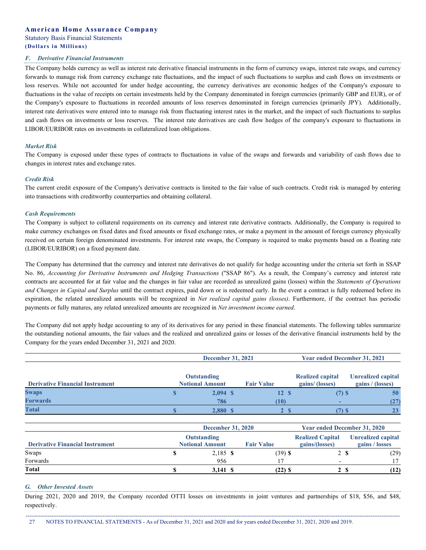#### *F. Derivative Financial Instruments*

The Company holds currency as well as interest rate derivative financial instruments in the form of currency swaps, interest rate swaps, and currency forwards to manage risk from currency exchange rate fluctuations, and the impact of such fluctuations to surplus and cash flows on investments or loss reserves. While not accounted for under hedge accounting, the currency derivatives are economic hedges of the Company's exposure to fluctuations in the value of receipts on certain investments held by the Company denominated in foreign currencies (primarily GBP and EUR), or of the Company's exposure to fluctuations in recorded amounts of loss reserves denominated in foreign currencies (primarily JPY). Additionally, interest rate derivatives were entered into to manage risk from fluctuating interest rates in the market, and the impact of such fluctuations to surplus and cash flows on investments or loss reserves. The interest rate derivatives are cash flow hedges of the company's exposure to fluctuations in LIBOR/EURIBOR rates on investments in collateralized loan obligations.

#### *Market Risk*

The Company is exposed under these types of contracts to fluctuations in value of the swaps and forwards and variability of cash flows due to changes in interest rates and exchange rates.

#### *Credit Risk*

The current credit exposure of the Company's derivative contracts is limited to the fair value of such contracts. Credit risk is managed by entering into transactions with creditworthy counterparties and obtaining collateral.

#### *Cash Requirements*

The Company is subject to collateral requirements on its currency and interest rate derivative contracts. Additionally, the Company is required to make currency exchanges on fixed dates and fixed amounts or fixed exchange rates, or make a payment in the amount of foreign currency physically received on certain foreign denominated investments. For interest rate swaps, the Company is required to make payments based on a floating rate (LIBOR/EURIBOR) on a fixed payment date.

The Company has determined that the currency and interest rate derivatives do not qualify for hedge accounting under the criteria set forth in SSAP No. 86, *Accounting for Derivative Instruments and Hedging Transactions* ("SSAP 86"). As a result, the Company's currency and interest rate contracts are accounted for at fair value and the changes in fair value are recorded as unrealized gains (losses) within the *Statements of Operations and Changes in Capital and Surplus* until the contract expires, paid down or is redeemed early. In the event a contract is fully redeemed before its expiration, the related unrealized amounts will be recognized in *Net realized capital gains (losses)*. Furthermore, if the contract has periodic payments or fully matures, any related unrealized amounts are recognized in *Net investment income earned*.

The Company did not apply hedge accounting to any of its derivatives for any period in these financial statements. The following tables summarize the outstanding notional amounts, the fair values and the realized and unrealized gains or losses of the derivative financial instruments held by the Company for the years ended December 31, 2021 and 2020.

|                                        | <b>December 31, 2021</b>              |                   | <b>Year ended December 31, 2021</b>       |                                        |  |  |
|----------------------------------------|---------------------------------------|-------------------|-------------------------------------------|----------------------------------------|--|--|
| <b>Derivative Financial Instrument</b> | Outstanding<br><b>Notional Amount</b> | <b>Fair Value</b> | <b>Realized capital</b><br>gains/(losses) | Unrealized capital<br>gains / (losses) |  |  |
| <b>Swaps</b>                           | $2,094$ \$                            | 12S               | $(7)$ \$                                  | 50                                     |  |  |
| <b>Forwards</b>                        | 786                                   | (10)              |                                           |                                        |  |  |
| <b>Total</b>                           | 2,880 \$                              |                   | (7) S                                     |                                        |  |  |

|                                        | <b>December 31, 2020</b> | <b>Year ended December 31, 2020</b> |                         |                    |  |
|----------------------------------------|--------------------------|-------------------------------------|-------------------------|--------------------|--|
|                                        | Outstanding              |                                     | <b>Realized Capital</b> | Unrealized capital |  |
| <b>Derivative Financial Instrument</b> | <b>Notional Amount</b>   | <b>Fair Value</b>                   | gains/(losses)          | gains / losses     |  |
| Swaps                                  | 2,185 \$                 | $(39)$ \$                           | 2 S                     | (29)               |  |
| Forwards                               | 956                      |                                     |                         |                    |  |
| <b>Total</b>                           | 3.141 S                  | $(22)$ S                            | 23                      | (12)               |  |

#### *G. Other Invested Assets*

During 2021, 2020 and 2019, the Company recorded OTTI losses on investments in joint ventures and partnerships of \$18, \$56, and \$48, respectively.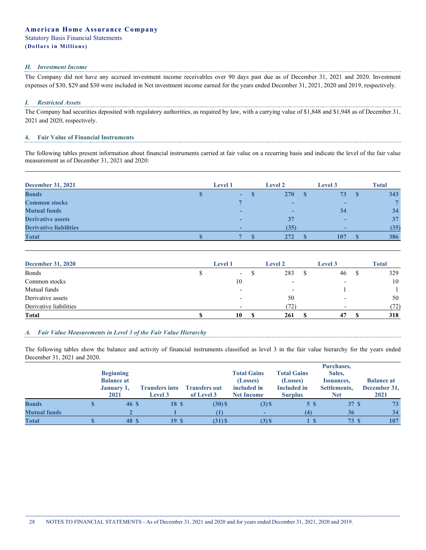#### *H. Investment Income*

The Company did not have any accrued investment income receivables over 90 days past due as of December 31, 2021 and 2020. Investment expenses of \$30, \$29 and \$30 were included in Net investment income earned for the years ended December 31, 2021, 2020 and 2019, respectively.

#### *I. Restricted Assets*

The Company had securities deposited with regulatory authorities, as required by law, with a carrying value of \$1,848 and \$1,948 as of December 31, 2021 and 2020, respectively.

#### **4. Fair Value of Financial Instruments**

The following tables present information about financial instruments carried at fair value on a recurring basis and indicate the level of the fair value measurement as of December 31, 2021 and 2020:

| <b>December 31, 2021</b>      | <b>Level 1</b> | <b>Level 2</b>           | <b>Level 3</b> |     | <b>Total</b> |
|-------------------------------|----------------|--------------------------|----------------|-----|--------------|
| <b>Bonds</b>                  | ۰.             | 270                      | 73             | - S | 343          |
| <b>Common stocks</b>          |                |                          |                |     |              |
| <b>Mutual funds</b>           |                | $\overline{\phantom{a}}$ | 34             |     | 34           |
| <b>Derivative assets</b>      |                | 37                       |                |     | 37           |
| <b>Derivative liabilities</b> |                | (35)                     |                |     | (35)         |
| <b>Total</b>                  |                | 272                      | 107            |     | 386          |

| <b>December 31, 2020</b> | <b>Level</b> 1           | <b>Level 2</b>           | <b>Level 3</b> |   | <b>Total</b> |
|--------------------------|--------------------------|--------------------------|----------------|---|--------------|
| <b>Bonds</b>             | $\overline{\phantom{a}}$ | 283                      | 46             | Φ | 329          |
| Common stocks            | 10                       | -                        |                |   | 10           |
| Mutual funds             |                          | $\overline{\phantom{0}}$ |                |   |              |
| Derivative assets        |                          | 50                       |                |   | 50           |
| Derivative liabilities   |                          | (72)                     |                |   | (72)         |
| <b>Total</b>             | 10                       | 261                      |                |   | 318          |

### *A. Fair Value Measurements in Level 3 of the Fair Value Hierarchy*

The following tables show the balance and activity of financial instruments classified as level 3 in the fair value hierarchy for the years ended December 31, 2021 and 2020.

|                     | <b>Beginning</b><br><b>Balance at</b><br>January 1,<br>2021 | <b>Transfers into</b><br><b>Level 3</b> | <b>Transfers out</b><br>of Level 3 | <b>Total Gains</b><br>(Losses)<br>included in<br><b>Net Income</b> | <b>Total Gains</b><br>(Losses)<br><b>Included</b> in<br><b>Surplus</b> | Purchases,<br>Sales,<br>Issuances,<br>Settlements,<br><b>Net</b> | <b>Balance at</b><br>December 31,<br>2021 |
|---------------------|-------------------------------------------------------------|-----------------------------------------|------------------------------------|--------------------------------------------------------------------|------------------------------------------------------------------------|------------------------------------------------------------------|-------------------------------------------|
| <b>Bonds</b>        | 46 S                                                        | 18 <sup>°</sup>                         | $(30)$ \$                          | $(3)$ \$                                                           | 5 S                                                                    | 37S                                                              | 73                                        |
| <b>Mutual funds</b> |                                                             |                                         |                                    |                                                                    | $\left( 4\right)$                                                      | 36                                                               | 34                                        |
| <b>Total</b>        | 48 S                                                        | 19S                                     | $(31)$ \$                          | $(3)$ \$                                                           |                                                                        | 73 S                                                             | 107                                       |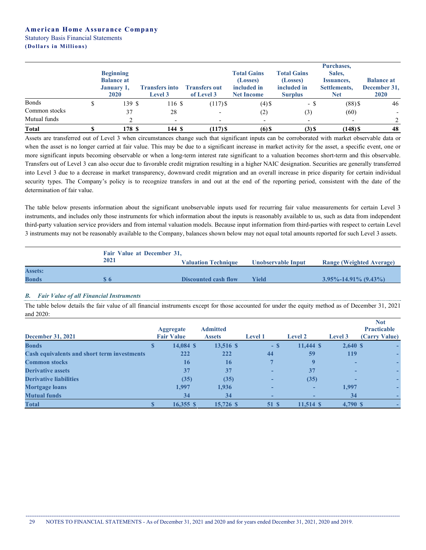|               | <b>Beginning</b><br><b>Balance at</b><br>January 1,<br>2020 | <b>Transfers into</b><br><b>Level 3</b> | <b>Transfers out</b><br>of Level 3 | <b>Total Gains</b><br>(Losses)<br>included in<br><b>Net Income</b> | <b>Total Gains</b><br>(Losses)<br>included in<br><b>Surplus</b> | Purchases,<br>Sales,<br><i><b>Issuances,</b></i><br>Settlements,<br><b>Net</b> | <b>Balance at</b><br>December 31,<br><b>2020</b> |
|---------------|-------------------------------------------------------------|-----------------------------------------|------------------------------------|--------------------------------------------------------------------|-----------------------------------------------------------------|--------------------------------------------------------------------------------|--------------------------------------------------|
| <b>Bonds</b>  | 139 \$                                                      | 116 \$                                  | $(117)$ \$                         | $(4)$ \$                                                           | - \$                                                            | $(88)$ \$                                                                      | 46                                               |
| Common stocks | 37                                                          | 28                                      | $\overline{\phantom{0}}$           | (2)                                                                | (3)                                                             | (60)                                                                           |                                                  |
| Mutual funds  |                                                             |                                         |                                    |                                                                    | $\overline{\phantom{a}}$                                        | $\overline{\phantom{a}}$                                                       |                                                  |
| <b>Total</b>  | 178 S                                                       | 144S                                    | $(117)$ \$                         | $(6)$ \$                                                           | $(3)$ \$                                                        | $(148)$ \$                                                                     | 48                                               |

Assets are transferred out of Level 3 when circumstances change such that significant inputs can be corroborated with market observable data or when the asset is no longer carried at fair value. This may be due to a significant increase in market activity for the asset, a specific event, one or more significant inputs becoming observable or when a long-term interest rate significant to a valuation becomes short-term and this observable. Transfers out of Level 3 can also occur due to favorable credit migration resulting in a higher NAIC designation. Securities are generally transferred into Level 3 due to a decrease in market transparency, downward credit migration and an overall increase in price disparity for certain individual security types. The Company's policy is to recognize transfers in and out at the end of the reporting period, consistent with the date of the determination of fair value.

The table below presents information about the significant unobservable inputs used for recurring fair value measurements for certain Level 3 instruments, and includes only those instruments for which information about the inputs is reasonably available to us, such as data from independent third-party valuation service providers and from internal valuation models. Because input information from third-parties with respect to certain Level 3 instruments may not be reasonably available to the Company, balances shown below may not equal total amounts reported for such Level 3 assets.

|                | Fair Value at December 31, |                            |                    |                                 |
|----------------|----------------------------|----------------------------|--------------------|---------------------------------|
|                | 2021                       | <b>Valuation Technique</b> | Unobservable Input | <b>Range (Weighted Average)</b> |
| <b>Assets:</b> |                            |                            |                    |                                 |
| <b>Bonds</b>   | Տ6                         | Discounted cash flow       | Yield              | $3.95\% - 14.91\% (9.43\%)$     |

# *B. Fair Value of all Financial Instruments*

The table below details the fair value of all financial instruments except for those accounted for under the equity method as of December 31, 2021 and 2020:

| <b>December 31, 2021</b>                           |   | <b>Aggregate</b><br><b>Fair Value</b> | <b>Admitted</b><br><b>Assets</b> | <b>Level 1</b> | <b>Level 2</b> | Level 3  | <b>Not</b><br><b>Practicable</b><br>(Carry Value) |
|----------------------------------------------------|---|---------------------------------------|----------------------------------|----------------|----------------|----------|---------------------------------------------------|
| <b>Bonds</b>                                       | Φ | 14,084 \$                             | 13,516 \$                        | $-$ S          | $11,444$ \$    | 2,640S   |                                                   |
| <b>Cash equivalents and short term investments</b> |   | 222                                   | 222                              | 44             | 59             | 119      |                                                   |
| <b>Common stocks</b>                               |   | 16                                    | 16                               |                |                |          |                                                   |
| <b>Derivative assets</b>                           |   | 37                                    | 37                               |                | 37             |          |                                                   |
| <b>Derivative liabilities</b>                      |   | (35)                                  | (35)                             |                | (35)           |          |                                                   |
| <b>Mortgage loans</b>                              |   | 1,997                                 | 1,936                            |                | ۰              | 1,997    |                                                   |
| <b>Mutual funds</b>                                |   | 34                                    | 34                               | -              | -              | 34       |                                                   |
| <b>Total</b>                                       |   | $16,355$ \$                           | 15,726 \$                        | 51 \$          | $11,514$ \$    | 4,790 \$ |                                                   |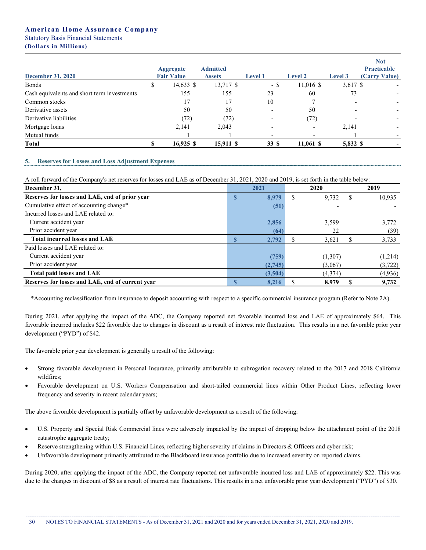|                                             |                                       |                                  |                          |                          |          | <b>Not</b>                          |
|---------------------------------------------|---------------------------------------|----------------------------------|--------------------------|--------------------------|----------|-------------------------------------|
| <b>December 31, 2020</b>                    | <b>Aggregate</b><br><b>Fair Value</b> | <b>Admitted</b><br><b>Assets</b> | <b>Level 1</b>           | <b>Level 2</b>           | Level 3  | <b>Practicable</b><br>(Carry Value) |
| <b>Bonds</b>                                | 14,633 \$                             | 13,717 \$                        | - \$                     | 11,016 \$                | 3,617 \$ |                                     |
| Cash equivalents and short term investments | 155                                   | 155                              | 23                       | 60                       | 73       |                                     |
| Common stocks                               | 17                                    | 17                               | 10                       |                          |          |                                     |
| Derivative assets                           | 50                                    | 50                               | $\overline{\phantom{a}}$ | 50                       |          |                                     |
| Derivative liabilities                      | (72)                                  | (72)                             | $\overline{\phantom{0}}$ | (72)                     |          |                                     |
| Mortgage loans                              | 2,141                                 | 2.043                            |                          | $\overline{\phantom{0}}$ | 2,141    |                                     |
| Mutual funds                                |                                       |                                  | $\overline{\phantom{a}}$ | $\overline{\phantom{a}}$ |          |                                     |
| <b>Total</b>                                | $16,925$ \$                           | 15,911 \$                        | 33 S                     | $11,061$ \$              | 5,832 \$ |                                     |

#### **5. Reserves for Losses and Loss Adjustment Expenses**

A roll forward of the Company's net reserves for losses and LAE as of December 31, 2021, 2020 and 2019, is set forth in the table below:

| December 31,                                     |          | 2021    |   | 2020    | 2019 |         |
|--------------------------------------------------|----------|---------|---|---------|------|---------|
| Reserves for losses and LAE, end of prior year   | <b>D</b> | 8,979   | S | 9,732   | S    | 10,935  |
| Cumulative effect of accounting change*          |          | (51)    |   |         |      |         |
| Incurred losses and LAE related to:              |          |         |   |         |      |         |
| Current accident year                            |          | 2,856   |   | 3,599   |      | 3,772   |
| Prior accident year                              |          | (64)    |   | 22      |      | (39)    |
| <b>Total incurred losses and LAE</b>             |          | 2,792   |   | 3,621   |      | 3,733   |
| Paid losses and LAE related to:                  |          |         |   |         |      |         |
| Current accident year                            |          | (759)   |   | (1,307) |      | (1,214) |
| Prior accident year                              |          | (2,745) |   | (3,067) |      | (3,722) |
| Total paid losses and LAE                        |          | (3,504) |   | (4,374) |      | (4,936) |
| Reserves for losses and LAE, end of current year |          | 8,216   |   | 8,979   |      | 9,732   |

\*Accounting reclassification from insurance to deposit accounting with respect to a specific commercial insurance program (Refer to Note 2A).

During 2021, after applying the impact of the ADC, the Company reported net favorable incurred loss and LAE of approximately \$64. This favorable incurred includes \$22 favorable due to changes in discount as a result of interest rate fluctuation. This results in a net favorable prior year development ("PYD") of \$42.

The favorable prior year development is generally a result of the following:

- Strong favorable development in Personal Insurance, primarily attributable to subrogation recovery related to the 2017 and 2018 California wildfires;
- Favorable development on U.S. Workers Compensation and short-tailed commercial lines within Other Product Lines, reflecting lower frequency and severity in recent calendar years;

The above favorable development is partially offset by unfavorable development as a result of the following:

- U.S. Property and Special Risk Commercial lines were adversely impacted by the impact of dropping below the attachment point of the 2018 catastrophe aggregate treaty;
- Reserve strengthening within U.S. Financial Lines, reflecting higher severity of claims in Directors & Officers and cyber risk;
- Unfavorable development primarily attributed to the Blackboard insurance portfolio due to increased severity on reported claims.

During 2020, after applying the impact of the ADC, the Company reported net unfavorable incurred loss and LAE of approximately \$22. This was due to the changes in discount of \$8 as a result of interest rate fluctuations. This results in a net unfavorable prior year development ("PYD") of \$30.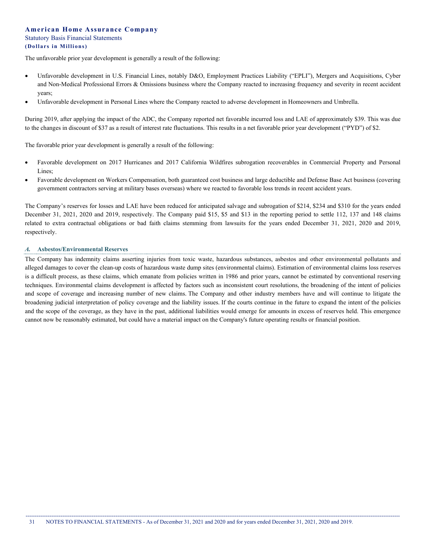The unfavorable prior year development is generally a result of the following:

- Unfavorable development in U.S. Financial Lines, notably D&O, Employment Practices Liability ("EPLI"), Mergers and Acquisitions, Cyber and Non-Medical Professional Errors & Omissions business where the Company reacted to increasing frequency and severity in recent accident years;
- Unfavorable development in Personal Lines where the Company reacted to adverse development in Homeowners and Umbrella.

During 2019, after applying the impact of the ADC, the Company reported net favorable incurred loss and LAE of approximately \$39. This was due to the changes in discount of \$37 as a result of interest rate fluctuations. This results in a net favorable prior year development ("PYD") of \$2.

The favorable prior year development is generally a result of the following:

- Favorable development on 2017 Hurricanes and 2017 California Wildfires subrogation recoverables in Commercial Property and Personal Lines;
- Favorable development on Workers Compensation, both guaranteed cost business and large deductible and Defense Base Act business (covering government contractors serving at military bases overseas) where we reacted to favorable loss trends in recent accident years.

The Company's reserves for losses and LAE have been reduced for anticipated salvage and subrogation of \$214, \$234 and \$310 for the years ended December 31, 2021, 2020 and 2019, respectively. The Company paid \$15, \$5 and \$13 in the reporting period to settle 112, 137 and 148 claims related to extra contractual obligations or bad faith claims stemming from lawsuits for the years ended December 31, 2021, 2020 and 2019, respectively.

#### *A.* **Asbestos/Environmental Reserves**

The Company has indemnity claims asserting injuries from toxic waste, hazardous substances, asbestos and other environmental pollutants and alleged damages to cover the clean-up costs of hazardous waste dump sites (environmental claims). Estimation of environmental claims loss reserves is a difficult process, as these claims, which emanate from policies written in 1986 and prior years, cannot be estimated by conventional reserving techniques. Environmental claims development is affected by factors such as inconsistent court resolutions, the broadening of the intent of policies and scope of coverage and increasing number of new claims. The Company and other industry members have and will continue to litigate the broadening judicial interpretation of policy coverage and the liability issues. If the courts continue in the future to expand the intent of the policies and the scope of the coverage, as they have in the past, additional liabilities would emerge for amounts in excess of reserves held. This emergence cannot now be reasonably estimated, but could have a material impact on the Company's future operating results or financial position.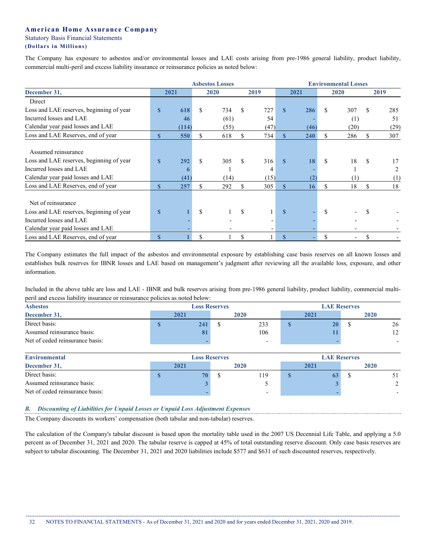The Company has exposure to asbestos and/or environmental losses and LAE costs arising from pre-1986 general liability, product liability, commercial multi-peril and excess liability insurance or reinsurance policies as noted below:

|                                                                                                                                 | <b>Asbestos Losses</b> |                  |    |             |     |                  | <b>Environmental Losses</b> |      |               |           |    |           |
|---------------------------------------------------------------------------------------------------------------------------------|------------------------|------------------|----|-------------|-----|------------------|-----------------------------|------|---------------|-----------|----|-----------|
| December 31,                                                                                                                    |                        | 2021             |    | 2020        |     | 2019             |                             | 2021 |               | 2020      |    | 2019      |
| Direct                                                                                                                          |                        |                  |    |             |     |                  |                             |      |               |           |    |           |
| Loss and LAE reserves, beginning of year                                                                                        | $\mathbf{s}$           | 618              | \$ | 734         | \$. | 727              | $\mathbf{s}$                | 286  | \$            | 307       | \$ | 285       |
| Incurred losses and LAE                                                                                                         |                        | 46               |    | (61)        |     | 54               |                             |      |               | (1)       |    | 51        |
| Calendar year paid losses and LAE                                                                                               |                        | (114)            |    | (55)        |     | (47)             |                             | (46) |               | (20)      |    | (29)      |
| Loss and LAE Reserves, end of year                                                                                              | $\mathbf{s}$           | 550              |    | 618         | \$. | 734              | S                           | 240  | \$            | 286       | \$ | 307       |
| Assumed reinsurance<br>Loss and LAE reserves, beginning of year<br>Incurred losses and LAE<br>Calendar year paid losses and LAE | $\mathbf{s}$           | 292<br>6<br>(41) | \$ | 305<br>(14) | \$  | 316<br>4<br>(15) | $\mathbf{s}$                | 18   | <sup>\$</sup> | 18<br>(1) | -S | 17<br>(1) |
| Loss and LAE Reserves, end of year                                                                                              | $\mathbf{s}$           | 257              |    | 292         |     | 305              | $\mathbf{s}$                | 16   | \$            | 18        | \$ | 18        |
| Net of reinsurance<br>Loss and LAE reserves, beginning of year<br>Incurred losses and LAE                                       | $\mathbf{s}$           |                  | \$ |             | \$. |                  | $\mathbf{s}$                |      | S             |           |    |           |
| Calendar year paid losses and LAE                                                                                               |                        |                  |    |             |     |                  |                             |      |               |           |    |           |
| Loss and LAE Reserves, end of year                                                                                              | $\mathbf{s}$           |                  | \$ |             | \$  |                  | $\mathbf{s}$                |      |               |           |    |           |

The Company estimates the full impact of the asbestos and environmental exposure by establishing case basis reserves on all known losses and establishes bulk reserves for IBNR losses and LAE based on management's judgment after reviewing all the available loss, exposure, and other information.

Included in the above table are loss and LAE - IBNR and bulk reserves arising from pre-1986 general liability, product liability, commercial multiperil and excess liability insurance or reinsurance policies as noted below:

| <b>Asbestos</b>                 |      | <b>Loss Reserves</b> |      | <b>LAE Reserves</b> |  |  |  |
|---------------------------------|------|----------------------|------|---------------------|--|--|--|
| December 31,                    | 2021 | 2020                 | 2021 | 2020                |  |  |  |
| Direct basis:                   | 241  | 233                  | 20   | 26                  |  |  |  |
| Assumed reinsurance basis:      | oі   | 106                  |      | 12                  |  |  |  |
| Net of ceded reinsurance basis: |      |                      |      |                     |  |  |  |
|                                 |      |                      |      |                     |  |  |  |

| <b>Environmental</b>            |      |   | <b>LAE Reserves</b> |                          |      |  |      |  |
|---------------------------------|------|---|---------------------|--------------------------|------|--|------|--|
| December 31,                    | 2021 |   | 2020                |                          | 2021 |  | 2020 |  |
| Direct basis:                   |      | O |                     | 119                      |      |  |      |  |
| Assumed reinsurance basis:      |      |   |                     |                          |      |  |      |  |
| Net of ceded reinsurance basis: |      |   |                     | $\overline{\phantom{0}}$ |      |  |      |  |

### *B. Discounting of Liabilities for Unpaid Losses or Unpaid Loss Adjustment Expenses*

The Company discounts its workers' compensation (both tabular and non-tabular) reserves.

The calculation of the Company's tabular discount is based upon the mortality table used in the 2007 US Decennial Life Table, and applying a 5.0 percent as of December 31, 2021 and 2020. The tabular reserve is capped at 45% of total outstanding reserve discount. Only case basis reserves are subject to tabular discounting. The December 31, 2021 and 2020 liabilities include \$577 and \$631 of such discounted reserves, respectively.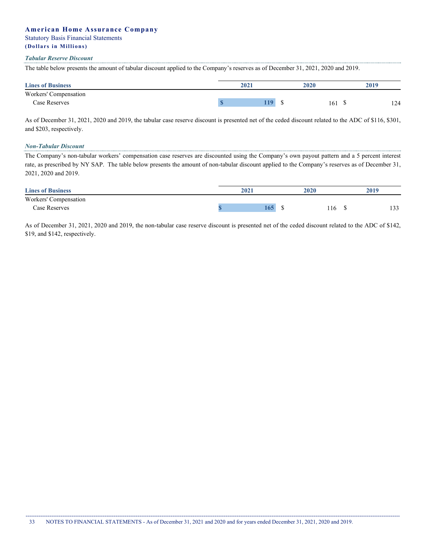# **American Home Assurance Company**

### Statutory Basis Financial Statements

# **(Dollars i n Millions)**

#### *Tabular Reserve Discount*

The table below presents the amount of tabular discount applied to the Company's reserves as of December 31, 2021, 2020 and 2019.

| <b>Lines of Business</b> | 2021 | 2020 | 2019 |
|--------------------------|------|------|------|
| Workers' Compensation    |      |      |      |
| Case Reserves            | 110  | 161  | 124  |

As of December 31, 2021, 2020 and 2019, the tabular case reserve discount is presented net of the ceded discount related to the ADC of \$116, \$301, and \$203, respectively.

#### *Non-Tabular Discount*

The Company's non-tabular workers' compensation case reserves are discounted using the Company's own payout pattern and a 5 percent interest rate, as prescribed by NY SAP. The table below presents the amount of non-tabular discount applied to the Company's reserves as of December 31, 2021, 2020 and 2019.

| <b>Lines of Business</b> | 2021 | <b>2020</b> |    | 2019          |
|--------------------------|------|-------------|----|---------------|
| Workers' Compensation    |      |             |    |               |
| Case Reserves            | 165/ | 116         | мD | 1.22<br>1 J J |

As of December 31, 2021, 2020 and 2019, the non-tabular case reserve discount is presented net of the ceded discount related to the ADC of \$142, \$19, and \$142, respectively.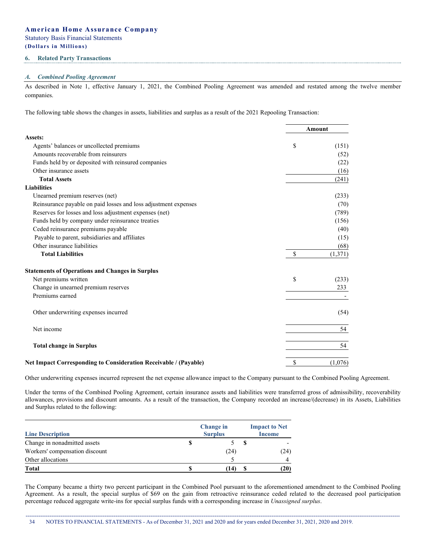#### **6. Related Party Transactions**

#### *A. Combined Pooling Agreement*

As described in Note 1, effective January 1, 2021, the Combined Pooling Agreement was amended and restated among the twelve member companies.

The following table shows the changes in assets, liabilities and surplus as a result of the 2021 Repooling Transaction:

|                                                                         | Amount        |
|-------------------------------------------------------------------------|---------------|
| Assets:                                                                 |               |
| Agents' balances or uncollected premiums                                | \$<br>(151)   |
| Amounts recoverable from reinsurers                                     | (52)          |
| Funds held by or deposited with reinsured companies                     | (22)          |
| Other insurance assets                                                  | (16)          |
| <b>Total Assets</b>                                                     | (241)         |
| <b>Liabilities</b>                                                      |               |
| Unearned premium reserves (net)                                         | (233)         |
| Reinsurance payable on paid losses and loss adjustment expenses         | (70)          |
| Reserves for losses and loss adjustment expenses (net)                  | (789)         |
| Funds held by company under reinsurance treaties                        | (156)         |
| Ceded reinsurance premiums payable                                      | (40)          |
| Payable to parent, subsidiaries and affiliates                          | (15)          |
| Other insurance liabilities                                             | (68)          |
| <b>Total Liabilities</b>                                                | \$<br>(1,371) |
| <b>Statements of Operations and Changes in Surplus</b>                  |               |
| Net premiums written                                                    | \$<br>(233)   |
| Change in unearned premium reserves                                     | 233           |
| Premiums earned                                                         |               |
| Other underwriting expenses incurred                                    | (54)          |
| Net income                                                              | 54            |
| <b>Total change in Surplus</b>                                          | 54            |
| <b>Net Impact Corresponding to Consideration Receivable / (Payable)</b> | \$<br>(1,076) |

Other underwriting expenses incurred represent the net expense allowance impact to the Company pursuant to the Combined Pooling Agreement.

Under the terms of the Combined Pooling Agreement, certain insurance assets and liabilities were transferred gross of admissibility, recoverability allowances, provisions and discount amounts. As a result of the transaction, the Company recorded an increase/(decrease) in its Assets, Liabilities and Surplus related to the following:

| <b>Line Description</b>        |   | <b>Change</b> in<br><b>Surplus</b> |  |      |  |  |
|--------------------------------|---|------------------------------------|--|------|--|--|
| Change in nonadmitted assets   | S |                                    |  |      |  |  |
| Workers' compensation discount |   | (24)                               |  | (24) |  |  |
| Other allocations              |   |                                    |  |      |  |  |
| Total                          | S | -14)                               |  | (20) |  |  |

The Company became a thirty two percent participant in the Combined Pool pursuant to the aforementioned amendment to the Combined Pooling Agreement. As a result, the special surplus of \$69 on the gain from retroactive reinsurance ceded related to the decreased pool participation percentage reduced aggregate write-ins for special surplus funds with a corresponding increase in *Unassigned surplus*.

------------------------------------------------------------------------------------------------------------------------------------------------------------------------------------------------------------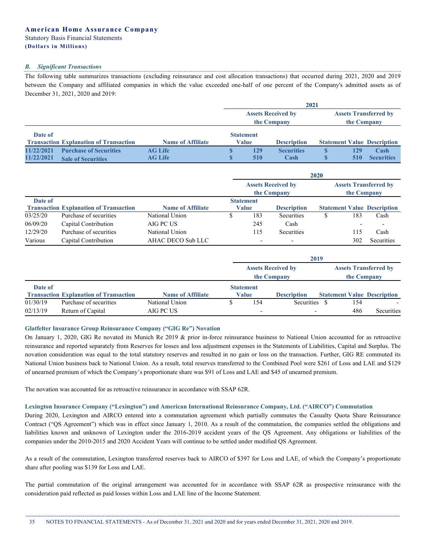### *B. Significant Transactions*

The following table summarizes transactions (excluding reinsurance and cost allocation transactions) that occurred during 2021, 2020 and 2019 between the Company and affiliated companies in which the value exceeded one-half of one percent of the Company's admitted assets as of December 31, 2021, 2020 and 2019:

**2021**

|            |                                               |                          | 404 I       |                  |                           |             |     |                                    |
|------------|-----------------------------------------------|--------------------------|-------------|------------------|---------------------------|-------------|-----|------------------------------------|
|            |                                               |                          |             |                  | <b>Assets Received by</b> |             |     | <b>Assets Transferred by</b>       |
|            |                                               |                          | the Company |                  |                           | the Company |     |                                    |
| Date of    |                                               |                          |             | <b>Statement</b> |                           |             |     |                                    |
|            | <b>Transaction Explanation of Transaction</b> | <b>Name of Affiliate</b> |             | Value            | <b>Description</b>        |             |     | <b>Statement Value Description</b> |
| 11/22/2021 | <b>Purchase of Securities</b>                 | <b>AG Life</b>           |             | 129              | <b>Securities</b>         |             | 129 | Cash                               |
| 11/22/2021 | <b>Sale of Securities</b>                     | <b>AG Life</b>           |             | 510              | Cash                      |             | 510 | <b>Securities</b>                  |

|          |                                               |                          | 2020 |                  |                                          |                                             |     |                                    |  |  |  |
|----------|-----------------------------------------------|--------------------------|------|------------------|------------------------------------------|---------------------------------------------|-----|------------------------------------|--|--|--|
|          |                                               |                          |      |                  | <b>Assets Received by</b><br>the Company | <b>Assets Transferred by</b><br>the Company |     |                                    |  |  |  |
| Date of  |                                               |                          |      | <b>Statement</b> |                                          |                                             |     |                                    |  |  |  |
|          | <b>Transaction Explanation of Transaction</b> | <b>Name of Affiliate</b> |      | Value            | <b>Description</b>                       |                                             |     | <b>Statement Value Description</b> |  |  |  |
| 03/25/20 | Purchase of securities                        | National Union           |      | 183              | Securities                               |                                             | 183 | Cash                               |  |  |  |
| 06/09/20 | Capital Contribution                          | AIG PC US                |      | 245              | Cash                                     |                                             |     |                                    |  |  |  |
| 12/29/20 | Purchase of securities                        | National Union           |      | 115              | <b>Securities</b>                        |                                             | 115 | Cash                               |  |  |  |
| Various  | Capital Contribution                          | AHAC DECO Sub LLC        |      |                  | $\overline{\phantom{0}}$                 |                                             | 302 | Securities                         |  |  |  |

|          |                                               |                          |                                          |                          | 2019               |  |                                             |                                    |  |
|----------|-----------------------------------------------|--------------------------|------------------------------------------|--------------------------|--------------------|--|---------------------------------------------|------------------------------------|--|
|          |                                               |                          | <b>Assets Received by</b><br>the Company |                          |                    |  | <b>Assets Transferred by</b><br>the Company |                                    |  |
|          |                                               |                          |                                          |                          |                    |  |                                             |                                    |  |
| Date of  |                                               |                          |                                          | <b>Statement</b>         |                    |  |                                             |                                    |  |
|          | <b>Transaction Explanation of Transaction</b> | <b>Name of Affiliate</b> |                                          | Value                    | <b>Description</b> |  |                                             | <b>Statement Value Description</b> |  |
| 01/30/19 | Purchase of securities                        | National Union           |                                          | 154                      | Securities         |  | 154                                         |                                    |  |
| 02/13/19 | Return of Capital                             | AIG PC US                |                                          | $\overline{\phantom{0}}$ |                    |  | 486                                         | <b>Securities</b>                  |  |

# **Glatfelter Insurance Group Reinsurance Company ("GIG Re") Novation**

On January 1, 2020, GIG Re novated its Munich Re 2019 & prior in-force reinsurance business to National Union accounted for as retroactive reinsurance and reported separately from Reserves for losses and loss adjustment expenses in the Statements of Liabilities, Capital and Surplus. The novation consideration was equal to the total statutory reserves and resulted in no gain or loss on the transaction. Further, GIG RE commuted its National Union business back to National Union. As a result, total reserves transferred to the Combined Pool were \$261 of Loss and LAE and \$129 of unearned premium of which the Company's proportionate share was \$91 of Loss and LAE and \$45 of unearned premium.

The novation was accounted for as retroactive reinsurance in accordance with SSAP 62R.

#### **Lexington Insurance Company ("Lexington") and American International Reinsurance Company, Ltd. ("AIRCO") Commutation**

During 2020, Lexington and AIRCO entered into a commutation agreement which partially commutes the Casualty Quota Share Reinsurance Contract ("QS Agreement") which was in effect since January 1, 2010. As a result of the commutation, the companies settled the obligations and liabilities known and unknown of Lexington under the 2016-2019 accident years of the QS Agreement. Any obligations or liabilities of the companies under the 2010-2015 and 2020 Accident Years will continue to be settled under modified QS Agreement.

As a result of the commutation, Lexington transferred reserves back to AIRCO of \$397 for Loss and LAE, of which the Company's proportionate share after pooling was \$139 for Loss and LAE.

The partial commutation of the original arrangement was accounted for in accordance with SSAP 62R as prospective reinsurance with the consideration paid reflected as paid losses within Loss and LAE line of the Income Statement.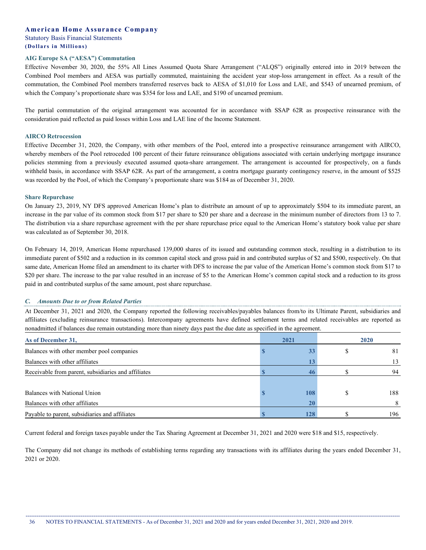#### **AIG Europe SA ("AESA") Commutation**

Effective November 30, 2020, the 55% All Lines Assumed Quota Share Arrangement ("ALQS") originally entered into in 2019 between the Combined Pool members and AESA was partially commuted, maintaining the accident year stop-loss arrangement in effect. As a result of the commutation, the Combined Pool members transferred reserves back to AESA of \$1,010 for Loss and LAE, and \$543 of unearned premium, of which the Company's proportionate share was \$354 for loss and LAE, and \$190 of unearned premium.

The partial commutation of the original arrangement was accounted for in accordance with SSAP 62R as prospective reinsurance with the consideration paid reflected as paid losses within Loss and LAE line of the Income Statement.

#### **AIRCO Retrocession**

Effective December 31, 2020, the Company, with other members of the Pool, entered into a prospective reinsurance arrangement with AIRCO, whereby members of the Pool retroceded 100 percent of their future reinsurance obligations associated with certain underlying mortgage insurance policies stemming from a previously executed assumed quota-share arrangement. The arrangement is accounted for prospectively, on a funds withheld basis, in accordance with SSAP 62R. As part of the arrangement, a contra mortgage guaranty contingency reserve, in the amount of \$525 was recorded by the Pool, of which the Company's proportionate share was \$184 as of December 31, 2020.

#### **Share Repurchase**

On January 23, 2019, NY DFS approved American Home's plan to distribute an amount of up to approximately \$504 to its immediate parent, an increase in the par value of its common stock from \$17 per share to \$20 per share and a decrease in the minimum number of directors from 13 to 7. The distribution via a share repurchase agreement with the per share repurchase price equal to the American Home's statutory book value per share was calculated as of September 30, 2018.

On February 14, 2019, American Home repurchased 139,000 shares of its issued and outstanding common stock, resulting in a distribution to its immediate parent of \$502 and a reduction in its common capital stock and gross paid in and contributed surplus of \$2 and \$500, respectively. On that same date, American Home filed an amendment to its charter with DFS to increase the par value of the American Home's common stock from \$17 to \$20 per share. The increase to the par value resulted in an increase of \$5 to the American Home's common capital stock and a reduction to its gross paid in and contributed surplus of the same amount, post share repurchase.

#### *C. Amounts Due to or from Related Parties*

At December 31, 2021 and 2020, the Company reported the following receivables/payables balances from/to its Ultimate Parent, subsidiaries and affiliates (excluding reinsurance transactions). Intercompany agreements have defined settlement terms and related receivables are reported as nonadmitted if balances due remain outstanding more than ninety days past the due date as specified in the agreement.

| As of December 31,                                  | 2021 | 2020 |
|-----------------------------------------------------|------|------|
| Balances with other member pool companies           |      | 81   |
| Balances with other affiliates                      |      | 13   |
| Receivable from parent, subsidiaries and affiliates |      | 94   |
|                                                     |      |      |
| Balances with National Union                        | 108  | 188  |
| Balances with other affiliates                      |      |      |
| Payable to parent, subsidiaries and affiliates      | 128  | 196  |

Current federal and foreign taxes payable under the Tax Sharing Agreement at December 31, 2021 and 2020 were \$18 and \$15, respectively.

The Company did not change its methods of establishing terms regarding any transactions with its affiliates during the years ended December 31, 2021 or 2020.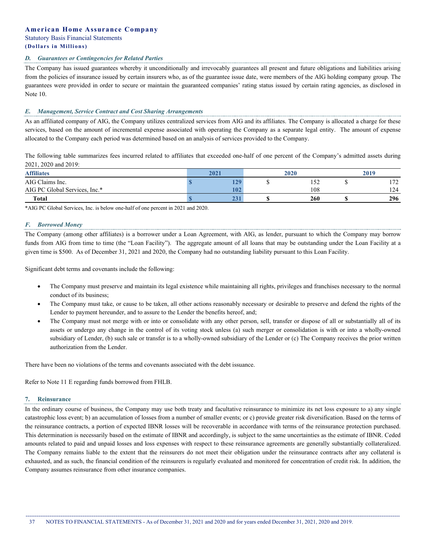#### *D. Guarantees or Contingencies for Related Parties*

The Company has issued guarantees whereby it unconditionally and irrevocably guarantees all present and future obligations and liabilities arising from the policies of insurance issued by certain insurers who, as of the guarantee issue date, were members of the AIG holding company group. The guarantees were provided in order to secure or maintain the guaranteed companies' rating status issued by certain rating agencies, as disclosed in Note 10.

### *E. Management, Service Contract and Cost Sharing Arrangements*

As an affiliated company of AIG, the Company utilizes centralized services from AIG and its affiliates. The Company is allocated a charge for these services, based on the amount of incremental expense associated with operating the Company as a separate legal entity. The amount of expense allocated to the Company each period was determined based on an analysis of services provided to the Company.

The following table summarizes fees incurred related to affiliates that exceeded one-half of one percent of the Company's admitted assets during 2021, 2020 and 2019:

| <b>Affiliates</b>             | 2021 | 2020 | 2019       |
|-------------------------------|------|------|------------|
| AIG Claims Inc.               | 129  | 152  | 172<br>1/2 |
| AIG PC Global Services, Inc.* | 102  | 108  | 124        |
| <b>Total</b>                  | 231  | 260  | 296        |

\*AIG PC Global Services, Inc. is below one-half of one percent in 2021 and 2020.

#### *F. Borrowed Money*

The Company (among other affiliates) is a borrower under a Loan Agreement, with AIG, as lender, pursuant to which the Company may borrow funds from AIG from time to time (the "Loan Facility"). The aggregate amount of all loans that may be outstanding under the Loan Facility at a given time is \$500. As of December 31, 2021 and 2020, the Company had no outstanding liability pursuant to this Loan Facility.

Significant debt terms and covenants include the following:

- The Company must preserve and maintain its legal existence while maintaining all rights, privileges and franchises necessary to the normal conduct of its business;
- The Company must take, or cause to be taken, all other actions reasonably necessary or desirable to preserve and defend the rights of the Lender to payment hereunder, and to assure to the Lender the benefits hereof, and;
- The Company must not merge with or into or consolidate with any other person, sell, transfer or dispose of all or substantially all of its assets or undergo any change in the control of its voting stock unless (a) such merger or consolidation is with or into a wholly-owned subsidiary of Lender, (b) such sale or transfer is to a wholly-owned subsidiary of the Lender or (c) The Company receives the prior written authorization from the Lender.

There have been no violations of the terms and covenants associated with the debt issuance.

Refer to Note 11 E regarding funds borrowed from FHLB.

#### **7. Reinsurance**

In the ordinary course of business, the Company may use both treaty and facultative reinsurance to minimize its net loss exposure to a) any single catastrophic loss event; b) an accumulation of losses from a number of smaller events; or c) provide greater risk diversification. Based on the terms of the reinsurance contracts, a portion of expected IBNR losses will be recoverable in accordance with terms of the reinsurance protection purchased. This determination is necessarily based on the estimate of IBNR and accordingly, is subject to the same uncertainties as the estimate of IBNR. Ceded amounts related to paid and unpaid losses and loss expenses with respect to these reinsurance agreements are generally substantially collateralized. The Company remains liable to the extent that the reinsurers do not meet their obligation under the reinsurance contracts after any collateral is exhausted, and as such, the financial condition of the reinsurers is regularly evaluated and monitored for concentration of credit risk. In addition, the Company assumes reinsurance from other insurance companies.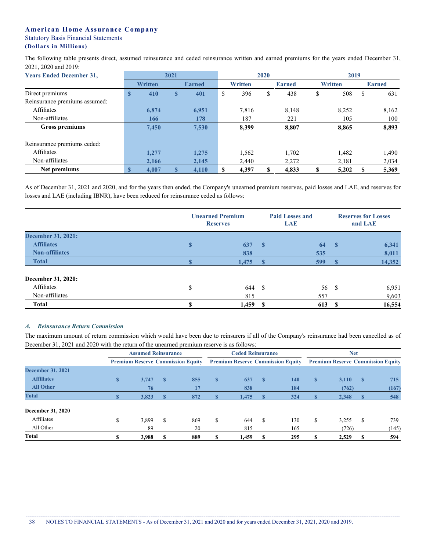The following table presents direct, assumed reinsurance and ceded reinsurance written and earned premiums for the years ended December 31, 2021, 2020 and 2019:

| <b>Years Ended December 31,</b> | 2021         |                |              |               |     |                | 2020 |               | 2019           |    |               |  |  |
|---------------------------------|--------------|----------------|--------------|---------------|-----|----------------|------|---------------|----------------|----|---------------|--|--|
|                                 |              | <b>Written</b> |              | <b>Earned</b> |     | <b>Written</b> |      | <b>Earned</b> | <b>Written</b> |    | <b>Earned</b> |  |  |
| Direct premiums                 | $\mathbf{s}$ | 410            | $\mathbf{s}$ | 401           | S   | 396            | \$   | 438           | \$<br>508      | \$ | 631           |  |  |
| Reinsurance premiums assumed:   |              |                |              |               |     |                |      |               |                |    |               |  |  |
| Affiliates                      |              | 6,874          |              | 6,951         |     | 7.816          |      | 8,148         | 8,252          |    | 8,162         |  |  |
| Non-affiliates                  |              | 166            |              | 178           |     | 187            |      | 221           | 105            |    | 100           |  |  |
| <b>Gross premiums</b>           |              | 7,450          |              | 7,530         |     | 8,399          |      | 8,807         | 8,865          |    | 8,893         |  |  |
| Reinsurance premiums ceded:     |              |                |              |               |     |                |      |               |                |    |               |  |  |
| <b>Affiliates</b>               |              | 1,277          |              | 1,275         |     | 1,562          |      | 1.702         | 1,482          |    | 1,490         |  |  |
| Non-affiliates                  |              | 2,166          |              | 2,145         |     | 2.440          |      | 2,272         | 2,181          |    | 2,034         |  |  |
| Net premiums                    | S            | 4.007          |              | 4,110         | \$. | 4,397          | S    | 4,833         | \$<br>5,202    |    | 5,369         |  |  |

As of December 31, 2021 and 2020, and for the years then ended, the Company's unearned premium reserves, paid losses and LAE, and reserves for losses and LAE (including IBNR), have been reduced for reinsurance ceded as follows:

|                           |             | <b>Unearned Premium</b><br><b>Reserves</b> |    |       | <b>Reserves for Losses</b><br>and LAE |        |  |
|---------------------------|-------------|--------------------------------------------|----|-------|---------------------------------------|--------|--|
| <b>December 31, 2021:</b> |             |                                            |    |       |                                       |        |  |
| <b>Affiliates</b>         | $\mathbf S$ | 637                                        | -S | 64    | - \$                                  | 6,341  |  |
| <b>Non-affiliates</b>     |             | 838                                        |    | 535   |                                       | 8,011  |  |
| <b>Total</b>              |             | 1,475                                      |    | 599   |                                       | 14,352 |  |
| December 31, 2020:        |             |                                            |    |       |                                       |        |  |
| Affiliates                | \$          | 644                                        | -S | 56 \$ |                                       | 6,951  |  |
| Non-affiliates            |             | 815                                        |    | 557   |                                       | 9,603  |  |
| <b>Total</b>              | \$          | 1,459                                      | -S | 613   | - S                                   | 16,554 |  |

### *A. Reinsurance Return Commission*

The maximum amount of return commission which would have been due to reinsurers if all of the Company's reinsurance had been cancelled as of December 31, 2021 and 2020 with the return of the unearned premium reserve is as follows:

|                          | <b>Assumed Reinsurance</b> |                                          |               |     |              | <b>Ceded Reinsurance</b>                 |    |            | <b>Net</b> |                                          |   |       |  |
|--------------------------|----------------------------|------------------------------------------|---------------|-----|--------------|------------------------------------------|----|------------|------------|------------------------------------------|---|-------|--|
|                          |                            | <b>Premium Reserve Commission Equity</b> |               |     |              | <b>Premium Reserve Commission Equity</b> |    |            |            | <b>Premium Reserve Commission Equity</b> |   |       |  |
| <b>December 31, 2021</b> |                            |                                          |               |     |              |                                          |    |            |            |                                          |   |       |  |
| <b>Affiliates</b>        | \$                         | 3,747                                    | - \$          | 855 | $\mathbf{s}$ | 637                                      | -8 | <b>140</b> | S          | 3,110                                    |   | 715   |  |
| <b>All Other</b>         |                            | 76                                       |               | 17  |              | 838                                      |    | 184        |            | (762)                                    |   | (167) |  |
| <b>Total</b>             |                            | 3,823                                    |               | 872 | S            | 1,475                                    |    | 324        | <b>S</b>   | 2,348                                    |   | 548   |  |
| <b>December 31, 2020</b> |                            |                                          |               |     |              |                                          |    |            |            |                                          |   |       |  |
| Affiliates               | \$                         | 3,899                                    | <sup>\$</sup> | 869 | \$           | 644                                      | S  | 130        | S          | 3,255                                    | S | 739   |  |
| All Other                |                            | 89                                       |               | 20  |              | 815                                      |    | 165        |            | (726)                                    |   | (145) |  |
| Total                    | \$                         | 3.988                                    |               | 889 | S            | 1,459                                    |    | 295        |            | 2,529                                    |   | 594   |  |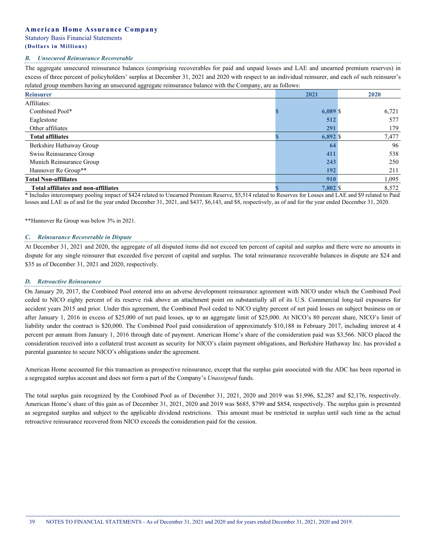# **American Home Assurance Company** Statutory Basis Financial Statements

# **(Dollars i n Millions)**

#### *B. Unsecured Reinsurance Recoverable*

The aggregate unsecured reinsurance balances (comprising recoverables for paid and unpaid losses and LAE and unearned premium reserves) in excess of three percent of policyholders' surplus at December 31, 2021 and 2020 with respect to an individual reinsurer, and each of such reinsurer's related group members having an unsecured aggregate reinsurance balance with the Company, are as follows:

| ິ                                          | - - - |            |       |
|--------------------------------------------|-------|------------|-------|
| <b>Reinsurer</b>                           |       | 2021       | 2020  |
| Affiliates:                                |       |            |       |
| Combined Pool*                             |       | $6,089$ \$ | 6,721 |
| Eaglestone                                 |       | 512        | 577   |
| Other affiliates                           |       | 291        | 179   |
| <b>Total affiliates</b>                    |       | $6,892$ \$ | 7,477 |
| Berkshire Hathaway Group                   |       | 64         | 96    |
| Swiss Reinsurance Group                    |       | 411        | 538   |
| Munich Reinsurance Group                   |       | 243        | 250   |
| Hannover Re Group**                        |       | 192        | 211   |
| <b>Total Non-affiliates</b>                |       | 910        | 1,095 |
| <b>Total affiliates and non-affiliates</b> |       | 7,802 \$   | 8,572 |

\* Includes intercompany pooling impact of \$424 related to Unearned Premium Reserve, \$5,514 related to Reserves for Losses and LAE and \$9 related to Paid losses and LAE as of and for the year ended December 31, 2021, and \$437, \$6,143, and \$8, respectively, as of and for the year ended December 31, 2020.

\*\*Hannover Re Group was below 3% in 2021.

#### *C. Reinsurance Recoverable in Dispute*

At December 31, 2021 and 2020, the aggregate of all disputed items did not exceed ten percent of capital and surplus and there were no amounts in dispute for any single reinsurer that exceeded five percent of capital and surplus. The total reinsurance recoverable balances in dispute are \$24 and \$35 as of December 31, 2021 and 2020, respectively.

#### *D. Retroactive Reinsurance*

On January 20, 2017, the Combined Pool entered into an adverse development reinsurance agreement with NICO under which the Combined Pool ceded to NICO eighty percent of its reserve risk above an attachment point on substantially all of its U.S. Commercial long-tail exposures for accident years 2015 and prior. Under this agreement, the Combined Pool ceded to NICO eighty percent of net paid losses on subject business on or after January 1, 2016 in excess of \$25,000 of net paid losses, up to an aggregate limit of \$25,000. At NICO's 80 percent share, NICO's limit of liability under the contract is \$20,000. The Combined Pool paid consideration of approximately \$10,188 in February 2017, including interest at 4 percent per annum from January 1, 2016 through date of payment. American Home's share of the consideration paid was \$3,566. NICO placed the consideration received into a collateral trust account as security for NICO's claim payment obligations, and Berkshire Hathaway Inc. has provided a parental guarantee to secure NICO's obligations under the agreement.

American Home accounted for this transaction as prospective reinsurance, except that the surplus gain associated with the ADC has been reported in a segregated surplus account and does not form a part of the Company's *Unassigned* funds.

The total surplus gain recognized by the Combined Pool as of December 31, 2021, 2020 and 2019 was \$1,996, \$2,287 and \$2,176, respectively. American Home's share of this gain as of December 31, 2021, 2020 and 2019 was \$685, \$799 and \$854, respectively. The surplus gain is presented as segregated surplus and subject to the applicable dividend restrictions. This amount must be restricted in surplus until such time as the actual retroactive reinsurance recovered from NICO exceeds the consideration paid for the cession.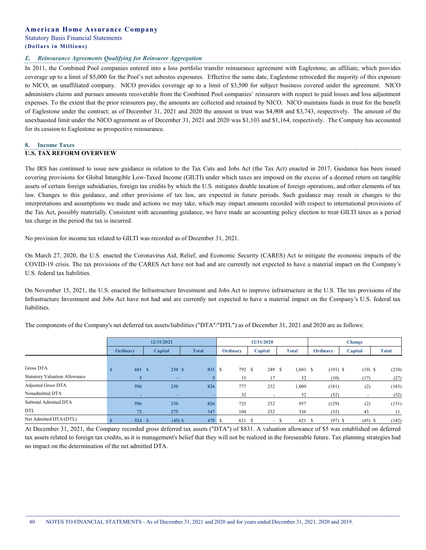#### *E. Reinsurance Agreements Qualifying for Reinsurer Aggregation*

In 2011, the Combined Pool companies entered into a loss portfolio transfer reinsurance agreement with Eaglestone, an affiliate, which provides coverage up to a limit of \$5,000 for the Pool's net asbestos exposures. Effective the same date, Eaglestone retroceded the majority of this exposure to NICO, an unaffiliated company. NICO provides coverage up to a limit of \$3,500 for subject business covered under the agreement. NICO administers claims and pursues amounts recoverable from the Combined Pool companies' reinsurers with respect to paid losses and loss adjustment expenses. To the extent that the prior reinsurers pay, the amounts are collected and retained by NICO. NICO maintains funds in trust for the benefit of Eaglestone under the contract; as of December 31, 2021 and 2020 the amount in trust was \$4,908 and \$3,743, respectively. The amount of the unexhausted limit under the NICO agreement as of December 31, 2021 and 2020 was \$1,103 and \$1,164, respectively. The Company has accounted for its cession to Eaglestone as prospective reinsurance.

#### **8. Income Taxes U.S. TAX REFORM OVERVIEW**

The IRS has continued to issue new guidance in relation to the Tax Cuts and Jobs Act (the Tax Act) enacted in 2017. Guidance has been issued covering provisions for Global Intangible Low-Taxed Income (GILTI) under which taxes are imposed on the excess of a deemed return on tangible assets of certain foreign subsidiaries, foreign tax credits by which the U.S. mitigates double taxation of foreign operations, and other elements of tax law. Changes to this guidance, and other provisions of tax law, are expected in future periods. Such guidance may result in changes to the interpretations and assumptions we made and actions we may take, which may impact amounts recorded with respect to international provisions of the Tax Act, possibly materially. Consistent with accounting guidance, we have made an accounting policy election to treat GILTI taxes as a period tax charge in the period the tax is incurred.

No provision for income tax related to GILTI was recorded as of December 31, 2021.

On March 27, 2020, the U.S. enacted the Coronavirus Aid, Relief, and Economic Security (CARES) Act to mitigate the economic impacts of the COVID-19 crisis. The tax provisions of the CARES Act have not had and are currently not expected to have a material impact on the Company's U.S. federal tax liabilities.

On November 15, 2021, the U.S. enacted the Infrastructure Investment and Jobs Act to improve infrastructure in the U.S. The tax provisions of the Infrastructure Investment and Jobs Act have not had and are currently not expected to have a material impact on the Company's U.S. federal tax liabilities.

|                                      |          |       | 12/31/2021 |              |          | 12/31/2020               |              |                  |            | Change  |           |              |
|--------------------------------------|----------|-------|------------|--------------|----------|--------------------------|--------------|------------------|------------|---------|-----------|--------------|
|                                      | Ordinary |       | Capital    | <b>Total</b> | Ordinary | Capital                  | <b>Total</b> |                  | Ordinary   | Capital |           | <b>Total</b> |
|                                      |          |       |            |              |          |                          |              |                  |            |         |           |              |
| Gross DTA                            |          | 601 S | 230S       | 831 \$       | 792 \$   | 249 \$                   |              | $1,041 \quad$ \$ | $(191)$ \$ |         | $(19)$ \$ | (210)        |
| <b>Statutory Valuation Allowance</b> |          |       | <b>COL</b> |              | 15       | 17                       |              | 32               | (10)       |         | (17)      | (27)         |
| Adjusted Gross DTA                   |          | 596   | 230        | 826          | 777      | 232                      |              | 1,009            | (181)      |         | (2)       | (183)        |
| Nonadmitted DTA                      |          |       | ۰          |              | 52       | $\overline{\phantom{a}}$ |              | 52               | (52)       |         |           | (52)         |
| Subtotal Admitted DTA                |          | 596   | 230        | 826          | 725      | 232                      |              | 957              | (129)      |         | (2)       | (131)        |
| <b>DTL</b>                           |          | 72    | 275        | 347          | 104      | 232                      |              | 336              | (32)       |         | 43        | 11           |
| Net Admitted DTA/(DTL)               |          | 524S  | $(45)$ \$  | 479 \$       | 621 \$   | - \$                     |              | 621 \$           | $(97)$ \$  |         | $(45)$ \$ | (142)        |

The components of the Company's net deferred tax assets/liabilities ("DTA"/"DTL") as of December 31, 2021 and 2020 are as follows:

At December 31, 2021, the Company recorded gross deferred tax assets ("DTA") of \$831. A valuation allowance of \$5 was established on deferred tax assets related to foreign tax credits, as it is management's belief that they will not be realized in the foreseeable future. Tax planning strategies had no impact on the determination of the net admitted DTA.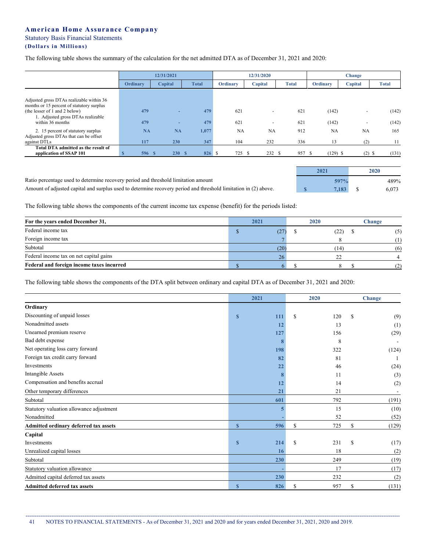The following table shows the summary of the calculation for the net admitted DTA as of December 31, 2021 and 2020:

|                                                                            |           | 12/31/2021 |              |                 | 12/31/2020     |              |            | <b>Change</b>            |       |
|----------------------------------------------------------------------------|-----------|------------|--------------|-----------------|----------------|--------------|------------|--------------------------|-------|
|                                                                            | Ordinary  | Capital    | <b>Total</b> | <b>Ordinary</b> | Capital        | <b>Total</b> | Ordinary   | Capital                  | Total |
|                                                                            |           |            |              |                 |                |              |            |                          |       |
| Adjusted gross DTAs realizable within 36                                   |           |            |              |                 |                |              |            |                          |       |
| months or 15 percent of statutory surplus<br>(the lesser of 1 and 2 below) | 479       |            | 479          | 621             | $\overline{a}$ | 621          | (142)      | $\overline{\phantom{0}}$ | (142) |
| 1. Adjusted gross DTAs realizable                                          |           |            |              |                 |                |              |            |                          |       |
| within 36 months                                                           | 479       | ۰          | 479          | 621             | $\overline{a}$ | 621          | (142)      | -                        | (142) |
| 2. 15 percent of statutory surplus                                         | <b>NA</b> | <b>NA</b>  | 1,077        | NA              | NA             | 912          | NA         | NA                       | 165   |
| Adjusted gross DTAs that can be offset                                     |           |            |              |                 |                |              |            |                          |       |
| against DTLs                                                               | 117       | 230        | 347          | 104             | 232            | 336          | 13         | (2)                      | -11   |
| Total DTA admitted as the result of                                        |           |            |              |                 |                |              |            |                          |       |
| application of SSAP 101                                                    | 596S      | 230S       | 826 \$       | 725             | 232 S<br>-S    | 957 \$       | $(129)$ \$ | $(2)$ \$                 | (131) |

**2021 2020**

| Ratio percentage used to determine recovery period and threshold limitation amount                              |  | 489% |
|-----------------------------------------------------------------------------------------------------------------|--|------|
| Amount of adjusted capital and surplus used to determine recovery period and threshold limitation in (2) above. |  |      |

The following table shows the components of the current income tax expense (benefit) for the periods listed:

| For the years ended December 31,          | 2021 |               | 2020 |      | Change |     |
|-------------------------------------------|------|---------------|------|------|--------|-----|
| Federal income tax                        |      | $\mathcal{L}$ |      | (22) |        | (5) |
| Foreign income tax                        |      |               |      |      |        |     |
| Subtotal                                  |      | (20)          |      | (14) |        | (6) |
| Federal income tax on net capital gains   |      |               |      | 22   |        |     |
| Federal and foreign income taxes incurred |      |               |      |      |        |     |

The following table shows the components of the DTA split between ordinary and capital DTA as of December 31, 2021 and 2020:

|                                          |              | 2021 | 2020      |    | Change |
|------------------------------------------|--------------|------|-----------|----|--------|
| Ordinary                                 |              |      |           |    |        |
| Discounting of unpaid losses             | $\mathbf{s}$ | 111  | S<br>120  | S  | (9)    |
| Nonadmitted assets                       |              | 12   | 13        |    | (1)    |
| Unearned premium reserve                 |              | 127  | 156       |    | (29)   |
| Bad debt expense                         |              |      | 8         |    |        |
| Net operating loss carry forward         |              | 198  | 322       |    | (124)  |
| Foreign tax credit carry forward         |              | 82   | 81        |    |        |
| Investments                              |              | 22   | 46        |    | (24)   |
| Intangible Assets                        |              |      | 11        |    | (3)    |
| Compensation and benefits accrual        |              | 12   | 14        |    | (2)    |
| Other temporary differences              |              | 21   | 21        |    |        |
| Subtotal                                 |              | 601  | 792       |    | (191)  |
| Statutory valuation allowance adjustment |              |      | 15        |    | (10)   |
| Nonadmitted                              |              |      | 52        |    | (52)   |
| Admitted ordinary deferred tax assets    | $\mathbf{s}$ | 596  | \$<br>725 | \$ | (129)  |
| Capital                                  |              |      |           |    |        |
| Investments                              | $\mathbf{s}$ | 214  | \$<br>231 | S  | (17)   |
| Unrealized capital losses                |              | 16   | 18        |    | (2)    |
| Subtotal                                 |              | 230  | 249       |    | (19)   |
| Statutory valuation allowance            |              |      | 17        |    | (17)   |
| Admitted capital deferred tax assets     |              | 230  | 232       |    | (2)    |
| <b>Admitted deferred tax assets</b>      | $\mathbf{s}$ | 826  | 957<br>\$ | \$ | (131)  |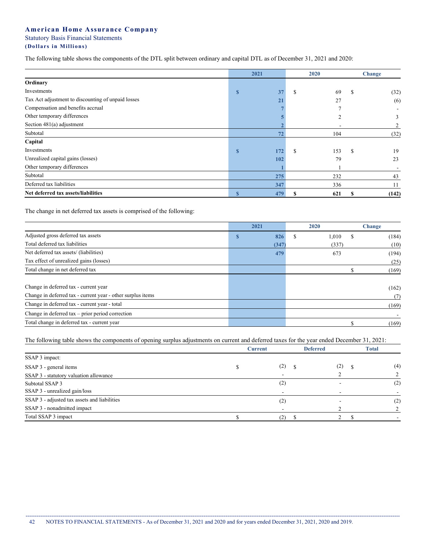. . . . . . . . . . . . . . . . . .

The following table shows the components of the DTL split between ordinary and capital DTL as of December 31, 2021 and 2020:

|                                                    |              | 2021 |    | 2020 | Change   |       |  |
|----------------------------------------------------|--------------|------|----|------|----------|-------|--|
| Ordinary                                           |              |      |    |      |          |       |  |
| Investments                                        | $\mathbf{s}$ | 37   | \$ | 69   | S        | (32)  |  |
| Tax Act adjustment to discounting of unpaid losses |              | 21   |    | 27   |          | (6)   |  |
| Compensation and benefits accrual                  |              |      |    |      |          |       |  |
| Other temporary differences                        |              |      |    |      |          | 3     |  |
| Section $481(a)$ adjustment                        |              |      |    |      |          |       |  |
| Subtotal                                           |              | 72   |    | 104  |          | (32)  |  |
| Capital                                            |              |      |    |      |          |       |  |
| Investments                                        | $\mathbf{s}$ | 172  | S  | 153  | <b>S</b> | 19    |  |
| Unrealized capital gains (losses)                  |              | 102  |    | 79   |          | 23    |  |
| Other temporary differences                        |              |      |    |      |          |       |  |
| Subtotal                                           |              | 275  |    | 232  |          | 43    |  |
| Deferred tax liabilities                           |              | 347  |    | 336  |          | 11    |  |
| Net deferred tax assets/liabilities                | $\mathbf S$  | 479  |    | 621  |          | (142) |  |

The change in net deferred tax assets is comprised of the following:

|                                                             | 2021  | 2020       | <b>Change</b> |       |
|-------------------------------------------------------------|-------|------------|---------------|-------|
| Adjusted gross deferred tax assets                          | 826   | S<br>1,010 |               | (184) |
| Total deferred tax liabilities                              | (347) | (337)      |               | (10)  |
| Net deferred tax assets/ (liabilities)                      | 479   | 673        |               | (194) |
| Tax effect of unrealized gains (losses)                     |       |            |               | (25)  |
| Total change in net deferred tax                            |       |            |               | (169) |
|                                                             |       |            |               |       |
| Change in deferred tax - current year                       |       |            |               | (162) |
| Change in deferred tax - current year - other surplus items |       |            |               | (7)   |
| Change in deferred tax - current year - total               |       |            |               | (169) |
| Change in deferred $tax - prior$ period correction          |       |            |               |       |
| Total change in deferred tax - current year                 |       |            |               | (169) |

The following table shows the components of opening surplus adjustments on current and deferred taxes for the year ended December 31, 2021:

|                                              | <b>Current</b> | <b>Deferred</b> | <b>Total</b> |
|----------------------------------------------|----------------|-----------------|--------------|
| SSAP 3 impact:                               |                |                 |              |
| SSAP 3 - general items                       | (2)            | (2)             | (4)          |
| SSAP 3 - statutory valuation allowance       |                |                 |              |
| Subtotal SSAP 3                              | (2)            |                 | (2)          |
| SSAP 3 - unrealized gain/loss                |                |                 |              |
| SSAP 3 - adjusted tax assets and liabilities | (2)            |                 | (2)          |
| SSAP 3 - nonadmitted impact                  |                |                 |              |
| Total SSAP 3 impact                          | (2)            |                 |              |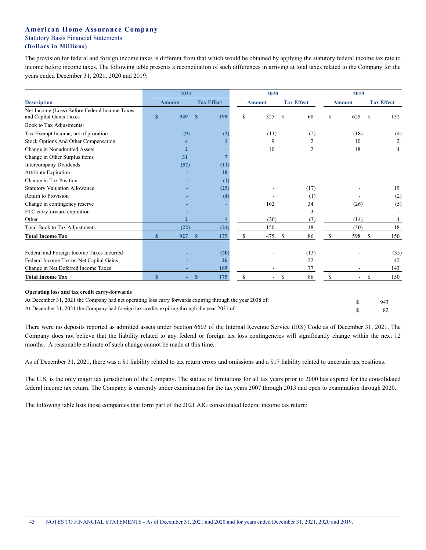The provision for federal and foreign income taxes is different from that which would be obtained by applying the statutory federal income tax rate to income before income taxes. The following table presents a reconciliation of such differences in arriving at total taxes related to the Company for the years ended December 31, 2021, 2020 and 2019:

|                                                                          | 2021         |                                    |              |                                    | 2020          |                          |               |               | 2019          |                   |               |      |
|--------------------------------------------------------------------------|--------------|------------------------------------|--------------|------------------------------------|---------------|--------------------------|---------------|---------------|---------------|-------------------|---------------|------|
| <b>Description</b>                                                       |              | <b>Tax Effect</b><br><b>Amount</b> |              | <b>Tax Effect</b><br><b>Amount</b> |               |                          |               | <b>Amount</b> |               | <b>Tax Effect</b> |               |      |
| Net Income (Loss) Before Federal Income Taxes<br>and Capital Gains Taxes | $\mathbf{s}$ | 949                                | $\mathbf{s}$ | 199                                | \$            | 325                      | \$            | 68            | \$            | 628               | <sup>\$</sup> | 132  |
| Book to Tax Adjustments:                                                 |              |                                    |              |                                    |               |                          |               |               |               |                   |               |      |
| Tax Exempt Income, net of proration                                      |              | (9)                                |              |                                    |               | (11)                     |               | (2)           |               | (18)              |               | (4)  |
| Stock Options And Other Compensation                                     |              |                                    |              |                                    |               | 9                        |               | 2             |               | 10                |               | 2    |
| Change in Nonadmitted Assets                                             |              |                                    |              |                                    |               | 10                       |               | 2             |               | 18                |               | 4    |
| Change in Other Surplus items                                            |              | 31                                 |              |                                    |               |                          |               |               |               |                   |               |      |
| <b>Intercompany Dividends</b>                                            |              | (52)                               |              | (11)                               |               |                          |               |               |               |                   |               |      |
| Attribute Expiration                                                     |              |                                    |              | 10                                 |               |                          |               |               |               |                   |               |      |
| Change in Tax Position                                                   |              |                                    |              | (1)                                |               |                          |               |               |               |                   |               |      |
| <b>Statutory Valuation Allowance</b>                                     |              |                                    |              | (25)                               |               |                          |               | (17)          |               |                   |               | 19   |
| Return to Provision                                                      |              |                                    |              | (4)                                |               |                          |               | (1)           |               |                   |               | (2)  |
| Change in contingency reserve                                            |              |                                    |              |                                    |               | 162                      |               | 34            |               | (26)              |               | (5)  |
| FTC carryforward expiration                                              |              |                                    |              |                                    |               |                          |               | 3             |               |                   |               |      |
| Other                                                                    |              |                                    |              |                                    |               | (20)                     |               | (3)           |               | (14)              |               | 4    |
| Total Book to Tax Adjustments                                            |              | (22)                               |              | (24)                               |               | 150                      |               | 18            |               | (30)              |               | 18   |
| <b>Total Income Tax</b>                                                  | $\mathbf{s}$ | 927                                | $\mathbf{s}$ | 175                                | <sup>\$</sup> | 475                      | <sup>\$</sup> | 86            | <sup>\$</sup> | 598               | \$            | 150  |
| Federal and Foreign Income Taxes Incurred                                |              |                                    |              | (20)                               |               |                          |               | (13)          |               |                   |               | (35) |
| Federal Income Tax on Net Capital Gains                                  |              |                                    |              | 26                                 |               |                          |               | 22            |               |                   |               | 42   |
| Change in Net Deferred Income Taxes                                      |              |                                    |              | 169                                |               |                          |               | 77            |               |                   |               | 143  |
| <b>Total Income Tax</b>                                                  | $\mathbf{s}$ |                                    | $\mathbf{s}$ | 175                                | <sup>\$</sup> | $\overline{\phantom{a}}$ | S             | 86            | \$            | $\blacksquare$    | <sup>\$</sup> | 150  |
|                                                                          |              |                                    |              |                                    |               |                          |               |               |               |                   |               |      |

| At December 31, 2021 the Company had net operating loss carry forwards expiring through the year 2038 of: | - 943 |
|-----------------------------------------------------------------------------------------------------------|-------|
| At December 31, 2021 the Company had foreign tax credits expiring through the year 2031 of:               |       |

There were no deposits reported as admitted assets under Section 6603 of the Internal Revenue Service (IRS) Code as of December 31, 2021. The Company does not believe that the liability related to any federal or foreign tax loss contingencies will significantly change within the next 12 months. A reasonable estimate of such change cannot be made at this time.

As of December 31, 2021, there was a \$1 liability related to tax return errors and omissions and a \$17 liability related to uncertain tax positions.

The U.S. is the only major tax jurisdiction of the Company. The statute of limitations for all tax years prior to 2000 has expired for the consolidated federal income tax return. The Company is currently under examination for the tax years 2007 through 2013 and open to examination through 2020.

The following table lists those companies that form part of the 2021 AIG consolidated federal income tax return: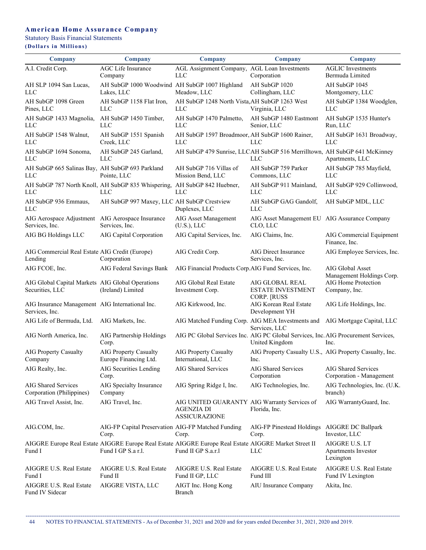# **American Home Assurance Company**

Statutory Basis Financial Statements

# **(Dollars i n Millions)**

| Company                                                             | <b>Company</b>                                                                                                              | <b>Company</b>                                                                            | <b>Company</b>                                                                                       | <b>Company</b>                                            |
|---------------------------------------------------------------------|-----------------------------------------------------------------------------------------------------------------------------|-------------------------------------------------------------------------------------------|------------------------------------------------------------------------------------------------------|-----------------------------------------------------------|
| A.I. Credit Corp.                                                   | <b>AGC</b> Life Insurance<br>Company                                                                                        | AGL Assignment Company, AGL Loan Investments<br><b>LLC</b>                                | Corporation                                                                                          | <b>AGLIC</b> Investments<br>Bermuda Limited               |
| AH SLP 1094 San Lucas,<br>LLC                                       | AH SubGP 1000 Woodwind AH SubGP 1007 Highland<br>Lakes, LLC                                                                 | Meadow, LLC                                                                               | AH SubGP 1020<br>Collingham, LLC                                                                     | AH SubGP 1045<br>Montgomery, LLC                          |
| AH SubGP 1098 Green<br>Pines, LLC                                   | AH SubGP 1158 Flat Iron,<br>LLC                                                                                             | AH SubGP 1248 North Vista, AH SubGP 1263 West<br>LLC                                      | Virginia, LLC                                                                                        | AH SubGP 1384 Woodglen,<br>LLC                            |
| AH SubGP 1433 Magnolia,<br>LLC                                      | AH SubGP 1450 Timber,<br><b>LLC</b>                                                                                         | AH SubGP 1470 Palmetto,<br><b>LLC</b>                                                     | AH SubGP 1480 Eastmont<br>Senior, LLC                                                                | AH SubGP 1535 Hunter's<br>Run, LLC                        |
| AH SubGP 1548 Walnut,<br>LLC                                        | AH SubGP 1551 Spanish<br>Creek, LLC                                                                                         | AH SubGP 1597 Broadmoor, AH SubGP 1600 Rainer,<br>LLC                                     | LLC                                                                                                  | AH SubGP 1631 Broadway,<br><b>LLC</b>                     |
| AH SubGP 1694 Sonoma,<br>LLC                                        | AH SubGP 245 Garland,<br>LLC                                                                                                |                                                                                           | AH SubGP 479 Sunrise, LLCAH SubGP 516 Merrilltown, AH SubGP 641 McKinney<br><b>LLC</b>               | Apartments, LLC                                           |
| AH SubGP 665 Salinas Bay, AH SubGP 693 Parkland<br>LLC              | Pointe, LLC                                                                                                                 | AH SubGP 716 Villas of<br>Mission Bend, LLC                                               | AH SubGP 759 Parker<br>Commons, LLC                                                                  | AH SubGP 785 Mayfield,<br>LLC                             |
| LLC                                                                 | AH SubGP 787 North Knoll, AH SubGP 835 Whispering, AH SubGP 842 Huebner,<br><b>LLC</b>                                      | LLC                                                                                       | AH SubGP 911 Mainland,<br><b>LLC</b>                                                                 | AH SubGP 929 Collinwood,<br><b>LLC</b>                    |
| AH SubGP 936 Emmaus,<br>LLC                                         | AH SubGP 997 Maxey, LLC AH SubGP Crestview                                                                                  | Duplexes, LLC                                                                             | AH SubGP GAG Gandolf,<br><b>LLC</b>                                                                  | AH SubGP MDL, LLC                                         |
| AIG Aerospace Adjustment AIG Aerospace Insurance<br>Services, Inc.  | Services, Inc.                                                                                                              | AIG Asset Management<br>(U.S.), LLC                                                       | AIG Asset Management EU AIG Assurance Company<br>CLO, LLC                                            |                                                           |
| AIG BG Holdings LLC                                                 | AIG Capital Corporation                                                                                                     | AIG Capital Services, Inc.                                                                | AIG Claims, Inc.                                                                                     | AIG Commercial Equipment<br>Finance, Inc.                 |
| AIG Commercial Real Estate AIG Credit (Europe)<br>Lending           | Corporation                                                                                                                 | AIG Credit Corp.                                                                          | AIG Direct Insurance<br>Services, Inc.                                                               | AIG Employee Services, Inc.                               |
| AIG FCOE, Inc.                                                      | AIG Federal Savings Bank                                                                                                    | AIG Financial Products Corp.AIG Fund Services, Inc.                                       |                                                                                                      | AIG Global Asset<br>Management Holdings Corp.             |
| AIG Global Capital Markets AIG Global Operations<br>Securities, LLC | (Ireland) Limited                                                                                                           | AIG Global Real Estate<br>Investment Corp.                                                | AIG GLOBAL REAL<br><b>ESTATE INVESTMENT</b>                                                          | AIG Home Protection<br>Company, Inc.                      |
| AIG Insurance Management AIG International Inc.<br>Services, Inc.   |                                                                                                                             | AIG Kirkwood, Inc.                                                                        | <b>CORP. [RUSS</b><br>AIG Korean Real Estate<br>Development YH                                       | AIG Life Holdings, Inc.                                   |
| AIG Life of Bermuda, Ltd.                                           | AIG Markets, Inc.                                                                                                           |                                                                                           | AIG Matched Funding Corp. AIG MEA Investments and AIG Mortgage Capital, LLC<br>Services, LLC         |                                                           |
| AIG North America, Inc.                                             | AIG Partnership Holdings<br>Corp.                                                                                           |                                                                                           | AIG PC Global Services Inc. AIG PC Global Services, Inc. AIG Procurement Services,<br>United Kingdom | Inc.                                                      |
| AIG Property Casualty<br>Company                                    | <b>AIG Property Casualty</b><br>Europe Financing Ltd.                                                                       | AIG Property Casualty<br>International, LLC                                               | AIG Property Casualty U.S., AIG Property Casualty, Inc.<br>Inc.                                      |                                                           |
| AIG Realty, Inc.                                                    | AIG Securities Lending<br>Corp.                                                                                             | AIG Shared Services                                                                       | AIG Shared Services<br>Corporation                                                                   | AIG Shared Services<br>Corporation - Management           |
| AIG Shared Services<br>Corporation (Philippines)                    | AIG Specialty Insurance<br>Company                                                                                          | AIG Spring Ridge I, Inc.                                                                  | AIG Technologies, Inc.                                                                               | AIG Technologies, Inc. (U.K.<br>branch)                   |
| AIG Travel Assist, Inc.                                             | AIG Travel, Inc.                                                                                                            | AIG UNITED GUARANTY AIG Warranty Services of<br><b>AGENZIA DI</b><br><b>ASSICURAZIONE</b> | Florida, Inc.                                                                                        | AIG WarrantyGuard, Inc.                                   |
| AIG.COM, Inc.                                                       | AIG-FP Capital Preservation AIG-FP Matched Funding<br>Corp.                                                                 | Corp.                                                                                     | AIG-FP Pinestead Holdings<br>Corp.                                                                   | AIGGRE DC Ballpark<br>Investor, LLC                       |
| Fund I                                                              | AIGGRE Europe Real Estate AIGGRE Europe Real Estate AIGGRE Europe Real Estate AIGGRE Market Street II<br>Fund I GP S.a r.l. | Fund II GP S.a.r.l                                                                        | LLC                                                                                                  | <b>AIGGRE U.S. LT</b><br>Apartments Investor<br>Lexington |
| AIGGRE U.S. Real Estate<br>Fund I                                   | AIGGRE U.S. Real Estate<br>Fund II                                                                                          | AIGGRE U.S. Real Estate<br>Fund II GP, LLC                                                | AIGGRE U.S. Real Estate<br>Fund III                                                                  | AIGGRE U.S. Real Estate<br>Fund IV Lexington              |
| AIGGRE U.S. Real Estate<br>Fund IV Sidecar                          | AIGGRE VISTA, LLC                                                                                                           | AIGT Inc. Hong Kong<br>Branch                                                             | AIU Insurance Company                                                                                | Akita, Inc.                                               |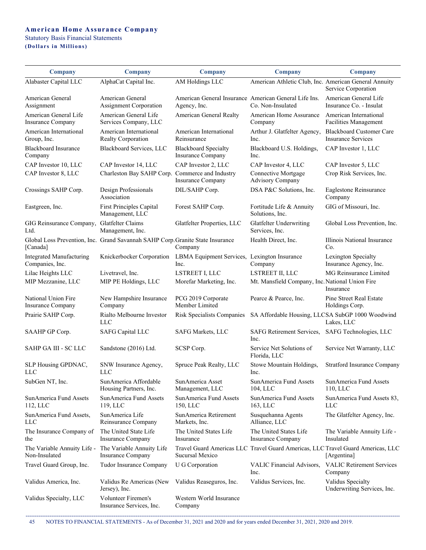# **American Home Assurance Company** Statutory Basis Financial Statements

**(Dollars i n Millions)**

| <b>Company</b>                                     | <b>Company</b>                                                                 | <b>Company</b>                                                        | Company                                               | <b>Company</b>                                                                                 |
|----------------------------------------------------|--------------------------------------------------------------------------------|-----------------------------------------------------------------------|-------------------------------------------------------|------------------------------------------------------------------------------------------------|
| Alabaster Capital LLC                              | AlphaCat Capital Inc.                                                          | AM Holdings LLC                                                       | American Athletic Club, Inc. American General Annuity | Service Corporation                                                                            |
| American General<br>Assignment                     | American General<br><b>Assignment Corporation</b>                              | American General Insurance American General Life Ins.<br>Agency, Inc. | Co. Non-Insulated                                     | American General Life<br>Insurance Co. - Insulat                                               |
| American General Life<br>Insurance Company         | American General Life<br>Services Company, LLC                                 | American General Realty                                               | American Home Assurance<br>Company                    | American International<br>Facilities Management                                                |
| American International<br>Group, Inc.              | American International<br>Realty Corporation                                   | American International<br>Reinsurance                                 | Arthur J. Glatfelter Agency,<br>Inc.                  | <b>Blackboard Customer Care</b><br><b>Insurance Services</b>                                   |
| <b>Blackboard Insurance</b><br>Company             | Blackboard Services, LLC                                                       | <b>Blackboard Specialty</b><br>Insurance Company                      | Blackboard U.S. Holdings,<br>Inc.                     | CAP Investor 1, LLC                                                                            |
| CAP Investor 10, LLC                               | CAP Investor 14, LLC                                                           | CAP Investor 2, LLC                                                   | CAP Investor 4, LLC                                   | CAP Investor 5, LLC                                                                            |
| CAP Investor 8, LLC                                | Charleston Bay SAHP Corp. Commerce and Industry                                | Insurance Company                                                     | Connective Mortgage<br>Advisory Company               | Crop Risk Services, Inc.                                                                       |
| Crossings SAHP Corp.                               | Design Professionals<br>Association                                            | DIL/SAHP Corp.                                                        | DSA P&C Solutions, Inc.                               | Eaglestone Reinsurance<br>Company                                                              |
| Eastgreen, Inc.                                    | <b>First Principles Capital</b><br>Management, LLC                             | Forest SAHP Corp.                                                     | Fortitude Life & Annuity<br>Solutions, Inc.           | GIG of Missouri, Inc.                                                                          |
| GIG Reinsurance Company, Glatfelter Claims<br>Ltd. | Management, Inc.                                                               | Glatfelter Properties, LLC                                            | Glatfelter Underwriting<br>Services, Inc.             | Global Loss Prevention, Inc.                                                                   |
| [Canada]                                           | Global Loss Prevention, Inc. Grand Savannah SAHP Corp. Granite State Insurance | Company                                                               | Health Direct, Inc.                                   | Illinois National Insurance<br>Co.                                                             |
| <b>Integrated Manufacturing</b><br>Companies, Inc. | Knickerbocker Corporation                                                      | LBMA Equipment Services, Lexington Insurance<br>Inc.                  | Company                                               | Lexington Specialty<br>Insurance Agency, Inc.                                                  |
| Lilac Heights LLC                                  | Livetravel, Inc.                                                               | LSTREET I, LLC                                                        | LSTREET II, LLC                                       | MG Reinsurance Limited                                                                         |
| MIP Mezzanine, LLC                                 | MIP PE Holdings, LLC                                                           | Morefar Marketing, Inc.                                               | Mt. Mansfield Company, Inc. National Union Fire       | Insurance                                                                                      |
| National Union Fire<br>Insurance Company           | New Hampshire Insurance<br>Company                                             | PCG 2019 Corporate<br>Member Limited                                  | Pearce & Pearce, Inc.                                 | Pine Street Real Estate<br>Holdings Corp.                                                      |
| Prairie SAHP Corp.                                 | Rialto Melbourne Investor<br><b>LLC</b>                                        | Risk Specialists Companies                                            | SA Affordable Housing, LLCSA SubGP 1000 Woodwind      | Lakes, LLC                                                                                     |
| SAAHP GP Corp.                                     | <b>SAFG Capital LLC</b>                                                        | SAFG Markets, LLC                                                     | SAFG Retirement Services,<br>Inc.                     | SAFG Technologies, LLC                                                                         |
| SAHP GA III - SC LLC                               | Sandstone (2016) Ltd.                                                          | SCSP Corp.                                                            | Service Net Solutions of<br>Florida, LLC              | Service Net Warranty, LLC                                                                      |
| SLP Housing GPDNAC,<br><b>LLC</b>                  | SNW Insurance Agency,<br><b>LLC</b>                                            | Spruce Peak Realty, LLC                                               | Stowe Mountain Holdings,<br>Inc.                      | <b>Stratford Insurance Company</b>                                                             |
| SubGen NT, Inc.                                    | SunAmerica Affordable<br>Housing Partners, Inc.                                | SunAmerica Asset<br>Management, LLC                                   | SunAmerica Fund Assets<br>104, LLC                    | SunAmerica Fund Assets<br>110, LLC                                                             |
| SunAmerica Fund Assets<br>112, LLC                 | SunAmerica Fund Assets<br>119, LLC                                             | SunAmerica Fund Assets<br>150, LLC                                    | SunAmerica Fund Assets<br>163, LLC                    | SunAmerica Fund Assets 83,<br><b>LLC</b>                                                       |
| SunAmerica Fund Assets,<br><b>LLC</b>              | SunAmerica Life<br>Reinsurance Company                                         | SunAmerica Retirement<br>Markets, Inc.                                | Susquehanna Agents<br>Alliance, LLC                   | The Glatfelter Agency, Inc.                                                                    |
| The Insurance Company of<br>the                    | The United State Life<br><b>Insurance Company</b>                              | The United States Life<br>Insurance                                   | The United States Life<br><b>Insurance Company</b>    | The Variable Annuity Life -<br>Insulated                                                       |
| The Variable Annuity Life -<br>Non-Insulated       | The Variable Annuity Life<br><b>Insurance Company</b>                          | Sucursal Mexico                                                       |                                                       | Travel Guard Americas LLC Travel Guard Americas, LLC Travel Guard Americas, LLC<br>[Argentina] |
| Travel Guard Group, Inc.                           | Tudor Insurance Company                                                        | U G Corporation                                                       | VALIC Financial Advisors,<br>Inc.                     | <b>VALIC Retirement Services</b><br>Company                                                    |
| Validus America, Inc.                              | Validus Re Americas (New<br>Jersey), Inc.                                      | Validus Reaseguros, Inc.                                              | Validus Services, Inc.                                | Validus Specialty<br>Underwriting Services, Inc.                                               |
| Validus Specialty, LLC                             | Volunteer Firemen's<br>Insurance Services, Inc.                                | Western World Insurance<br>Company                                    |                                                       |                                                                                                |

------------------------------------------------------------------------------------------------------------------------------------------------------------------------------------------------------------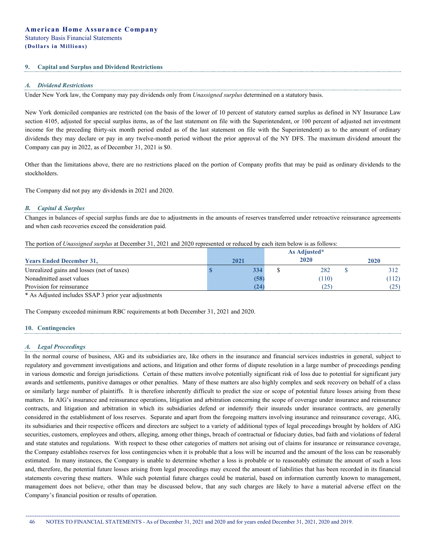#### **9. Capital and Surplus and Dividend Restrictions**

#### *A. Dividend Restrictions*

Under New York law, the Company may pay dividends only from *Unassigned surplus* determined on a statutory basis.

New York domiciled companies are restricted (on the basis of the lower of 10 percent of statutory earned surplus as defined in NY Insurance Law section 4105, adjusted for special surplus items, as of the last statement on file with the Superintendent, or 100 percent of adjusted net investment income for the preceding thirty-six month period ended as of the last statement on file with the Superintendent) as to the amount of ordinary dividends they may declare or pay in any twelve-month period without the prior approval of the NY DFS. The maximum dividend amount the Company can pay in 2022, as of December 31, 2021 is \$0.

Other than the limitations above, there are no restrictions placed on the portion of Company profits that may be paid as ordinary dividends to the stockholders.

The Company did not pay any dividends in 2021 and 2020.

#### *B. Capital & Surplus*

Changes in balances of special surplus funds are due to adjustments in the amounts of reserves transferred under retroactive reinsurance agreements and when cash recoveries exceed the consideration paid.

The portion of *Unassigned surplus* at December 31, 2021 and 2020 represented or reduced by each item below is as follows:

|                                            |  |      |  | As Adjusted* |      |       |
|--------------------------------------------|--|------|--|--------------|------|-------|
| <b>Years Ended December 31,</b>            |  | 2021 |  | 2020         | 2020 |       |
| Unrealized gains and losses (net of taxes) |  | 334  |  | 282          |      |       |
| Nonadmitted asset values                   |  | (58) |  | (110)        |      | (112) |
| Provision for reinsurance                  |  | (24) |  | (25)         |      | (25)  |

\* As Adjusted includes SSAP 3 prior year adjustments

The Company exceeded minimum RBC requirements at both December 31, 2021 and 2020.

### **10. Contingencies**

#### *A. Legal Proceedings*

In the normal course of business, AIG and its subsidiaries are, like others in the insurance and financial services industries in general, subject to regulatory and government investigations and actions, and litigation and other forms of dispute resolution in a large number of proceedings pending in various domestic and foreign jurisdictions. Certain of these matters involve potentially significant risk of loss due to potential for significant jury awards and settlements, punitive damages or other penalties. Many of these matters are also highly complex and seek recovery on behalf of a class or similarly large number of plaintiffs. It is therefore inherently difficult to predict the size or scope of potential future losses arising from these matters. In AIG's insurance and reinsurance operations, litigation and arbitration concerning the scope of coverage under insurance and reinsurance contracts, and litigation and arbitration in which its subsidiaries defend or indemnify their insureds under insurance contracts, are generally considered in the establishment of loss reserves. Separate and apart from the foregoing matters involving insurance and reinsurance coverage, AIG, its subsidiaries and their respective officers and directors are subject to a variety of additional types of legal proceedings brought by holders of AIG securities, customers, employees and others, alleging, among other things, breach of contractual or fiduciary duties, bad faith and violations of federal and state statutes and regulations. With respect to these other categories of matters not arising out of claims for insurance or reinsurance coverage, the Company establishes reserves for loss contingencies when it is probable that a loss will be incurred and the amount of the loss can be reasonably estimated. In many instances, the Company is unable to determine whether a loss is probable or to reasonably estimate the amount of such a loss and, therefore, the potential future losses arising from legal proceedings may exceed the amount of liabilities that has been recorded in its financial statements covering these matters. While such potential future charges could be material, based on information currently known to management, management does not believe, other than may be discussed below, that any such charges are likely to have a material adverse effect on the Company's financial position or results of operation.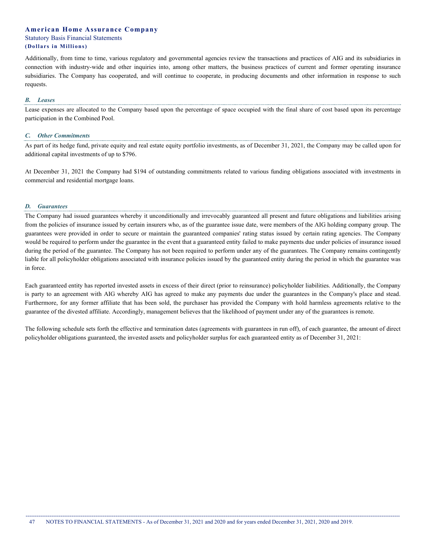Additionally, from time to time, various regulatory and governmental agencies review the transactions and practices of AIG and its subsidiaries in connection with industry-wide and other inquiries into, among other matters, the business practices of current and former operating insurance subsidiaries. The Company has cooperated, and will continue to cooperate, in producing documents and other information in response to such requests.

#### *B. Leases*

Lease expenses are allocated to the Company based upon the percentage of space occupied with the final share of cost based upon its percentage participation in the Combined Pool.

#### *C. Other Commitments*

As part of its hedge fund, private equity and real estate equity portfolio investments, as of December 31, 2021, the Company may be called upon for additional capital investments of up to \$796.

At December 31, 2021 the Company had \$194 of outstanding commitments related to various funding obligations associated with investments in commercial and residential mortgage loans.

#### *D. Guarantees*

The Company had issued guarantees whereby it unconditionally and irrevocably guaranteed all present and future obligations and liabilities arising from the policies of insurance issued by certain insurers who, as of the guarantee issue date, were members of the AIG holding company group. The guarantees were provided in order to secure or maintain the guaranteed companies' rating status issued by certain rating agencies. The Company would be required to perform under the guarantee in the event that a guaranteed entity failed to make payments due under policies of insurance issued during the period of the guarantee. The Company has not been required to perform under any of the guarantees. The Company remains contingently liable for all policyholder obligations associated with insurance policies issued by the guaranteed entity during the period in which the guarantee was in force.

Each guaranteed entity has reported invested assets in excess of their direct (prior to reinsurance) policyholder liabilities. Additionally, the Company is party to an agreement with AIG whereby AIG has agreed to make any payments due under the guarantees in the Company's place and stead. Furthermore, for any former affiliate that has been sold, the purchaser has provided the Company with hold harmless agreements relative to the guarantee of the divested affiliate. Accordingly, management believes that the likelihood of payment under any of the guarantees is remote.

The following schedule sets forth the effective and termination dates (agreements with guarantees in run off), of each guarantee, the amount of direct policyholder obligations guaranteed, the invested assets and policyholder surplus for each guaranteed entity as of December 31, 2021: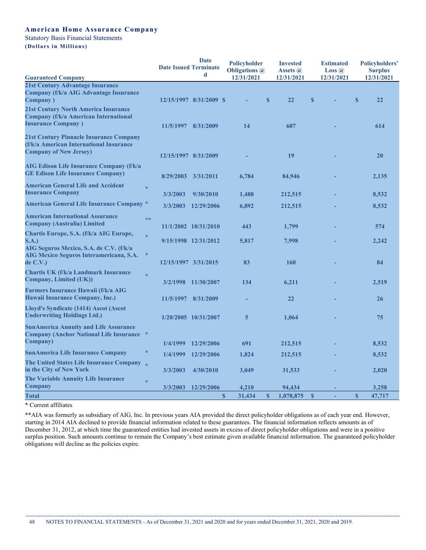# **American Home Assurance Company**

Statutory Basis Financial Statements

**(Dollars i n Millions)** 

|                                                                                                                      |                      | <b>Date</b><br><b>Date Issued Terminate</b><br>d | <b>Policyholder</b><br><b>Obligations</b> @ |              | <b>Invested</b><br>Assets @ | <b>Estimated</b><br><b>Loss</b> $\omega$ | <b>Policyholders'</b><br><b>Surplus</b> |
|----------------------------------------------------------------------------------------------------------------------|----------------------|--------------------------------------------------|---------------------------------------------|--------------|-----------------------------|------------------------------------------|-----------------------------------------|
| <b>Guaranteed Company</b>                                                                                            |                      |                                                  | 12/31/2021                                  |              | 12/31/2021                  | 12/31/2021                               | 12/31/2021                              |
| 21st Century Advantage Insurance<br><b>Company (f/k/a AIG Advantage Insurance</b><br><b>Company</b> )                |                      | 12/15/1997 8/31/2009 \$                          |                                             | S            | 22                          | S                                        | $\mathbf{s}$<br>22                      |
| <b>21st Century North America Insurance</b><br>Company (f/k/a American International<br><b>Insurance Company</b> )   |                      | 11/5/1997 8/31/2009                              | 14                                          |              | 607                         |                                          | 614                                     |
| 21st Century Pinnacle Insurance Company<br>(f/k/a American International Insurance<br><b>Company of New Jersey)</b>  | 12/15/1997 8/31/2009 |                                                  |                                             |              | 19                          |                                          | 20                                      |
| AIG Edison Life Insurance Company (f/k/a<br><b>GE Edison Life Insurance Company)</b>                                 | 8/29/2003            | 3/31/2011                                        | 6,784                                       |              | 84,946                      |                                          | 2,135                                   |
| <b>American General Life and Accident</b><br>$\star$<br><b>Insurance Company</b>                                     | 3/3/2003             | 9/30/2010                                        | 1,488                                       |              | 212,515                     |                                          | 8,532                                   |
| <b>American General Life Insurance Company *</b>                                                                     | 3/3/2003             | 12/29/2006                                       | 6,892                                       |              | 212,515                     |                                          | 8,532                                   |
| <b>American International Assurance</b><br>**<br><b>Company (Australia) Limited</b>                                  |                      | 11/1/2002 10/31/2010                             | 443                                         |              | 1,799                       |                                          | 574                                     |
| Chartis Europe, S.A. (f/k/a AIG Europe,<br>$\frac{d}{dt}$<br><b>S.A.)</b><br>AIG Seguros Mexico, S.A. de C.V. (f/k/a |                      | 9/15/1998 12/31/2012                             | 5,817                                       |              | 7,998                       |                                          | 2,242                                   |
| $\star$<br>AIG Mexico Seguros Interamericana, S.A.<br>de C.V.)                                                       | 12/15/1997 3/31/2015 |                                                  | 83                                          |              | 160                         |                                          | 84                                      |
| Chartis UK (f/k/a Landmark Insurance<br>$\frac{d}{dt}$<br>Company, Limited (UK))                                     |                      | 3/2/1998 11/30/2007                              | 134                                         |              | 6.211                       |                                          | 2,519                                   |
| Farmers Insurance Hawaii (f/k/a AIG<br>Hawaii Insurance Company, Inc.)                                               |                      | 11/5/1997 8/31/2009                              |                                             |              | 22                          |                                          | 26                                      |
| Lloyd's Syndicate (1414) Ascot (Ascot<br><b>Underwriting Holdings Ltd.)</b>                                          |                      | 1/20/2005 10/31/2007                             | 5                                           |              | 1,064                       |                                          | 75                                      |
| <b>SunAmerica Annuity and Life Assurance</b><br><b>Company (Anchor National Life Insurance *</b><br>Company)         | 1/4/1999             | 12/29/2006                                       | 691                                         |              |                             |                                          | 8,532                                   |
| ∗<br><b>SunAmerica Life Insurance Company</b>                                                                        |                      |                                                  |                                             |              | 212,515                     |                                          |                                         |
| The United States Life Insurance Company                                                                             | 1/4/1999             | 12/29/2006                                       | 1,824                                       |              | 212,515                     |                                          | 8,532                                   |
| in the City of New York                                                                                              | 3/3/2003             | 4/30/2010                                        | 3,049                                       |              | 31,533                      |                                          | 2,020                                   |
| The Variable Annuity Life Insurance<br>$\star$<br>Company                                                            | 3/3/2003             | 12/29/2006                                       | 4,210                                       |              | 94,434                      |                                          | 3,258                                   |
| Total                                                                                                                |                      |                                                  | $\boldsymbol{s}$<br>31,434                  | $\mathbf{s}$ | 1,078,875                   | $\mathbf{s}$                             | $\mathbf{s}$<br>47,717                  |

\* Current affiliates

\*\*AIA was formerly as subsidiary of AIG, Inc. In previous years AIA provided the direct policyholder obligations as of each year end. However, starting in 2014 AIA declined to provide financial information related to these guarantees. The financial information reflects amounts as of December 31, 2012, at which time the guaranteed entities had invested assets in excess of direct policyholder obligations and were in a positive surplus position. Such amounts continue to remain the Company's best estimate given available financial information. The guaranteed policyholder obligations will decline as the policies expire.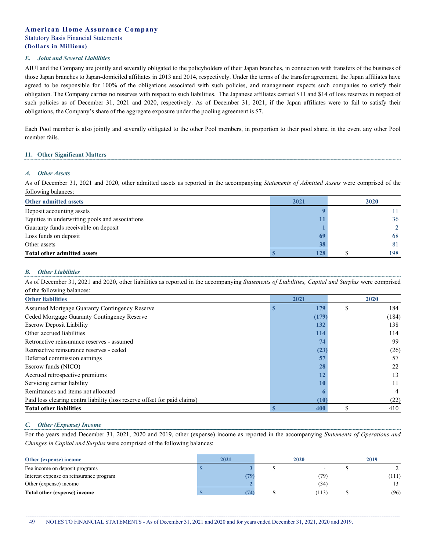#### *E. Joint and Several Liabilities*

AIUI and the Company are jointly and severally obligated to the policyholders of their Japan branches, in connection with transfers of the business of those Japan branches to Japan-domiciled affiliates in 2013 and 2014, respectively. Under the terms of the transfer agreement, the Japan affiliates have agreed to be responsible for 100% of the obligations associated with such policies, and management expects such companies to satisfy their obligation. The Company carries no reserves with respect to such liabilities. The Japanese affiliates carried \$11 and \$14 of loss reserves in respect of such policies as of December 31, 2021 and 2020, respectively. As of December 31, 2021, if the Japan affiliates were to fail to satisfy their obligations, the Company's share of the aggregate exposure under the pooling agreement is \$7.

Each Pool member is also jointly and severally obligated to the other Pool members, in proportion to their pool share, in the event any other Pool member fails.

#### **11. Other Significant Matters**

#### *A. Other Assets*

As of December 31, 2021 and 2020, other admitted assets as reported in the accompanying *Statements of Admitted Assets* were comprised of the following balances:

| Other admitted assets                           | 2021 | 2020 |
|-------------------------------------------------|------|------|
| Deposit accounting assets                       |      |      |
| Equities in underwriting pools and associations |      | 36   |
| Guaranty funds receivable on deposit            |      |      |
| Loss funds on deposit                           | 69   | 68   |
| Other assets                                    |      | 81   |
| Total other admitted assets                     |      | 198  |

#### *B. Other Liabilities*

As of December 31, 2021 and 2020, other liabilities as reported in the accompanying *Statements of Liabilities, Capital and Surplus* were comprised of the following balances:

| <b>Other liabilities</b>                                                  |  | 2021  | 2020 |       |  |
|---------------------------------------------------------------------------|--|-------|------|-------|--|
| Assumed Mortgage Guaranty Contingency Reserve                             |  | 179   |      | 184   |  |
| Ceded Mortgage Guaranty Contingency Reserve                               |  | (179) |      | (184) |  |
| <b>Escrow Deposit Liability</b>                                           |  | 132   |      | 138   |  |
| Other accrued liabilities                                                 |  | 114   |      | 114   |  |
| Retroactive reinsurance reserves - assumed                                |  | 74    |      | 99    |  |
| Retroactive reinsurance reserves - ceded                                  |  | (23)  |      | (26)  |  |
| Deferred commission earnings                                              |  |       |      | 57    |  |
| Escrow funds (NICO)                                                       |  | 28    |      | 22    |  |
| Accrued retrospective premiums                                            |  |       |      | 13    |  |
| Servicing carrier liability                                               |  |       |      | 11    |  |
| Remittances and items not allocated                                       |  |       |      |       |  |
| Paid loss clearing contra liability (loss reserve offset for paid claims) |  | (10)  |      | (22)  |  |
| <b>Total other liabilities</b>                                            |  | 400   |      | 410   |  |

#### *C. Other (Expense) Income*

For the years ended December 31, 2021, 2020 and 2019, other (expense) income as reported in the accompanying *Statements of Operations and Changes in Capital and Surplus* were comprised of the following balances:

| Other (expense) income                  | 2021 |     | 2020  | 2019  |
|-----------------------------------------|------|-----|-------|-------|
| Fee income on deposit programs          |      |     |       |       |
| Interest expense on reinsurance program |      | 179 | (79)  | (111) |
| Other (expense) income                  |      |     | 34)   |       |
| Total other (expense) income            |      | 74  | (113) | (96)  |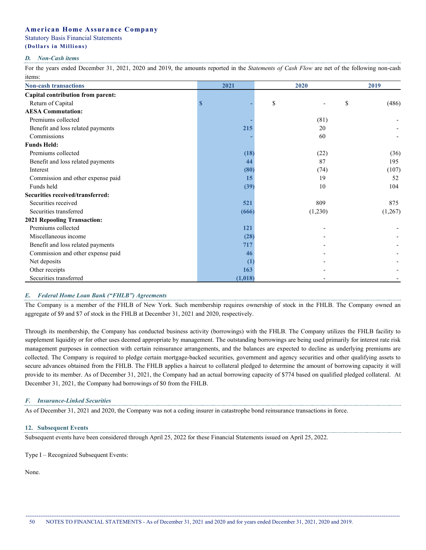# **American Home Assurance Company**

### Statutory Basis Financial Statements

# **(Dollars i n Millions)**

#### *D. Non-Cash items*

For the years ended December 31, 2021, 2020 and 2019, the amounts reported in the *Statements of Cash Flow* are net of the following non-cash items:

| <b>Non-cash transactions</b>      | 2021         | 2020    | 2019        |
|-----------------------------------|--------------|---------|-------------|
| Capital contribution from parent: |              |         |             |
| Return of Capital                 | S            | \$      | \$<br>(486) |
| <b>AESA Commutation:</b>          |              |         |             |
| Premiums collected                |              | (81)    |             |
| Benefit and loss related payments | 215          | 20      |             |
| Commissions                       |              | 60      |             |
| <b>Funds Held:</b>                |              |         |             |
| Premiums collected                | (18)         | (22)    | (36)        |
| Benefit and loss related payments | 44           | 87      | 195         |
| Interest                          | (80)         | (74)    | (107)       |
| Commission and other expense paid | 15           | 19      | 52          |
| Funds held                        | (39)         | 10      | 104         |
| Securities received/transferred:  |              |         |             |
| Securities received               | 521          | 809     | 875         |
| Securities transferred            | (666)        | (1,230) | (1,267)     |
| 2021 Repooling Transaction:       |              |         |             |
| Premiums collected                | 121          |         |             |
| Miscellaneous income              | (28)         |         |             |
| Benefit and loss related payments | 717          |         |             |
| Commission and other expense paid | 46           |         |             |
| Net deposits                      | $\mathbf{I}$ |         |             |
| Other receipts                    | 163          |         |             |
| Securities transferred            | (1, 018)     |         |             |

### *E. Federal Home Loan Bank ("FHLB") Agreements*

The Company is a member of the FHLB of New York. Such membership requires ownership of stock in the FHLB. The Company owned an aggregate of \$9 and \$7 of stock in the FHLB at December 31, 2021 and 2020, respectively.

Through its membership, the Company has conducted business activity (borrowings) with the FHLB. The Company utilizes the FHLB facility to supplement liquidity or for other uses deemed appropriate by management. The outstanding borrowings are being used primarily for interest rate risk management purposes in connection with certain reinsurance arrangements, and the balances are expected to decline as underlying premiums are collected. The Company is required to pledge certain mortgage-backed securities, government and agency securities and other qualifying assets to secure advances obtained from the FHLB. The FHLB applies a haircut to collateral pledged to determine the amount of borrowing capacity it will provide to its member. As of December 31, 2021, the Company had an actual borrowing capacity of \$774 based on qualified pledged collateral. At December 31, 2021, the Company had borrowings of \$0 from the FHLB.

### *F. Insurance-Linked Securities*

As of December 31, 2021 and 2020, the Company was not a ceding insurer in catastrophe bond reinsurance transactions in force.

### **12. Subsequent Events**

Subsequent events have been considered through April 25, 2022 for these Financial Statements issued on April 25, 2022.

Type I – Recognized Subsequent Events:

None.